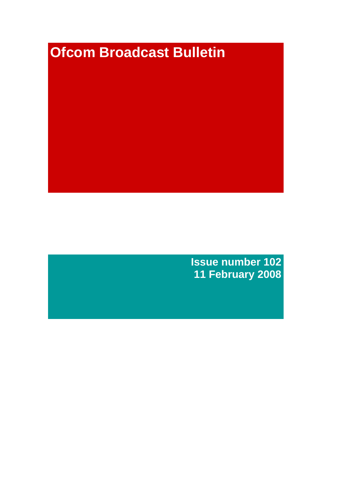# **Ofcom Broadcast Bulletin**

**Issue number 102 11 February 2008**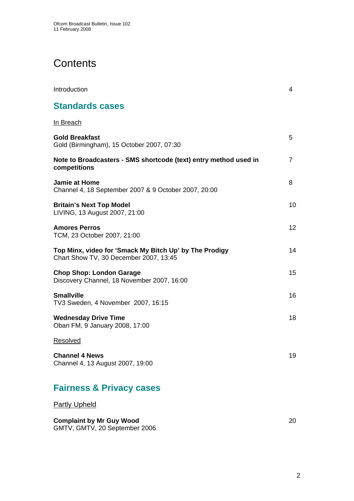# **Contents**

| Introduction                                                                                     | 4              |
|--------------------------------------------------------------------------------------------------|----------------|
| <b>Standards cases</b>                                                                           |                |
| <u>In Breach</u>                                                                                 |                |
| <b>Gold Breakfast</b><br>Gold (Birmingham), 15 October 2007, 07:30                               | 5              |
| Note to Broadcasters - SMS shortcode (text) entry method used in<br>competitions                 | $\overline{7}$ |
| <b>Jamie at Home</b><br>Channel 4, 18 September 2007 & 9 October 2007, 20:00                     | 8              |
| <b>Britain's Next Top Model</b><br>LIVING, 13 August 2007, 21:00                                 | 10             |
| <b>Amores Perros</b><br>TCM, 23 October 2007, 21:00                                              | 12             |
| Top Minx, video for 'Smack My Bitch Up' by The Prodigy<br>Chart Show TV, 30 December 2007, 13:45 | 14             |
| <b>Chop Shop: London Garage</b><br>Discovery Channel, 18 November 2007, 16:00                    | 15             |
| <b>Smallville</b><br>TV3 Sweden, 4 November 2007, 16:15                                          | 16             |
| <b>Wednesday Drive Time</b><br>Oban FM, 9 January 2008, 17:00                                    | 18             |
| <b>Resolved</b>                                                                                  |                |
| <b>Channel 4 News</b><br>Channel 4, 13 August 2007, 19:00                                        | 19             |
| <b>Fairness &amp; Privacy cases</b>                                                              |                |

**Partly Upheld** 

## **Complaint by Mr Guy Wood** 20

GMTV, GMTV, 20 September 2006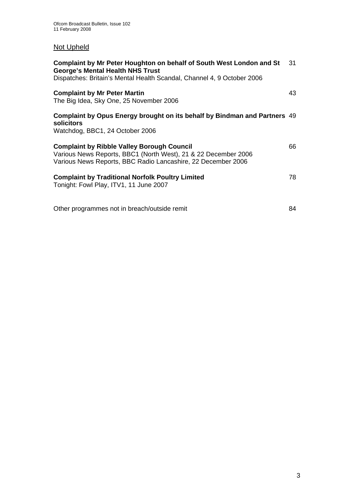## Not Upheld

| Complaint by Mr Peter Houghton on behalf of South West London and St<br><b>George's Mental Health NHS Trust</b><br>Dispatches: Britain's Mental Health Scandal, Channel 4, 9 October 2006 | 31 |
|-------------------------------------------------------------------------------------------------------------------------------------------------------------------------------------------|----|
| <b>Complaint by Mr Peter Martin</b><br>The Big Idea, Sky One, 25 November 2006                                                                                                            | 43 |
| Complaint by Opus Energy brought on its behalf by Bindman and Partners 49<br>solicitors<br>Watchdog, BBC1, 24 October 2006                                                                |    |
| <b>Complaint by Ribble Valley Borough Council</b><br>Various News Reports, BBC1 (North West), 21 & 22 December 2006<br>Various News Reports, BBC Radio Lancashire, 22 December 2006       | 66 |
| <b>Complaint by Traditional Norfolk Poultry Limited</b><br>Tonight: Fowl Play, ITV1, 11 June 2007                                                                                         | 78 |
| Other programmes not in breach/outside remit                                                                                                                                              | 84 |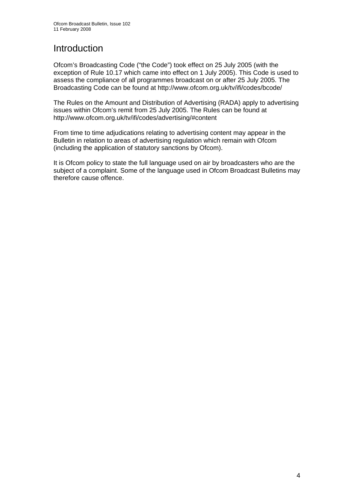# **Introduction**

Ofcom's Broadcasting Code ("the Code") took effect on 25 July 2005 (with the exception of Rule 10.17 which came into effect on 1 July 2005). This Code is used to assess the compliance of all programmes broadcast on or after 25 July 2005. The Broadcasting Code can be found at http://www.ofcom.org.uk/tv/ifi/codes/bcode/

The Rules on the Amount and Distribution of Advertising (RADA) apply to advertising issues within Ofcom's remit from 25 July 2005. The Rules can be found at http://www.ofcom.org.uk/tv/ifi/codes/advertising/#content

From time to time adjudications relating to advertising content may appear in the Bulletin in relation to areas of advertising regulation which remain with Ofcom (including the application of statutory sanctions by Ofcom).

It is Ofcom policy to state the full language used on air by broadcasters who are the subject of a complaint. Some of the language used in Ofcom Broadcast Bulletins may therefore cause offence.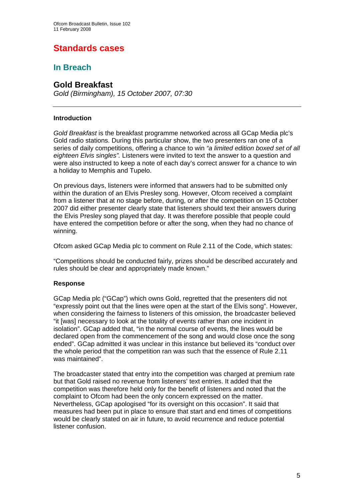# **Standards cases**

## **In Breach**

## **Gold Breakfast**

*Gold (Birmingham), 15 October 2007, 07:30* 

## **Introduction**

*Gold Breakfast* is the breakfast programme networked across all GCap Media plc's Gold radio stations. During this particular show, the two presenters ran one of a series of daily competitions, offering a chance to win *"a limited edition boxed set of all eighteen Elvis singles".* Listeners were invited to text the answer to a question and were also instructed to keep a note of each day's correct answer for a chance to win a holiday to Memphis and Tupelo.

On previous days, listeners were informed that answers had to be submitted only within the duration of an Elvis Presley song. However, Ofcom received a complaint from a listener that at no stage before, during, or after the competition on 15 October 2007 did either presenter clearly state that listeners should text their answers during the Elvis Presley song played that day. It was therefore possible that people could have entered the competition before or after the song, when they had no chance of winning.

Ofcom asked GCap Media plc to comment on Rule 2.11 of the Code, which states:

"Competitions should be conducted fairly, prizes should be described accurately and rules should be clear and appropriately made known."

## **Response**

GCap Media plc ("GCap") which owns Gold, regretted that the presenters did not "expressly point out that the lines were open at the start of the Elvis song". However, when considering the fairness to listeners of this omission, the broadcaster believed "it [was] necessary to look at the totality of events rather than one incident in isolation". GCap added that, "in the normal course of events, the lines would be declared open from the commencement of the song and would close once the song ended". GCap admitted it was unclear in this instance but believed its "conduct over the whole period that the competition ran was such that the essence of Rule 2.11 was maintained".

The broadcaster stated that entry into the competition was charged at premium rate but that Gold raised no revenue from listeners' text entries. It added that the competition was therefore held only for the benefit of listeners and noted that the complaint to Ofcom had been the only concern expressed on the matter. Nevertheless, GCap apologised "for its oversight on this occasion". It said that measures had been put in place to ensure that start and end times of competitions would be clearly stated on air in future, to avoid recurrence and reduce potential listener confusion.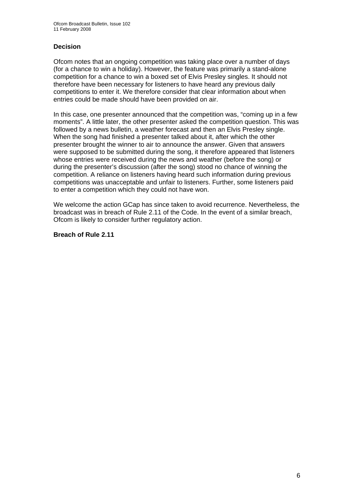## **Decision**

Ofcom notes that an ongoing competition was taking place over a number of days (for a chance to win a holiday). However, the feature was primarily a stand-alone competition for a chance to win a boxed set of Elvis Presley singles. It should not therefore have been necessary for listeners to have heard any previous daily competitions to enter it. We therefore consider that clear information about when entries could be made should have been provided on air.

In this case, one presenter announced that the competition was, "coming up in a few moments". A little later, the other presenter asked the competition question. This was followed by a news bulletin, a weather forecast and then an Elvis Presley single. When the song had finished a presenter talked about it, after which the other presenter brought the winner to air to announce the answer. Given that answers were supposed to be submitted during the song, it therefore appeared that listeners whose entries were received during the news and weather (before the song) or during the presenter's discussion (after the song) stood no chance of winning the competition. A reliance on listeners having heard such information during previous competitions was unacceptable and unfair to listeners. Further, some listeners paid to enter a competition which they could not have won.

We welcome the action GCap has since taken to avoid recurrence. Nevertheless, the broadcast was in breach of Rule 2.11 of the Code. In the event of a similar breach, Ofcom is likely to consider further regulatory action.

#### **Breach of Rule 2.11**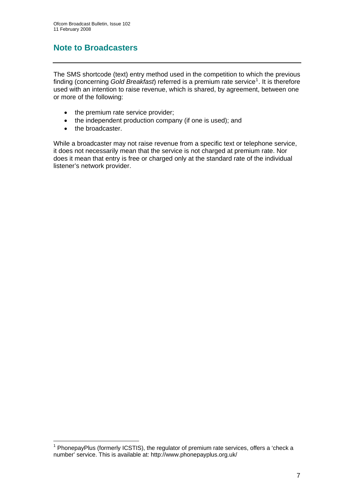## **Note to Broadcasters**

The SMS shortcode (text) entry method used in the competition to which the previous finding (concerning Gold Breakfast) referred is a premium rate service<sup>[1](#page-6-0)</sup>. It is therefore used with an intention to raise revenue, which is shared, by agreement, between one or more of the following:

- the premium rate service provider;
- the independent production company (if one is used); and
- the broadcaster.

1

While a broadcaster may not raise revenue from a specific text or telephone service, it does not necessarily mean that the service is not charged at premium rate. Nor does it mean that entry is free or charged only at the standard rate of the individual listener's network provider.

<span id="page-6-0"></span> $1$  PhonepayPlus (formerly ICSTIS), the regulator of premium rate services, offers a 'check a number' service. This is available at: http://www.phonepayplus.org.uk/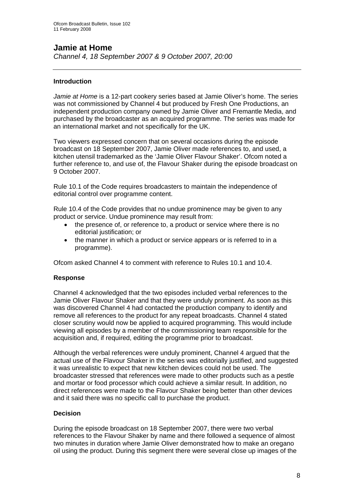## **Jamie at Home**

*Channel 4, 18 September 2007 & 9 October 2007, 20:00* 

## **Introduction**

*Jamie at Home* is a 12-part cookery series based at Jamie Oliver's home. The series was not commissioned by Channel 4 but produced by Fresh One Productions, an independent production company owned by Jamie Oliver and Fremantle Media, and purchased by the broadcaster as an acquired programme. The series was made for an international market and not specifically for the UK.

Two viewers expressed concern that on several occasions during the episode broadcast on 18 September 2007, Jamie Oliver made references to, and used, a kitchen utensil trademarked as the 'Jamie Oliver Flavour Shaker'. Ofcom noted a further reference to, and use of, the Flavour Shaker during the episode broadcast on 9 October 2007.

Rule 10.1 of the Code requires broadcasters to maintain the independence of editorial control over programme content.

Rule 10.4 of the Code provides that no undue prominence may be given to any product or service. Undue prominence may result from:

- the presence of, or reference to, a product or service where there is no editorial justification; or
- the manner in which a product or service appears or is referred to in a programme).

Ofcom asked Channel 4 to comment with reference to Rules 10.1 and 10.4.

## **Response**

Channel 4 acknowledged that the two episodes included verbal references to the Jamie Oliver Flavour Shaker and that they were unduly prominent. As soon as this was discovered Channel 4 had contacted the production company to identify and remove all references to the product for any repeat broadcasts. Channel 4 stated closer scrutiny would now be applied to acquired programming. This would include viewing all episodes by a member of the commissioning team responsible for the acquisition and, if required, editing the programme prior to broadcast.

Although the verbal references were unduly prominent, Channel 4 argued that the actual use of the Flavour Shaker in the series was editorially justified, and suggested it was unrealistic to expect that new kitchen devices could not be used. The broadcaster stressed that references were made to other products such as a pestle and mortar or food processor which could achieve a similar result. In addition, no direct references were made to the Flavour Shaker being better than other devices and it said there was no specific call to purchase the product.

## **Decision**

During the episode broadcast on 18 September 2007, there were two verbal references to the Flavour Shaker by name and there followed a sequence of almost two minutes in duration where Jamie Oliver demonstrated how to make an oregano oil using the product. During this segment there were several close up images of the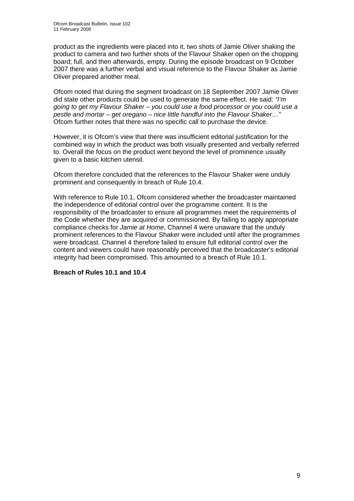product as the ingredients were placed into it, two shots of Jamie Oliver shaking the product to camera and two further shots of the Flavour Shaker open on the chopping board; full, and then afterwards, empty. During the episode broadcast on 9 October 2007 there was a further verbal and visual reference to the Flavour Shaker as Jamie Oliver prepared another meal.

Ofcom noted that during the segment broadcast on 18 September 2007 Jamie Oliver did state other products could be used to generate the same effect. He said: *"I'm going to get my Flavour Shaker – you could use a food processor or you could use a pestle and mortar – get oregano – nice little handful into the Flavour Shaker…"*  Ofcom further notes that there was no specific call to purchase the device.

However, it is Ofcom's view that there was insufficient editorial justification for the combined way in which the product was both visually presented and verbally referred to. Overall the focus on the product went beyond the level of prominence usually given to a basic kitchen utensil.

Ofcom therefore concluded that the references to the Flavour Shaker were unduly prominent and consequently in breach of Rule 10.4.

With reference to Rule 10.1, Ofcom considered whether the broadcaster maintained the independence of editorial control over the programme content. It is the responsibility of the broadcaster to ensure all programmes meet the requirements of the Code whether they are acquired or commissioned. By failing to apply appropriate compliance checks for *Jamie at Home*, Channel 4 were unaware that the unduly prominent references to the Flavour Shaker were included until after the programmes were broadcast. Channel 4 therefore failed to ensure full editorial control over the content and viewers could have reasonably perceived that the broadcaster's editorial integrity had been compromised. This amounted to a breach of Rule 10.1.

#### **Breach of Rules 10.1 and 10.4**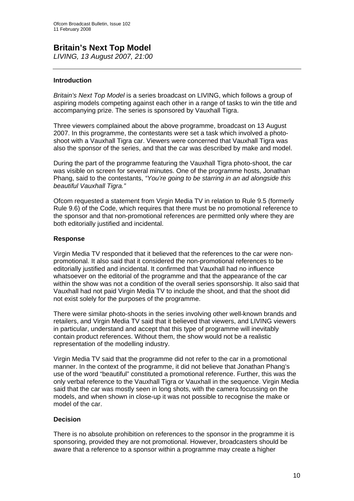## **Britain's Next Top Model**  *LIVING, 13 August 2007, 21:00*

## **Introduction**

*Britain's Next Top Model* is a series broadcast on LIVING, which follows a group of aspiring models competing against each other in a range of tasks to win the title and accompanying prize. The series is sponsored by Vauxhall Tigra.

Three viewers complained about the above programme, broadcast on 13 August 2007. In this programme, the contestants were set a task which involved a photoshoot with a Vauxhall Tigra car. Viewers were concerned that Vauxhall Tigra was also the sponsor of the series, and that the car was described by make and model.

During the part of the programme featuring the Vauxhall Tigra photo-shoot, the car was visible on screen for several minutes. One of the programme hosts, Jonathan Phang, said to the contestants, *"You're going to be starring in an ad alongside this beautiful Vauxhall Tigra."*

Ofcom requested a statement from Virgin Media TV in relation to Rule 9.5 (formerly Rule 9.6) of the Code, which requires that there must be no promotional reference to the sponsor and that non-promotional references are permitted only where they are both editorially justified and incidental.

#### **Response**

Virgin Media TV responded that it believed that the references to the car were nonpromotional. It also said that it considered the non-promotional references to be editorially justified and incidental. It confirmed that Vauxhall had no influence whatsoever on the editorial of the programme and that the appearance of the car within the show was not a condition of the overall series sponsorship. It also said that Vauxhall had not paid Virgin Media TV to include the shoot, and that the shoot did not exist solely for the purposes of the programme.

There were similar photo-shoots in the series involving other well-known brands and retailers, and Virgin Media TV said that it believed that viewers, and LIVING viewers in particular, understand and accept that this type of programme will inevitably contain product references. Without them, the show would not be a realistic representation of the modelling industry.

Virgin Media TV said that the programme did not refer to the car in a promotional manner. In the context of the programme, it did not believe that Jonathan Phang's use of the word "beautiful" constituted a promotional reference. Further, this was the only verbal reference to the Vauxhall Tigra or Vauxhall in the sequence. Virgin Media said that the car was mostly seen in long shots, with the camera focussing on the models, and when shown in close-up it was not possible to recognise the make or model of the car.

#### **Decision**

There is no absolute prohibition on references to the sponsor in the programme it is sponsoring, provided they are not promotional. However, broadcasters should be aware that a reference to a sponsor within a programme may create a higher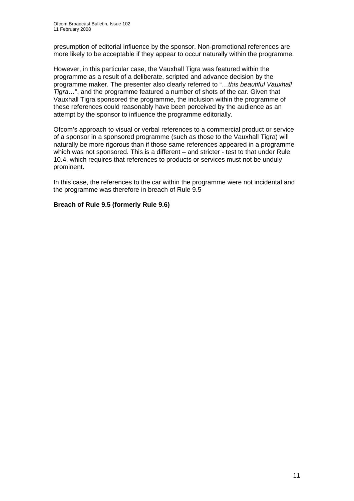presumption of editorial influence by the sponsor. Non-promotional references are more likely to be acceptable if they appear to occur naturally within the programme.

However, in this particular case, the Vauxhall Tigra was featured within the programme as a result of a deliberate, scripted and advance decision by the programme maker. The presenter also clearly referred to "…*this beautiful Vauxhall Tigra…*", and the programme featured a number of shots of the car. Given that Vauxhall Tigra sponsored the programme, the inclusion within the programme of these references could reasonably have been perceived by the audience as an attempt by the sponsor to influence the programme editorially.

Ofcom's approach to visual or verbal references to a commercial product or service of a sponsor in a sponsored programme (such as those to the Vauxhall Tigra) will naturally be more rigorous than if those same references appeared in a programme which was not sponsored. This is a different – and stricter - test to that under Rule 10.4, which requires that references to products or services must not be unduly prominent.

In this case, the references to the car within the programme were not incidental and the programme was therefore in breach of Rule 9.5

## **Breach of Rule 9.5 (formerly Rule 9.6)**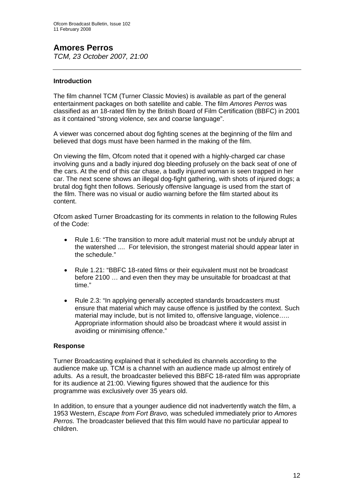## **Amores Perros**

*TCM, 23 October 2007, 21:00* 

## **Introduction**

The film channel TCM (Turner Classic Movies) is available as part of the general entertainment packages on both satellite and cable. The film *Amores Perros* was classified as an 18-rated film by the British Board of Film Certification (BBFC) in 2001 as it contained "strong violence, sex and coarse language".

A viewer was concerned about dog fighting scenes at the beginning of the film and believed that dogs must have been harmed in the making of the film.

On viewing the film, Ofcom noted that it opened with a highly-charged car chase involving guns and a badly injured dog bleeding profusely on the back seat of one of the cars. At the end of this car chase, a badly injured woman is seen trapped in her car. The next scene shows an illegal dog-fight gathering, with shots of injured dogs; a brutal dog fight then follows. Seriously offensive language is used from the start of the film. There was no visual or audio warning before the film started about its content.

Ofcom asked Turner Broadcasting for its comments in relation to the following Rules of the Code:

- Rule 1.6: "The transition to more adult material must not be unduly abrupt at the watershed .... For television, the strongest material should appear later in the schedule."
- Rule 1.21: "BBFC 18-rated films or their equivalent must not be broadcast before 2100 … and even then they may be unsuitable for broadcast at that time."
- Rule 2.3: "In applying generally accepted standards broadcasters must ensure that material which may cause offence is justified by the context. Such material may include, but is not limited to, offensive language, violence….. Appropriate information should also be broadcast where it would assist in avoiding or minimising offence."

## **Response**

Turner Broadcasting explained that it scheduled its channels according to the audience make up. TCM is a channel with an audience made up almost entirely of adults. As a result, the broadcaster believed this BBFC 18-rated film was appropriate for its audience at 21:00. Viewing figures showed that the audience for this programme was exclusively over 35 years old.

In addition, to ensure that a younger audience did not inadvertently watch the film, a 1953 Western, *Escape from Fort Bravo,* was scheduled immediately prior to *Amores Perros.* The broadcaster believed that this film would have no particular appeal to children.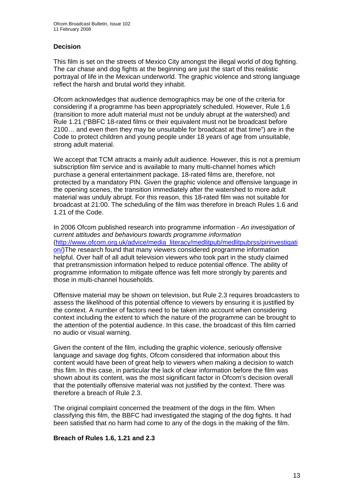## **Decision**

This film is set on the streets of Mexico City amongst the illegal world of dog fighting. The car chase and dog fights at the beginning are just the start of this realistic portrayal of life in the Mexican underworld. The graphic violence and strong language reflect the harsh and brutal world they inhabit.

Ofcom acknowledges that audience demographics may be one of the criteria for considering if a programme has been appropriately scheduled. However, Rule 1.6 (transition to more adult material must not be unduly abrupt at the watershed) and Rule 1.21 ("BBFC 18-rated films or their equivalent must not be broadcast before 2100… and even then they may be unsuitable for broadcast at that time") are in the Code to protect children and young people under 18 years of age from unsuitable, strong adult material.

We accept that TCM attracts a mainly adult audience. However, this is not a premium subscription film service and is available to many multi-channel homes which purchase a general entertainment package. 18-rated films are, therefore, not protected by a mandatory PIN. Given the graphic violence and offensive language in the opening scenes, the transition immediately after the watershed to more adult material was unduly abrupt. For this reason, this 18-rated film was not suitable for broadcast at 21:00. The scheduling of the film was therefore in breach Rules 1.6 and 1.21 of the Code.

In 2006 Ofcom published research into programme information - *An investigation of current attitudes and behaviours towards programme information*  ([http://www.ofcom.org.uk/advice/media\\_literacy/medlitpub/medlitpubrss/pirinvestigati](http://www.ofcom.org.uk/advice/media_literacy/medlitpub/medlitpubrss/pirinvestigation/) [on/](http://www.ofcom.org.uk/advice/media_literacy/medlitpub/medlitpubrss/pirinvestigation/))The research found that many viewers considered programme information helpful. Over half of all adult television viewers who took part in the study claimed that pretransmission information helped to reduce potential offence. The ability of programme information to mitigate offence was felt more strongly by parents and those in multi-channel households.

Offensive material may be shown on television, but Rule 2.3 requires broadcasters to assess the likelihood of this potential offence to viewers by ensuring it is justified by the context. A number of factors need to be taken into account when considering context including the extent to which the nature of the programme can be brought to the attention of the potential audience. In this case, the broadcast of this film carried no audio or visual warning.

Given the content of the film, including the graphic violence, seriously offensive language and savage dog fights, Ofcom considered that information about this content would have been of great help to viewers when making a decision to watch this film. In this case, in particular the lack of clear information before the film was shown about its content, was the most significant factor in Ofcom's decision overall that the potentially offensive material was not justified by the context. There was therefore a breach of Rule 2.3.

The original complaint concerned the treatment of the dogs in the film. When classifying this film, the BBFC had investigated the staging of the dog fights. It had been satisfied that no harm had come to any of the dogs in the making of the film.

#### **Breach of Rules 1.6, 1.21 and 2.3**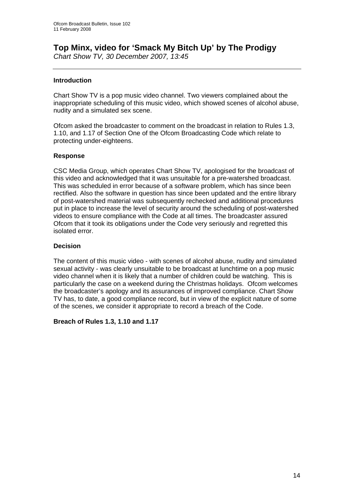## **Top Minx, video for 'Smack My Bitch Up' by The Prodigy**

*Chart Show TV, 30 December 2007, 13:45* 

## **Introduction**

Chart Show TV is a pop music video channel. Two viewers complained about the inappropriate scheduling of this music video, which showed scenes of alcohol abuse, nudity and a simulated sex scene.

Ofcom asked the broadcaster to comment on the broadcast in relation to Rules 1.3, 1.10, and 1.17 of Section One of the Ofcom Broadcasting Code which relate to protecting under-eighteens.

## **Response**

CSC Media Group, which operates Chart Show TV, apologised for the broadcast of this video and acknowledged that it was unsuitable for a pre-watershed broadcast. This was scheduled in error because of a software problem, which has since been rectified. Also the software in question has since been updated and the entire library of post-watershed material was subsequently rechecked and additional procedures put in place to increase the level of security around the scheduling of post-watershed videos to ensure compliance with the Code at all times. The broadcaster assured Ofcom that it took its obligations under the Code very seriously and regretted this isolated error.

## **Decision**

The content of this music video - with scenes of alcohol abuse, nudity and simulated sexual activity - was clearly unsuitable to be broadcast at lunchtime on a pop music video channel when it is likely that a number of children could be watching. This is particularly the case on a weekend during the Christmas holidays. Ofcom welcomes the broadcaster's apology and its assurances of improved compliance. Chart Show TV has, to date, a good compliance record, but in view of the explicit nature of some of the scenes, we consider it appropriate to record a breach of the Code.

## **Breach of Rules 1.3, 1.10 and 1.17**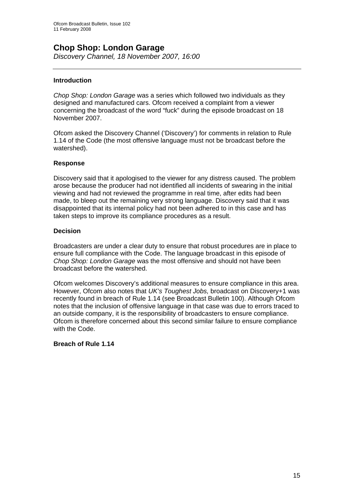# **Chop Shop: London Garage**

*Discovery Channel, 18 November 2007, 16:00* 

## **Introduction**

*Chop Shop: London Garage* was a series which followed two individuals as they designed and manufactured cars. Ofcom received a complaint from a viewer concerning the broadcast of the word "fuck" during the episode broadcast on 18 November 2007.

Ofcom asked the Discovery Channel ('Discovery') for comments in relation to Rule 1.14 of the Code (the most offensive language must not be broadcast before the watershed).

#### **Response**

Discovery said that it apologised to the viewer for any distress caused. The problem arose because the producer had not identified all incidents of swearing in the initial viewing and had not reviewed the programme in real time, after edits had been made, to bleep out the remaining very strong language. Discovery said that it was disappointed that its internal policy had not been adhered to in this case and has taken steps to improve its compliance procedures as a result.

### **Decision**

Broadcasters are under a clear duty to ensure that robust procedures are in place to ensure full compliance with the Code. The language broadcast in this episode of *Chop Shop: London Garage* was the most offensive and should not have been broadcast before the watershed.

Ofcom welcomes Discovery's additional measures to ensure compliance in this area. However, Ofcom also notes that *UK's Toughest Jobs,* broadcast on Discovery+1 was recently found in breach of Rule 1.14 (see Broadcast Bulletin 100). Although Ofcom notes that the inclusion of offensive language in that case was due to errors traced to an outside company, it is the responsibility of broadcasters to ensure compliance. Ofcom is therefore concerned about this second similar failure to ensure compliance with the Code.

## **Breach of Rule 1.14**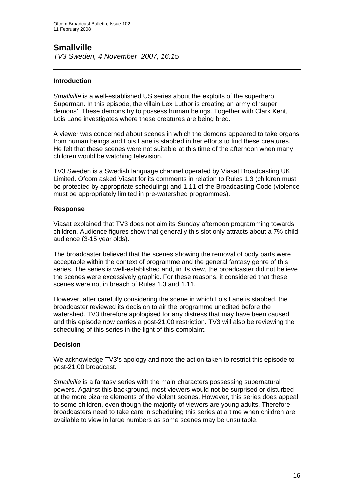## **Smallville**

*TV3 Sweden, 4 November 2007, 16:15* 

## **Introduction**

*Smallville* is a well-established US series about the exploits of the superhero Superman. In this episode, the villain Lex Luthor is creating an army of 'super demons'. These demons try to possess human beings. Together with Clark Kent, Lois Lane investigates where these creatures are being bred.

A viewer was concerned about scenes in which the demons appeared to take organs from human beings and Lois Lane is stabbed in her efforts to find these creatures. He felt that these scenes were not suitable at this time of the afternoon when many children would be watching television.

TV3 Sweden is a Swedish language channel operated by Viasat Broadcasting UK Limited. Ofcom asked Viasat for its comments in relation to Rules 1.3 (children must be protected by appropriate scheduling) and 1.11 of the Broadcasting Code (violence must be appropriately limited in pre-watershed programmes).

#### **Response**

Viasat explained that TV3 does not aim its Sunday afternoon programming towards children. Audience figures show that generally this slot only attracts about a 7% child audience (3-15 year olds).

The broadcaster believed that the scenes showing the removal of body parts were acceptable within the context of programme and the general fantasy genre of this series. The series is well-established and, in its view, the broadcaster did not believe the scenes were excessively graphic. For these reasons, it considered that these scenes were not in breach of Rules 1.3 and 1.11.

However, after carefully considering the scene in which Lois Lane is stabbed, the broadcaster reviewed its decision to air the programme unedited before the watershed. TV3 therefore apologised for any distress that may have been caused and this episode now carries a post-21:00 restriction. TV3 will also be reviewing the scheduling of this series in the light of this complaint.

## **Decision**

We acknowledge TV3's apology and note the action taken to restrict this episode to post-21:00 broadcast.

*Smallville* is a fantasy series with the main characters possessing supernatural powers. Against this background, most viewers would not be surprised or disturbed at the more bizarre elements of the violent scenes. However, this series does appeal to some children, even though the majority of viewers are young adults. Therefore, broadcasters need to take care in scheduling this series at a time when children are available to view in large numbers as some scenes may be unsuitable.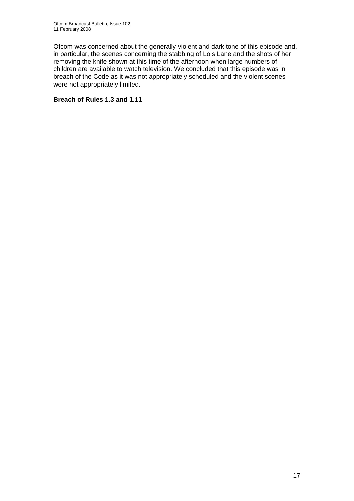Ofcom was concerned about the generally violent and dark tone of this episode and, in particular, the scenes concerning the stabbing of Lois Lane and the shots of her removing the knife shown at this time of the afternoon when large numbers of children are available to watch television. We concluded that this episode was in breach of the Code as it was not appropriately scheduled and the violent scenes were not appropriately limited.

## **Breach of Rules 1.3 and 1.11**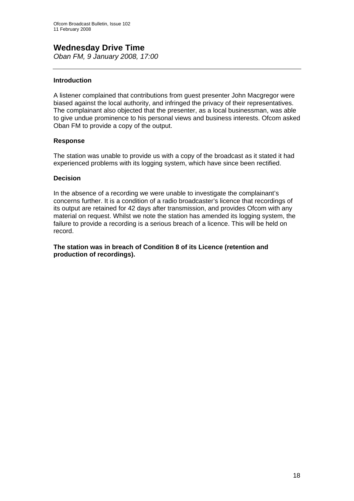## **Wednesday Drive Time**  *Oban FM, 9 January 2008, 17:00*

## **Introduction**

A listener complained that contributions from guest presenter John Macgregor were biased against the local authority, and infringed the privacy of their representatives. The complainant also objected that the presenter, as a local businessman, was able to give undue prominence to his personal views and business interests. Ofcom asked Oban FM to provide a copy of the output.

## **Response**

The station was unable to provide us with a copy of the broadcast as it stated it had experienced problems with its logging system, which have since been rectified.

#### **Decision**

In the absence of a recording we were unable to investigate the complainant's concerns further. It is a condition of a radio broadcaster's licence that recordings of its output are retained for 42 days after transmission, and provides Ofcom with any material on request. Whilst we note the station has amended its logging system, the failure to provide a recording is a serious breach of a licence. This will be held on record.

## **The station was in breach of Condition 8 of its Licence (retention and production of recordings).**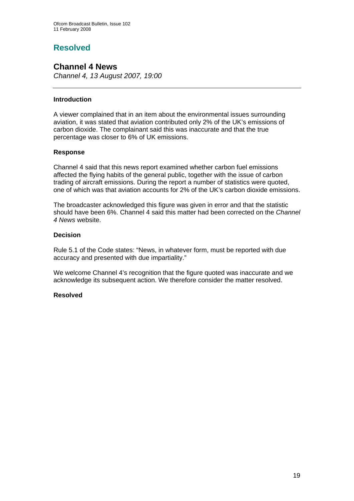## **Resolved**

## **Channel 4 News**

*Channel 4, 13 August 2007, 19:00* 

## **Introduction**

A viewer complained that in an item about the environmental issues surrounding aviation, it was stated that aviation contributed only 2% of the UK's emissions of carbon dioxide. The complainant said this was inaccurate and that the true percentage was closer to 6% of UK emissions.

## **Response**

Channel 4 said that this news report examined whether carbon fuel emissions affected the flying habits of the general public, together with the issue of carbon trading of aircraft emissions. During the report a number of statistics were quoted, one of which was that aviation accounts for 2% of the UK's carbon dioxide emissions.

The broadcaster acknowledged this figure was given in error and that the statistic should have been 6%. Channel 4 said this matter had been corrected on the *Channel 4 News* website.

## **Decision**

Rule 5.1 of the Code states: "News, in whatever form, must be reported with due accuracy and presented with due impartiality."

We welcome Channel 4's recognition that the figure quoted was inaccurate and we acknowledge its subsequent action. We therefore consider the matter resolved.

#### **Resolved**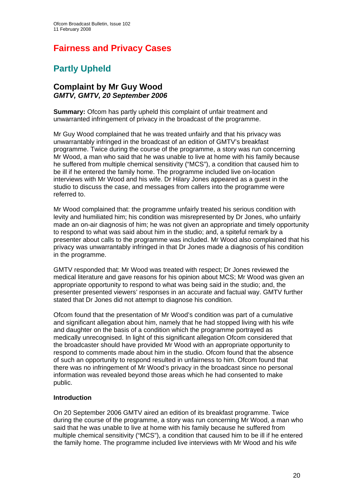## **Fairness and Privacy Cases**

# **Partly Upheld**

## **Complaint by Mr Guy Wood**  *GMTV, GMTV, 20 September 2006*

**Summary:** Ofcom has partly upheld this complaint of unfair treatment and unwarranted infringement of privacy in the broadcast of the programme.

Mr Guy Wood complained that he was treated unfairly and that his privacy was unwarrantably infringed in the broadcast of an edition of GMTV's breakfast programme. Twice during the course of the programme, a story was run concerning Mr Wood, a man who said that he was unable to live at home with his family because he suffered from multiple chemical sensitivity ("MCS"), a condition that caused him to be ill if he entered the family home. The programme included live on-location interviews with Mr Wood and his wife. Dr Hilary Jones appeared as a guest in the studio to discuss the case, and messages from callers into the programme were referred to.

Mr Wood complained that: the programme unfairly treated his serious condition with levity and humiliated him; his condition was misrepresented by Dr Jones, who unfairly made an on-air diagnosis of him; he was not given an appropriate and timely opportunity to respond to what was said about him in the studio; and, a spiteful remark by a presenter about calls to the programme was included. Mr Wood also complained that his privacy was unwarrantably infringed in that Dr Jones made a diagnosis of his condition in the programme.

GMTV responded that: Mr Wood was treated with respect; Dr Jones reviewed the medical literature and gave reasons for his opinion about MCS; Mr Wood was given an appropriate opportunity to respond to what was being said in the studio; and, the presenter presented viewers' responses in an accurate and factual way. GMTV further stated that Dr Jones did not attempt to diagnose his condition.

Ofcom found that the presentation of Mr Wood's condition was part of a cumulative and significant allegation about him, namely that he had stopped living with his wife and daughter on the basis of a condition which the programme portrayed as medically unrecognised. In light of this significant allegation Ofcom considered that the broadcaster should have provided Mr Wood with an appropriate opportunity to respond to comments made about him in the studio. Ofcom found that the absence of such an opportunity to respond resulted in unfairness to him. Ofcom found that there was no infringement of Mr Wood's privacy in the broadcast since no personal information was revealed beyond those areas which he had consented to make public.

## **Introduction**

On 20 September 2006 GMTV aired an edition of its breakfast programme. Twice during the course of the programme, a story was run concerning Mr Wood, a man who said that he was unable to live at home with his family because he suffered from multiple chemical sensitivity ("MCS"), a condition that caused him to be ill if he entered the family home. The programme included live interviews with Mr Wood and his wife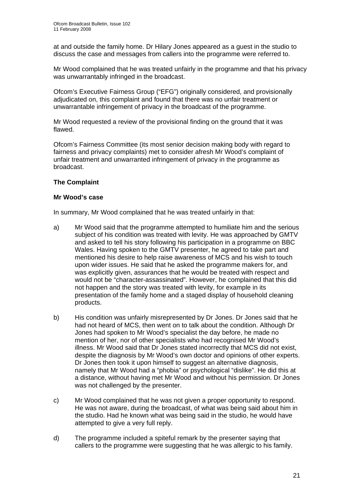at and outside the family home. Dr Hilary Jones appeared as a guest in the studio to discuss the case and messages from callers into the programme were referred to.

Mr Wood complained that he was treated unfairly in the programme and that his privacy was unwarrantably infringed in the broadcast.

Ofcom's Executive Fairness Group ("EFG") originally considered, and provisionally adjudicated on, this complaint and found that there was no unfair treatment or unwarrantable infringement of privacy in the broadcast of the programme.

Mr Wood requested a review of the provisional finding on the ground that it was flawed.

Ofcom's Fairness Committee (its most senior decision making body with regard to fairness and privacy complaints) met to consider afresh Mr Wood's complaint of unfair treatment and unwarranted infringement of privacy in the programme as broadcast.

## **The Complaint**

#### **Mr Wood's case**

In summary, Mr Wood complained that he was treated unfairly in that:

- a) Mr Wood said that the programme attempted to humiliate him and the serious subject of his condition was treated with levity. He was approached by GMTV and asked to tell his story following his participation in a programme on BBC Wales. Having spoken to the GMTV presenter, he agreed to take part and mentioned his desire to help raise awareness of MCS and his wish to touch upon wider issues. He said that he asked the programme makers for, and was explicitly given, assurances that he would be treated with respect and would not be "character-assassinated". However, he complained that this did not happen and the story was treated with levity, for example in its presentation of the family home and a staged display of household cleaning products.
- b) His condition was unfairly misrepresented by Dr Jones. Dr Jones said that he had not heard of MCS, then went on to talk about the condition. Although Dr Jones had spoken to Mr Wood's specialist the day before, he made no mention of her, nor of other specialists who had recognised Mr Wood's illness. Mr Wood said that Dr Jones stated incorrectly that MCS did not exist, despite the diagnosis by Mr Wood's own doctor and opinions of other experts. Dr Jones then took it upon himself to suggest an alternative diagnosis, namely that Mr Wood had a "phobia" or psychological "dislike". He did this at a distance, without having met Mr Wood and without his permission. Dr Jones was not challenged by the presenter.
- c) Mr Wood complained that he was not given a proper opportunity to respond. He was not aware, during the broadcast, of what was being said about him in the studio. Had he known what was being said in the studio, he would have attempted to give a very full reply.
- d) The programme included a spiteful remark by the presenter saying that callers to the programme were suggesting that he was allergic to his family.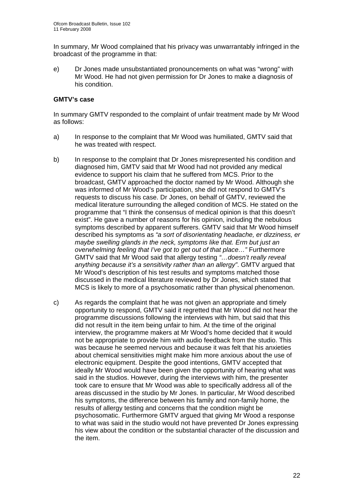In summary, Mr Wood complained that his privacy was unwarrantably infringed in the broadcast of the programme in that:

e) Dr Jones made unsubstantiated pronouncements on what was "wrong" with Mr Wood. He had not given permission for Dr Jones to make a diagnosis of his condition.

## **GMTV's case**

In summary GMTV responded to the complaint of unfair treatment made by Mr Wood as follows:

- a) In response to the complaint that Mr Wood was humiliated, GMTV said that he was treated with respect.
- b) In response to the complaint that Dr Jones misrepresented his condition and diagnosed him, GMTV said that Mr Wood had not provided any medical evidence to support his claim that he suffered from MCS. Prior to the broadcast, GMTV approached the doctor named by Mr Wood. Although she was informed of Mr Wood's participation, she did not respond to GMTV's requests to discuss his case. Dr Jones, on behalf of GMTV, reviewed the medical literature surrounding the alleged condition of MCS. He stated on the programme that "I think the consensus of medical opinion is that this doesn't exist". He gave a number of reasons for his opinion, including the nebulous symptoms described by apparent sufferers. GMTV said that Mr Wood himself described his symptoms as *"a sort of disorientating headache, er dizziness, er maybe swelling glands in the neck, symptoms like that. Erm but just an overwhelming feeling that I've got to get out of that place…"* Furthermore GMTV said that Mr Wood said that allergy testing *"…doesn't really reveal anything because it's a sensitivity rather than an allergy"*. GMTV argued that Mr Wood's description of his test results and symptoms matched those discussed in the medical literature reviewed by Dr Jones, which stated that MCS is likely to more of a psychosomatic rather than physical phenomenon.
- c) As regards the complaint that he was not given an appropriate and timely opportunity to respond, GMTV said it regretted that Mr Wood did not hear the programme discussions following the interviews with him, but said that this did not result in the item being unfair to him. At the time of the original interview, the programme makers at Mr Wood's home decided that it would not be appropriate to provide him with audio feedback from the studio. This was because he seemed nervous and because it was felt that his anxieties about chemical sensitivities might make him more anxious about the use of electronic equipment. Despite the good intentions, GMTV accepted that ideally Mr Wood would have been given the opportunity of hearing what was said in the studios. However, during the interviews with him, the presenter took care to ensure that Mr Wood was able to specifically address all of the areas discussed in the studio by Mr Jones. In particular, Mr Wood described his symptoms, the difference between his family and non-family home, the results of allergy testing and concerns that the condition might be psychosomatic. Furthermore GMTV argued that giving Mr Wood a response to what was said in the studio would not have prevented Dr Jones expressing his view about the condition or the substantial character of the discussion and the item.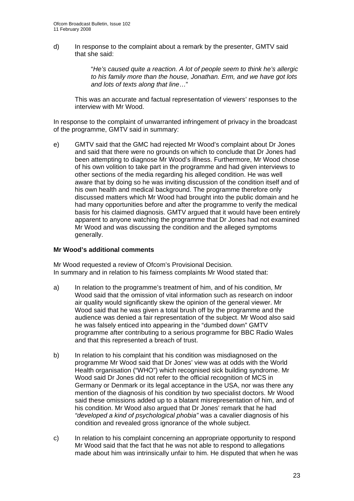d) In response to the complaint about a remark by the presenter, GMTV said that she said:

> "*He's caused quite a reaction. A lot of people seem to think he's allergic to his family more than the house, Jonathan. Erm, and we have got lots and lots of texts along that line*…"

 This was an accurate and factual representation of viewers' responses to the interview with Mr Wood.

In response to the complaint of unwarranted infringement of privacy in the broadcast of the programme, GMTV said in summary:

e) GMTV said that the GMC had rejected Mr Wood's complaint about Dr Jones and said that there were no grounds on which to conclude that Dr Jones had been attempting to diagnose Mr Wood's illness. Furthermore, Mr Wood chose of his own volition to take part in the programme and had given interviews to other sections of the media regarding his alleged condition. He was well aware that by doing so he was inviting discussion of the condition itself and of his own health and medical background. The programme therefore only discussed matters which Mr Wood had brought into the public domain and he had many opportunities before and after the programme to verify the medical basis for his claimed diagnosis. GMTV argued that it would have been entirely apparent to anyone watching the programme that Dr Jones had not examined Mr Wood and was discussing the condition and the alleged symptoms generally.

#### **Mr Wood's additional comments**

Mr Wood requested a review of Ofcom's Provisional Decision. In summary and in relation to his fairness complaints Mr Wood stated that:

- a) In relation to the programme's treatment of him, and of his condition, Mr Wood said that the omission of vital information such as research on indoor air quality would significantly skew the opinion of the general viewer. Mr Wood said that he was given a total brush off by the programme and the audience was denied a fair representation of the subject. Mr Wood also said he was falsely enticed into appearing in the "dumbed down" GMTV programme after contributing to a serious programme for BBC Radio Wales and that this represented a breach of trust.
- b) In relation to his complaint that his condition was misdiagnosed on the programme Mr Wood said that Dr Jones' view was at odds with the World Health organisation ("WHO") which recognised sick building syndrome. Mr Wood said Dr Jones did not refer to the official recognition of MCS in Germany or Denmark or its legal acceptance in the USA, nor was there any mention of the diagnosis of his condition by two specialist doctors. Mr Wood said these omissions added up to a blatant misrepresentation of him, and of his condition. Mr Wood also argued that Dr Jones' remark that he had *"developed a kind of psychological phobia"* was a cavalier diagnosis of his condition and revealed gross ignorance of the whole subject.
- c) In relation to his complaint concerning an appropriate opportunity to respond Mr Wood said that the fact that he was not able to respond to allegations made about him was intrinsically unfair to him. He disputed that when he was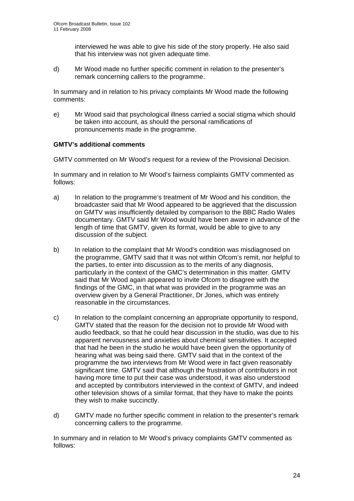interviewed he was able to give his side of the story properly. He also said that his interview was not given adequate time.

d) Mr Wood made no further specific comment in relation to the presenter's remark concerning callers to the programme.

In summary and in relation to his privacy complaints Mr Wood made the following comments:

e) Mr Wood said that psychological illness carried a social stigma which should be taken into account, as should the personal ramifications of pronouncements made in the programme.

## **GMTV's additional comments**

GMTV commented on Mr Wood's request for a review of the Provisional Decision.

In summary and in relation to Mr Wood's fairness complaints GMTV commented as follows:

- a) In relation to the programme's treatment of Mr Wood and his condition, the broadcaster said that Mr Wood appeared to be aggrieved that the discussion on GMTV was insufficiently detailed by comparison to the BBC Radio Wales documentary. GMTV said Mr Wood would have been aware in advance of the length of time that GMTV, given its format, would be able to give to any discussion of the subject.
- b) In relation to the complaint that Mr Wood's condition was misdiagnosed on the programme, GMTV said that it was not within Ofcom's remit, nor helpful to the parties, to enter into discussion as to the merits of any diagnosis, particularly in the context of the GMC's determination in this matter. GMTV said that Mr Wood again appeared to invite Ofcom to disagree with the findings of the GMC, in that what was provided in the programme was an overview given by a General Practitioner, Dr Jones, which was entirely reasonable in the circumstances.
- c) In relation to the complaint concerning an appropriate opportunity to respond, GMTV stated that the reason for the decision not to provide Mr Wood with audio feedback, so that he could hear discussion in the studio, was due to his apparent nervousness and anxieties about chemical sensitivities. It accepted that had he been in the studio he would have been given the opportunity of hearing what was being said there. GMTV said that in the context of the programme the two interviews from Mr Wood were in fact given reasonably significant time. GMTV said that although the frustration of contributors in not having more time to put their case was understood, it was also understood and accepted by contributors interviewed in the context of GMTV, and indeed other television shows of a similar format, that they have to make the points they wish to make succinctly.
- d) GMTV made no further specific comment in relation to the presenter's remark concerning callers to the programme.

In summary and in relation to Mr Wood's privacy complaints GMTV commented as follows: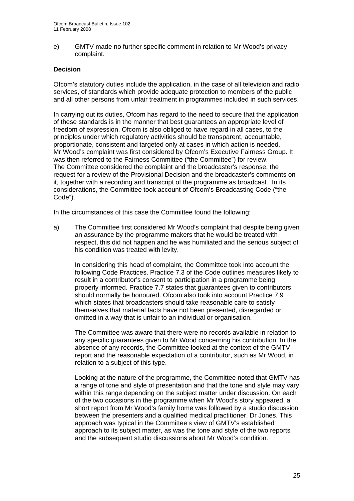e) GMTV made no further specific comment in relation to Mr Wood's privacy complaint.

## **Decision**

Ofcom's statutory duties include the application, in the case of all television and radio services, of standards which provide adequate protection to members of the public and all other persons from unfair treatment in programmes included in such services.

In carrying out its duties, Ofcom has regard to the need to secure that the application of these standards is in the manner that best guarantees an appropriate level of freedom of expression. Ofcom is also obliged to have regard in all cases, to the principles under which regulatory activities should be transparent, accountable, proportionate, consistent and targeted only at cases in which action is needed. Mr Wood's complaint was first considered by Ofcom's Executive Fairness Group. It was then referred to the Fairness Committee ("the Committee") for review. The Committee considered the complaint and the broadcaster's response, the request for a review of the Provisional Decision and the broadcaster's comments on it, together with a recording and transcript of the programme as broadcast. In its considerations, the Committee took account of Ofcom's Broadcasting Code ("the Code").

In the circumstances of this case the Committee found the following:

a) The Committee first considered Mr Wood's complaint that despite being given an assurance by the programme makers that he would be treated with respect, this did not happen and he was humiliated and the serious subject of his condition was treated with levity.

In considering this head of complaint, the Committee took into account the following Code Practices. Practice 7.3 of the Code outlines measures likely to result in a contributor's consent to participation in a programme being properly informed. Practice 7.7 states that guarantees given to contributors should normally be honoured. Ofcom also took into account Practice 7.9 which states that broadcasters should take reasonable care to satisfy themselves that material facts have not been presented, disregarded or omitted in a way that is unfair to an individual or organisation.

The Committee was aware that there were no records available in relation to any specific guarantees given to Mr Wood concerning his contribution. In the absence of any records, the Committee looked at the context of the GMTV report and the reasonable expectation of a contributor, such as Mr Wood, in relation to a subject of this type.

Looking at the nature of the programme, the Committee noted that GMTV has a range of tone and style of presentation and that the tone and style may vary within this range depending on the subject matter under discussion. On each of the two occasions in the programme when Mr Wood's story appeared, a short report from Mr Wood's family home was followed by a studio discussion between the presenters and a qualified medical practitioner, Dr Jones. This approach was typical in the Committee's view of GMTV's established approach to its subject matter, as was the tone and style of the two reports and the subsequent studio discussions about Mr Wood's condition.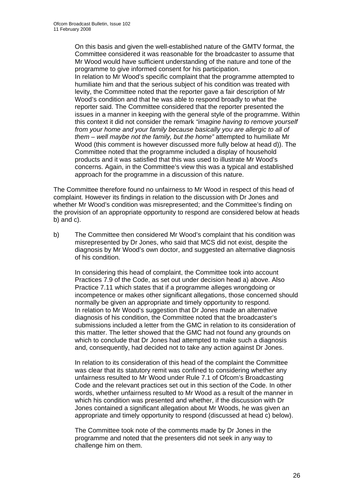On this basis and given the well-established nature of the GMTV format, the Committee considered it was reasonable for the broadcaster to assume that Mr Wood would have sufficient understanding of the nature and tone of the programme to give informed consent for his participation. In relation to Mr Wood's specific complaint that the programme attempted to humiliate him and that the serious subject of his condition was treated with levity, the Committee noted that the reporter gave a fair description of Mr Wood's condition and that he was able to respond broadly to what the reporter said. The Committee considered that the reporter presented the issues in a manner in keeping with the general style of the programme. Within this context it did not consider the remark *"imagine having to remove yourself from your home and your family because basically you are allergic to all of them – well maybe not the family, but the home"* attempted to humiliate Mr Wood (this comment is however discussed more fully below at head d)). The Committee noted that the programme included a display of household products and it was satisfied that this was used to illustrate Mr Wood's concerns. Again, in the Committee's view this was a typical and established approach for the programme in a discussion of this nature.

The Committee therefore found no unfairness to Mr Wood in respect of this head of complaint. However its findings in relation to the discussion with Dr Jones and whether Mr Wood's condition was misrepresented; and the Committee's finding on the provision of an appropriate opportunity to respond are considered below at heads b) and c).

b) The Committee then considered Mr Wood's complaint that his condition was misrepresented by Dr Jones, who said that MCS did not exist, despite the diagnosis by Mr Wood's own doctor, and suggested an alternative diagnosis of his condition.

In considering this head of complaint, the Committee took into account Practices 7.9 of the Code, as set out under decision head a) above. Also Practice 7.11 which states that if a programme alleges wrongdoing or incompetence or makes other significant allegations, those concerned should normally be given an appropriate and timely opportunity to respond. In relation to Mr Wood's suggestion that Dr Jones made an alternative diagnosis of his condition, the Committee noted that the broadcaster's submissions included a letter from the GMC in relation to its consideration of this matter. The letter showed that the GMC had not found any grounds on which to conclude that Dr Jones had attempted to make such a diagnosis and, consequently, had decided not to take any action against Dr Jones.

In relation to its consideration of this head of the complaint the Committee was clear that its statutory remit was confined to considering whether any unfairness resulted to Mr Wood under Rule 7.1 of Ofcom's Broadcasting Code and the relevant practices set out in this section of the Code. In other words, whether unfairness resulted to Mr Wood as a result of the manner in which his condition was presented and whether, if the discussion with Dr Jones contained a significant allegation about Mr Woods, he was given an appropriate and timely opportunity to respond (discussed at head c) below).

The Committee took note of the comments made by Dr Jones in the programme and noted that the presenters did not seek in any way to challenge him on them.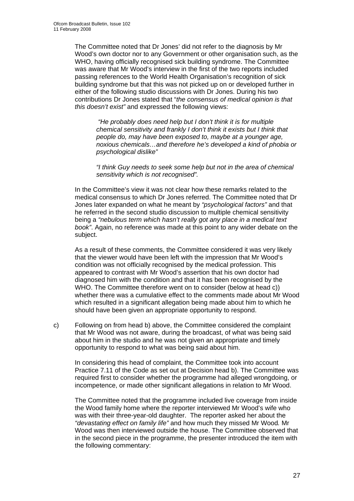The Committee noted that Dr Jones' did not refer to the diagnosis by Mr Wood's own doctor nor to any Government or other organisation such, as the WHO, having officially recognised sick building syndrome. The Committee was aware that Mr Wood's interview in the first of the two reports included passing references to the World Health Organisation's recognition of sick building syndrome but that this was not picked up on or developed further in either of the following studio discussions with Dr Jones. During his two contributions Dr Jones stated that "*the consensus of medical opinion is that this doesn't exist"* and expressed the following views:

 *"He probably does need help but I don't think it is for multiple chemical sensitivity and frankly I don't think it exists but I think that people do, may have been exposed to, maybe at a younger age, noxious chemicals…and therefore he's developed a kind of phobia or psychological dislike"* 

*"I think Guy needs to seek some help but not in the area of chemical sensitivity which is not recognised".* 

In the Committee's view it was not clear how these remarks related to the medical consensus to which Dr Jones referred. The Committee noted that Dr Jones later expanded on what he meant by *"psychological factors"* and that he referred in the second studio discussion to multiple chemical sensitivity being a *"nebulous term which hasn't really got any place in a medical text book"*. Again, no reference was made at this point to any wider debate on the subject.

As a result of these comments, the Committee considered it was very likely that the viewer would have been left with the impression that Mr Wood's condition was not officially recognised by the medical profession. This appeared to contrast with Mr Wood's assertion that his own doctor had diagnosed him with the condition and that it has been recognised by the WHO. The Committee therefore went on to consider (below at head c)) whether there was a cumulative effect to the comments made about Mr Wood which resulted in a significant allegation being made about him to which he should have been given an appropriate opportunity to respond.

c) Following on from head b) above, the Committee considered the complaint that Mr Wood was not aware, during the broadcast, of what was being said about him in the studio and he was not given an appropriate and timely opportunity to respond to what was being said about him.

In considering this head of complaint, the Committee took into account Practice 7.11 of the Code as set out at Decision head b). The Committee was required first to consider whether the programme had alleged wrongdoing, or incompetence, or made other significant allegations in relation to Mr Wood.

The Committee noted that the programme included live coverage from inside the Wood family home where the reporter interviewed Mr Wood's wife who was with their three-year-old daughter. The reporter asked her about the *"devastating effect on family life"* and how much they missed Mr Wood*.* Mr Wood was then interviewed outside the house. The Committee observed that in the second piece in the programme, the presenter introduced the item with the following commentary: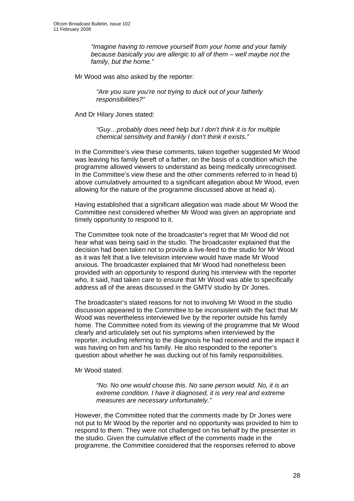*"Imagine having to remove yourself from your home and your family because basically you are allergic to all of them – well maybe not the family, but the home."* 

Mr Wood was also asked by the reporter:

*"Are you sure you're not trying to duck out of your fatherly responsibilities?"* 

And Dr Hilary Jones stated:

 *"Guy…probably does need help but I don't think it is for multiple chemical sensitivity and frankly I don't think it exists."* 

In the Committee's view these comments, taken together suggested Mr Wood was leaving his family bereft of a father, on the basis of a condition which the programme allowed viewers to understand as being medically unrecognised. In the Committee's view these and the other comments referred to in head b) above cumulatively amounted to a significant allegation about Mr Wood, even allowing for the nature of the programme discussed above at head a).

Having established that a significant allegation was made about Mr Wood the Committee next considered whether Mr Wood was given an appropriate and timely opportunity to respond to it.

The Committee took note of the broadcaster's regret that Mr Wood did not hear what was being said in the studio. The broadcaster explained that the decision had been taken not to provide a live-feed to the studio for Mr Wood as it was felt that a live television interview would have made Mr Wood anxious. The broadcaster explained that Mr Wood had nonetheless been provided with an opportunity to respond during his interview with the reporter who, it said, had taken care to ensure that Mr Wood was able to specifically address all of the areas discussed in the GMTV studio by Dr Jones.

The broadcaster's stated reasons for not to involving Mr Wood in the studio discussion appeared to the Committee to be inconsistent with the fact that Mr Wood was nevertheless interviewed live by the reporter outside his family home. The Committee noted from its viewing of the programme that Mr Wood clearly and articulately set out his symptoms when interviewed by the reporter, including referring to the diagnosis he had received and the impact it was having on him and his family. He also responded to the reporter's question about whether he was ducking out of his family responsibilities.

Mr Wood stated:

*"No. No one would choose this. No sane person would. No, it is an extreme condition. I have it diagnosed, it is very real and extreme measures are necessary unfortunately."* 

However, the Committee noted that the comments made by Dr Jones were not put to Mr Wood by the reporter and no opportunity was provided to him to respond to them. They were not challenged on his behalf by the presenter in the studio. Given the cumulative effect of the comments made in the programme, the Committee considered that the responses referred to above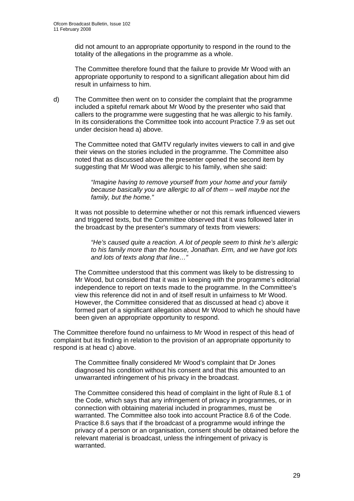did not amount to an appropriate opportunity to respond in the round to the totality of the allegations in the programme as a whole.

The Committee therefore found that the failure to provide Mr Wood with an appropriate opportunity to respond to a significant allegation about him did result in unfairness to him.

d) The Committee then went on to consider the complaint that the programme included a spiteful remark about Mr Wood by the presenter who said that callers to the programme were suggesting that he was allergic to his family. In its considerations the Committee took into account Practice 7.9 as set out under decision head a) above.

The Committee noted that GMTV regularly invites viewers to call in and give their views on the stories included in the programme. The Committee also noted that as discussed above the presenter opened the second item by suggesting that Mr Wood was allergic to his family, when she said:

*"Imagine having to remove yourself from your home and your family because basically you are allergic to all of them – well maybe not the family, but the home."* 

It was not possible to determine whether or not this remark influenced viewers and triggered texts, but the Committee observed that it was followed later in the broadcast by the presenter's summary of texts from viewers:

*"He's caused quite a reaction. A lot of people seem to think he's allergic to his family more than the house, Jonathan. Erm, and we have got lots and lots of texts along that line…"* 

The Committee understood that this comment was likely to be distressing to Mr Wood, but considered that it was in keeping with the programme's editorial independence to report on texts made to the programme. In the Committee's view this reference did not in and of itself result in unfairness to Mr Wood. However, the Committee considered that as discussed at head c) above it formed part of a significant allegation about Mr Wood to which he should have been given an appropriate opportunity to respond.

The Committee therefore found no unfairness to Mr Wood in respect of this head of complaint but its finding in relation to the provision of an appropriate opportunity to respond is at head c) above.

The Committee finally considered Mr Wood's complaint that Dr Jones diagnosed his condition without his consent and that this amounted to an unwarranted infringement of his privacy in the broadcast.

The Committee considered this head of complaint in the light of Rule 8.1 of the Code, which says that any infringement of privacy in programmes, or in connection with obtaining material included in programmes, must be warranted. The Committee also took into account Practice 8.6 of the Code. Practice 8.6 says that if the broadcast of a programme would infringe the privacy of a person or an organisation, consent should be obtained before the relevant material is broadcast, unless the infringement of privacy is warranted.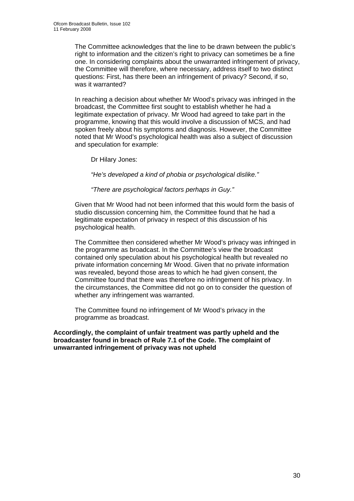The Committee acknowledges that the line to be drawn between the public's right to information and the citizen's right to privacy can sometimes be a fine one. In considering complaints about the unwarranted infringement of privacy, the Committee will therefore, where necessary, address itself to two distinct questions: First, has there been an infringement of privacy? Second, if so, was it warranted?

In reaching a decision about whether Mr Wood's privacy was infringed in the broadcast, the Committee first sought to establish whether he had a legitimate expectation of privacy. Mr Wood had agreed to take part in the programme, knowing that this would involve a discussion of MCS, and had spoken freely about his symptoms and diagnosis. However, the Committee noted that Mr Wood's psychological health was also a subject of discussion and speculation for example:

Dr Hilary Jones:

*"He's developed a kind of phobia or psychological dislike."* 

*"There are psychological factors perhaps in Guy."* 

Given that Mr Wood had not been informed that this would form the basis of studio discussion concerning him, the Committee found that he had a legitimate expectation of privacy in respect of this discussion of his psychological health.

The Committee then considered whether Mr Wood's privacy was infringed in the programme as broadcast. In the Committee's view the broadcast contained only speculation about his psychological health but revealed no private information concerning Mr Wood. Given that no private information was revealed, beyond those areas to which he had given consent, the Committee found that there was therefore no infringement of his privacy. In the circumstances, the Committee did not go on to consider the question of whether any infringement was warranted.

The Committee found no infringement of Mr Wood's privacy in the programme as broadcast.

**Accordingly, the complaint of unfair treatment was partly upheld and the broadcaster found in breach of Rule 7.1 of the Code. The complaint of unwarranted infringement of privacy was not upheld**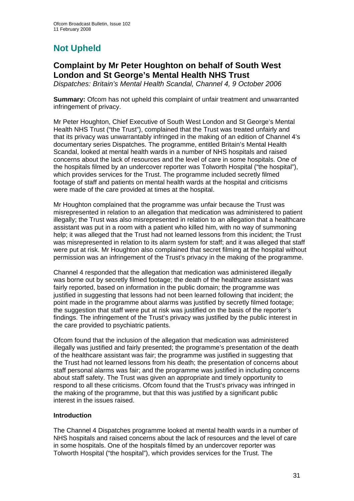# **Not Upheld**

## **Complaint by Mr Peter Houghton on behalf of South West London and St George's Mental Health NHS Trust**

*Dispatches: Britain's Mental Health Scandal, Channel 4, 9 October 2006* 

**Summary:** Ofcom has not upheld this complaint of unfair treatment and unwarranted infringement of privacy.

Mr Peter Houghton, Chief Executive of South West London and St George's Mental Health NHS Trust ("the Trust"), complained that the Trust was treated unfairly and that its privacy was unwarrantably infringed in the making of an edition of Channel 4's documentary series Dispatches. The programme, entitled Britain's Mental Health Scandal, looked at mental health wards in a number of NHS hospitals and raised concerns about the lack of resources and the level of care in some hospitals. One of the hospitals filmed by an undercover reporter was Tolworth Hospital ("the hospital"), which provides services for the Trust. The programme included secretly filmed footage of staff and patients on mental health wards at the hospital and criticisms were made of the care provided at times at the hospital.

Mr Houghton complained that the programme was unfair because the Trust was misrepresented in relation to an allegation that medication was administered to patient illegally; the Trust was also misrepresented in relation to an allegation that a healthcare assistant was put in a room with a patient who killed him, with no way of summoning help; it was alleged that the Trust had not learned lessons from this incident; the Trust was misrepresented in relation to its alarm system for staff; and it was alleged that staff were put at risk. Mr Houghton also complained that secret filming at the hospital without permission was an infringement of the Trust's privacy in the making of the programme.

Channel 4 responded that the allegation that medication was administered illegally was borne out by secretly filmed footage; the death of the healthcare assistant was fairly reported, based on information in the public domain; the programme was justified in suggesting that lessons had not been learned following that incident; the point made in the programme about alarms was justified by secretly filmed footage; the suggestion that staff were put at risk was justified on the basis of the reporter's findings. The infringement of the Trust's privacy was justified by the public interest in the care provided to psychiatric patients.

Ofcom found that the inclusion of the allegation that medication was administered illegally was justified and fairly presented; the programme's presentation of the death of the healthcare assistant was fair; the programme was justified in suggesting that the Trust had not learned lessons from his death; the presentation of concerns about staff personal alarms was fair; and the programme was justified in including concerns about staff safety. The Trust was given an appropriate and timely opportunity to respond to all these criticisms. Ofcom found that the Trust's privacy was infringed in the making of the programme, but that this was justified by a significant public interest in the issues raised.

## **Introduction**

The Channel 4 Dispatches programme looked at mental health wards in a number of NHS hospitals and raised concerns about the lack of resources and the level of care in some hospitals. One of the hospitals filmed by an undercover reporter was Tolworth Hospital ("the hospital"), which provides services for the Trust. The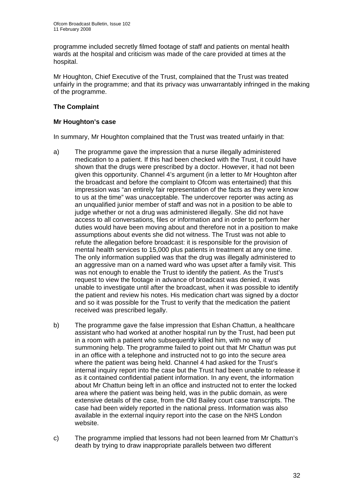programme included secretly filmed footage of staff and patients on mental health wards at the hospital and criticism was made of the care provided at times at the hospital.

Mr Houghton, Chief Executive of the Trust, complained that the Trust was treated unfairly in the programme; and that its privacy was unwarrantably infringed in the making of the programme.

## **The Complaint**

## **Mr Houghton's case**

In summary, Mr Houghton complained that the Trust was treated unfairly in that:

- a) The programme gave the impression that a nurse illegally administered medication to a patient. If this had been checked with the Trust, it could have shown that the drugs were prescribed by a doctor. However, it had not been given this opportunity. Channel 4's argument (in a letter to Mr Houghton after the broadcast and before the complaint to Ofcom was entertained) that this impression was "an entirely fair representation of the facts as they were know to us at the time" was unacceptable. The undercover reporter was acting as an unqualified junior member of staff and was not in a position to be able to judge whether or not a drug was administered illegally. She did not have access to all conversations, files or information and in order to perform her duties would have been moving about and therefore not in a position to make assumptions about events she did not witness. The Trust was not able to refute the allegation before broadcast: it is responsible for the provision of mental health services to 15,000 plus patients in treatment at any one time. The only information supplied was that the drug was illegally administered to an aggressive man on a named ward who was upset after a family visit. This was not enough to enable the Trust to identify the patient. As the Trust's request to view the footage in advance of broadcast was denied, it was unable to investigate until after the broadcast, when it was possible to identify the patient and review his notes. His medication chart was signed by a doctor and so it was possible for the Trust to verify that the medication the patient received was prescribed legally.
- b) The programme gave the false impression that Eshan Chattun, a healthcare assistant who had worked at another hospital run by the Trust, had been put in a room with a patient who subsequently killed him, with no way of summoning help. The programme failed to point out that Mr Chattun was put in an office with a telephone and instructed not to go into the secure area where the patient was being held. Channel 4 had asked for the Trust's internal inquiry report into the case but the Trust had been unable to release it as it contained confidential patient information. In any event, the information about Mr Chattun being left in an office and instructed not to enter the locked area where the patient was being held, was in the public domain, as were extensive details of the case, from the Old Bailey court case transcripts. The case had been widely reported in the national press. Information was also available in the external inquiry report into the case on the NHS London website.
- c) The programme implied that lessons had not been learned from Mr Chattun's death by trying to draw inappropriate parallels between two different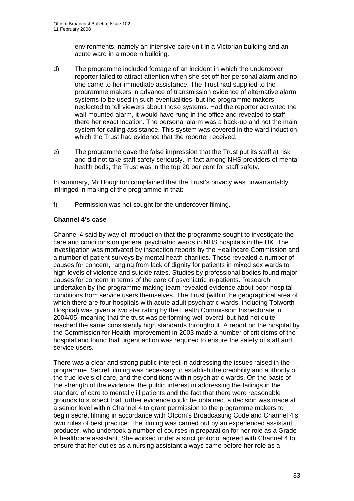environments, namely an intensive care unit in a Victorian building and an acute ward in a modern building.

- d) The programme included footage of an incident in which the undercover reporter failed to attract attention when she set off her personal alarm and no one came to her immediate assistance. The Trust had supplied to the programme makers in advance of transmission evidence of alternative alarm systems to be used in such eventualities, but the programme makers neglected to tell viewers about those systems. Had the reporter activated the wall-mounted alarm, it would have rung in the office and revealed to staff there her exact location. The personal alarm was a back-up and not the main system for calling assistance. This system was covered in the ward induction, which the Trust had evidence that the reporter received.
- e) The programme gave the false impression that the Trust put its staff at risk and did not take staff safety seriously. In fact among NHS providers of mental health beds, the Trust was in the top 20 per cent for staff safety.

In summary, Mr Houghton complained that the Trust's privacy was unwarrantably infringed in making of the programme in that:

f) Permission was not sought for the undercover filming.

## **Channel 4's case**

Channel 4 said by way of introduction that the programme sought to investigate the care and conditions on general psychiatric wards in NHS hospitals in the UK. The investigation was motivated by inspection reports by the Healthcare Commission and a number of patient surveys by mental heath charities. These revealed a number of causes for concern, ranging from lack of dignity for patients in mixed sex wards to high levels of violence and suicide rates. Studies by professional bodies found major causes for concern in terms of the care of psychiatric in-patients. Research undertaken by the programme making team revealed evidence about poor hospital conditions from service users themselves. The Trust (within the geographical area of which there are four hospitals with acute adult psychiatric wards, including Tolworth Hospital) was given a two star rating by the Health Commission Inspectorate in 2004/05, meaning that the trust was performing well overall but had not quite reached the same consistently high standards throughout. A report on the hospital by the Commission for Health Improvement in 2003 made a number of criticisms of the hospital and found that urgent action was required to ensure the safety of staff and service users.

There was a clear and strong public interest in addressing the issues raised in the programme. Secret filming was necessary to establish the credibility and authority of the true levels of care, and the conditions within psychiatric wards. On the basis of the strength of the evidence, the public interest in addressing the failings in the standard of care to mentally ill patients and the fact that there were reasonable grounds to suspect that further evidence could be obtained, a decision was made at a senior level within Channel 4 to grant permission to the programme makers to begin secret filming in accordance with Ofcom's Broadcasting Code and Channel 4's own rules of best practice. The filming was carried out by an experienced assistant producer, who undertook a number of courses in preparation for her role as a Grade A healthcare assistant. She worked under a strict protocol agreed with Channel 4 to ensure that her duties as a nursing assistant always came before her role as a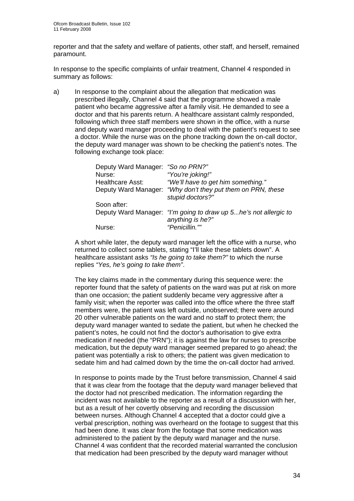reporter and that the safety and welfare of patients, other staff, and herself, remained paramount.

In response to the specific complaints of unfair treatment, Channel 4 responded in summary as follows:

a) In response to the complaint about the allegation that medication was prescribed illegally, Channel 4 said that the programme showed a male patient who became aggressive after a family visit. He demanded to see a doctor and that his parents return. A healthcare assistant calmly responded, following which three staff members were shown in the office, with a nurse and deputy ward manager proceeding to deal with the patient's request to see a doctor. While the nurse was on the phone tracking down the on-call doctor, the deputy ward manager was shown to be checking the patient's notes. The following exchange took place:

| Deputy Ward Manager: "So no PRN?" |                                                                                       |
|-----------------------------------|---------------------------------------------------------------------------------------|
| Nurse:                            | "You're joking!"                                                                      |
| <b>Healthcare Asst:</b>           | "We'll have to get him something."                                                    |
|                                   | Deputy Ward Manager: "Why don't they put them on PRN, these<br>stupid doctors?"       |
| Soon after:                       |                                                                                       |
|                                   | Deputy Ward Manager: "I'm going to draw up 5 he's not allergic to<br>anything is he?" |
| Nurse:                            | "Penicillin.""                                                                        |

A short while later, the deputy ward manager left the office with a nurse, who returned to collect some tablets, stating "I'll take these tablets down". A healthcare assistant asks *"Is he going to take them?"* to which the nurse replies *"Yes, he's going to take them"*.

The key claims made in the commentary during this sequence were: the reporter found that the safety of patients on the ward was put at risk on more than one occasion; the patient suddenly became very aggressive after a family visit; when the reporter was called into the office where the three staff members were, the patient was left outside, unobserved; there were around 20 other vulnerable patients on the ward and no staff to protect them; the deputy ward manager wanted to sedate the patient, but when he checked the patient's notes, he could not find the doctor's authorisation to give extra medication if needed (the "PRN"); it is against the law for nurses to prescribe medication, but the deputy ward manager seemed prepared to go ahead; the patient was potentially a risk to others; the patient was given medication to sedate him and had calmed down by the time the on-call doctor had arrived.

In response to points made by the Trust before transmission, Channel 4 said that it was clear from the footage that the deputy ward manager believed that the doctor had not prescribed medication. The information regarding the incident was not available to the reporter as a result of a discussion with her, but as a result of her covertly observing and recording the discussion between nurses. Although Channel 4 accepted that a doctor could give a verbal prescription, nothing was overheard on the footage to suggest that this had been done. It was clear from the footage that some medication was administered to the patient by the deputy ward manager and the nurse. Channel 4 was confident that the recorded material warranted the conclusion that medication had been prescribed by the deputy ward manager without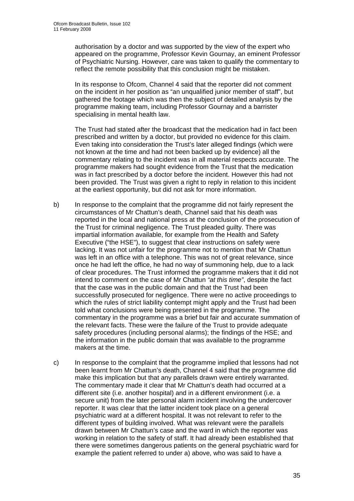authorisation by a doctor and was supported by the view of the expert who appeared on the programme, Professor Kevin Gournay, an eminent Professor of Psychiatric Nursing. However, care was taken to qualify the commentary to reflect the remote possibility that this conclusion might be mistaken.

In its response to Ofcom, Channel 4 said that the reporter did not comment on the incident in her position as "an unqualified junior member of staff", but gathered the footage which was then the subject of detailed analysis by the programme making team, including Professor Gournay and a barrister specialising in mental health law.

The Trust had stated after the broadcast that the medication had in fact been prescribed and written by a doctor, but provided no evidence for this claim. Even taking into consideration the Trust's later alleged findings (which were not known at the time and had not been backed up by evidence) all the commentary relating to the incident was in all material respects accurate. The programme makers had sought evidence from the Trust that the medication was in fact prescribed by a doctor before the incident. However this had not been provided. The Trust was given a right to reply in relation to this incident at the earliest opportunity, but did not ask for more information.

- b) In response to the complaint that the programme did not fairly represent the circumstances of Mr Chattun's death, Channel said that his death was reported in the local and national press at the conclusion of the prosecution of the Trust for criminal negligence. The Trust pleaded guilty. There was impartial information available, for example from the Health and Safety Executive ("the HSE"), to suggest that clear instructions on safety were lacking. It was not unfair for the programme not to mention that Mr Chattun was left in an office with a telephone. This was not of great relevance, since once he had left the office, he had no way of summoning help, due to a lack of clear procedures. The Trust informed the programme makers that it did not intend to comment on the case of Mr Chattun *"at this time"*, despite the fact that the case was in the public domain and that the Trust had been successfully prosecuted for negligence. There were no active proceedings to which the rules of strict liability contempt might apply and the Trust had been told what conclusions were being presented in the programme. The commentary in the programme was a brief but fair and accurate summation of the relevant facts. These were the failure of the Trust to provide adequate safety procedures (including personal alarms); the findings of the HSE; and the information in the public domain that was available to the programme makers at the time.
- c) In response to the complaint that the programme implied that lessons had not been learnt from Mr Chattun's death, Channel 4 said that the programme did make this implication but that any parallels drawn were entirely warranted. The commentary made it clear that Mr Chattun's death had occurred at a different site (i.e. another hospital) and in a different environment (i.e. a secure unit) from the later personal alarm incident involving the undercover reporter. It was clear that the latter incident took place on a general psychiatric ward at a different hospital. It was not relevant to refer to the different types of building involved. What was relevant were the parallels drawn between Mr Chattun's case and the ward in which the reporter was working in relation to the safety of staff. It had already been established that there were sometimes dangerous patients on the general psychiatric ward for example the patient referred to under a) above, who was said to have a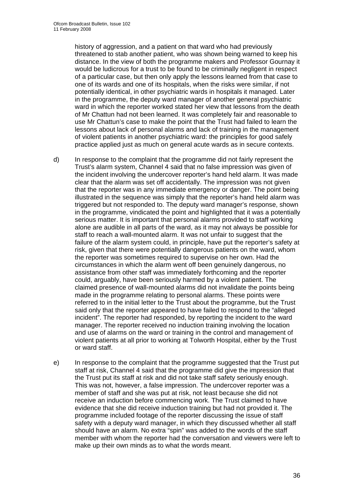history of aggression, and a patient on that ward who had previously threatened to stab another patient, who was shown being warned to keep his distance. In the view of both the programme makers and Professor Gournay it would be ludicrous for a trust to be found to be criminally negligent in respect of a particular case, but then only apply the lessons learned from that case to one of its wards and one of its hospitals, when the risks were similar, if not potentially identical, in other psychiatric wards in hospitals it managed. Later in the programme, the deputy ward manager of another general psychiatric ward in which the reporter worked stated her view that lessons from the death of Mr Chattun had not been learned. It was completely fair and reasonable to use Mr Chattun's case to make the point that the Trust had failed to learn the lessons about lack of personal alarms and lack of training in the management of violent patients in another psychiatric ward: the principles for good safely practice applied just as much on general acute wards as in secure contexts.

d) In response to the complaint that the programme did not fairly represent the Trust's alarm system, Channel 4 said that no false impression was given of the incident involving the undercover reporter's hand held alarm. It was made clear that the alarm was set off accidentally. The impression was not given that the reporter was in any immediate emergency or danger. The point being illustrated in the sequence was simply that the reporter's hand held alarm was triggered but not responded to. The deputy ward manager's response, shown in the programme, vindicated the point and highlighted that it was a potentially serious matter. It is important that personal alarms provided to staff working alone are audible in all parts of the ward, as it may not always be possible for staff to reach a wall-mounted alarm. It was not unfair to suggest that the failure of the alarm system could, in principle, have put the reporter's safety at risk, given that there were potentially dangerous patients on the ward, whom the reporter was sometimes required to supervise on her own. Had the circumstances in which the alarm went off been genuinely dangerous, no assistance from other staff was immediately forthcoming and the reporter could, arguably, have been seriously harmed by a violent patient. The claimed presence of wall-mounted alarms did not invalidate the points being made in the programme relating to personal alarms. These points were referred to in the initial letter to the Trust about the programme, but the Trust said only that the reporter appeared to have failed to respond to the "alleged incident". The reporter had responded, by reporting the incident to the ward manager. The reporter received no induction training involving the location and use of alarms on the ward or training in the control and management of violent patients at all prior to working at Tolworth Hospital, either by the Trust or ward staff.

e) In response to the complaint that the programme suggested that the Trust put staff at risk, Channel 4 said that the programme did give the impression that the Trust put its staff at risk and did not take staff safety seriously enough. This was not, however, a false impression. The undercover reporter was a member of staff and she was put at risk, not least because she did not receive an induction before commencing work. The Trust claimed to have evidence that she did receive induction training but had not provided it. The programme included footage of the reporter discussing the issue of staff safety with a deputy ward manager, in which they discussed whether all staff should have an alarm. No extra "spin" was added to the words of the staff member with whom the reporter had the conversation and viewers were left to make up their own minds as to what the words meant.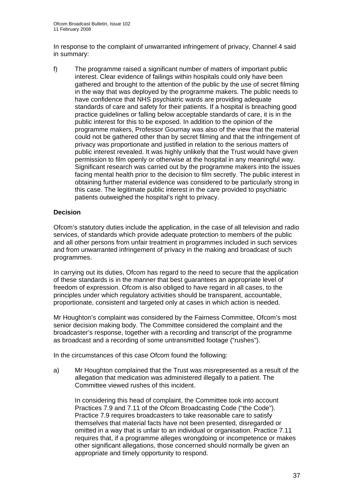In response to the complaint of unwarranted infringement of privacy, Channel 4 said in summary:

f) The programme raised a significant number of matters of important public interest. Clear evidence of failings within hospitals could only have been gathered and brought to the attention of the public by the use of secret filming in the way that was deployed by the programme makers. The public needs to have confidence that NHS psychiatric wards are providing adequate standards of care and safety for their patients. If a hospital is breaching good practice guidelines or falling below acceptable standards of care, it is in the public interest for this to be exposed. In addition to the opinion of the programme makers, Professor Gournay was also of the view that the material could not be gathered other than by secret filming and that the infringement of privacy was proportionate and justified in relation to the serious matters of public interest revealed. It was highly unlikely that the Trust would have given permission to film openly or otherwise at the hospital in any meaningful way. Significant research was carried out by the programme makers into the issues facing mental health prior to the decision to film secretly. The public interest in obtaining further material evidence was considered to be particularly strong in this case. The legitimate public interest in the care provided to psychiatric patients outweighed the hospital's right to privacy.

# **Decision**

Ofcom's statutory duties include the application, in the case of all television and radio services, of standards which provide adequate protection to members of the public and all other persons from unfair treatment in programmes included in such services and from unwarranted infringement of privacy in the making and broadcast of such programmes.

In carrying out its duties, Ofcom has regard to the need to secure that the application of these standards is in the manner that best guarantees an appropriate level of freedom of expression. Ofcom is also obliged to have regard in all cases, to the principles under which regulatory activities should be transparent, accountable, proportionate, consistent and targeted only at cases in which action is needed.

Mr Houghton's complaint was considered by the Fairness Committee, Ofcom's most senior decision making body. The Committee considered the complaint and the broadcaster's response, together with a recording and transcript of the programme as broadcast and a recording of some untransmitted footage ("rushes").

In the circumstances of this case Ofcom found the following:

a) Mr Houghton complained that the Trust was misrepresented as a result of the allegation that medication was administered illegally to a patient. The Committee viewed rushes of this incident.

In considering this head of complaint, the Committee took into account Practices 7.9 and 7.11 of the Ofcom Broadcasting Code ("the Code"). Practice 7.9 requires broadcasters to take reasonable care to satisfy themselves that material facts have not been presented, disregarded or omitted in a way that is unfair to an individual or organisation. Practice 7.11 requires that, if a programme alleges wrongdoing or incompetence or makes other significant allegations, those concerned should normally be given an appropriate and timely opportunity to respond.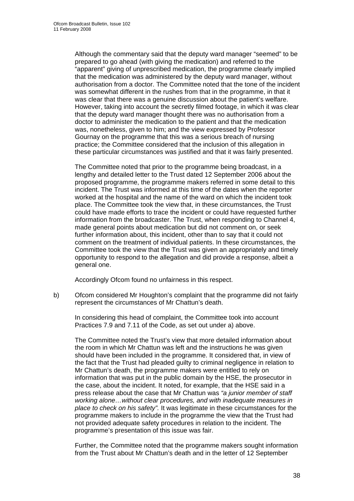Although the commentary said that the deputy ward manager "seemed" to be prepared to go ahead (with giving the medication) and referred to the "apparent" giving of unprescribed medication, the programme clearly implied that the medication was administered by the deputy ward manager, without authorisation from a doctor. The Committee noted that the tone of the incident was somewhat different in the rushes from that in the programme, in that it was clear that there was a genuine discussion about the patient's welfare. However, taking into account the secretly filmed footage, in which it was clear that the deputy ward manager thought there was no authorisation from a doctor to administer the medication to the patient and that the medication was, nonetheless, given to him; and the view expressed by Professor Gournay on the programme that this was a serious breach of nursing practice; the Committee considered that the inclusion of this allegation in these particular circumstances was justified and that it was fairly presented.

The Committee noted that prior to the programme being broadcast, in a lengthy and detailed letter to the Trust dated 12 September 2006 about the proposed programme, the programme makers referred in some detail to this incident. The Trust was informed at this time of the dates when the reporter worked at the hospital and the name of the ward on which the incident took place. The Committee took the view that, in these circumstances, the Trust could have made efforts to trace the incident or could have requested further information from the broadcaster. The Trust, when responding to Channel 4, made general points about medication but did not comment on, or seek further information about, this incident, other than to say that it could not comment on the treatment of individual patients. In these circumstances, the Committee took the view that the Trust was given an appropriately and timely opportunity to respond to the allegation and did provide a response, albeit a general one.

Accordingly Ofcom found no unfairness in this respect.

b) Ofcom considered Mr Houghton's complaint that the programme did not fairly represent the circumstances of Mr Chattun's death.

In considering this head of complaint, the Committee took into account Practices 7.9 and 7.11 of the Code, as set out under a) above.

The Committee noted the Trust's view that more detailed information about the room in which Mr Chattun was left and the instructions he was given should have been included in the programme. It considered that, in view of the fact that the Trust had pleaded guilty to criminal negligence in relation to Mr Chattun's death, the programme makers were entitled to rely on information that was put in the public domain by the HSE, the prosecutor in the case, about the incident. It noted, for example, that the HSE said in a press release about the case that Mr Chattun was *"a junior member of staff working alone…without clear procedures, and with inadequate measures in place to check on his safety".* It was legitimate in these circumstances for the programme makers to include in the programme the view that the Trust had not provided adequate safety procedures in relation to the incident. The programme's presentation of this issue was fair.

Further, the Committee noted that the programme makers sought information from the Trust about Mr Chattun's death and in the letter of 12 September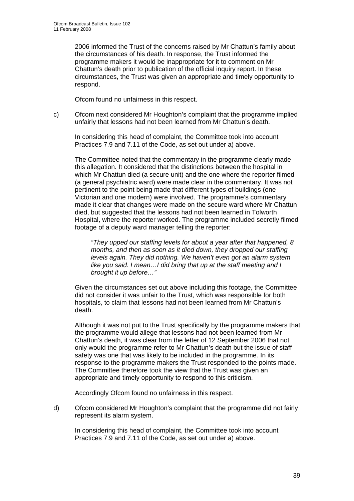2006 informed the Trust of the concerns raised by Mr Chattun's family about the circumstances of his death. In response, the Trust informed the programme makers it would be inappropriate for it to comment on Mr Chattun's death prior to publication of the official inquiry report. In these circumstances, the Trust was given an appropriate and timely opportunity to respond.

Ofcom found no unfairness in this respect.

c) Ofcom next considered Mr Houghton's complaint that the programme implied unfairly that lessons had not been learned from Mr Chattun's death.

In considering this head of complaint, the Committee took into account Practices 7.9 and 7.11 of the Code, as set out under a) above.

The Committee noted that the commentary in the programme clearly made this allegation. It considered that the distinctions between the hospital in which Mr Chattun died (a secure unit) and the one where the reporter filmed (a general psychiatric ward) were made clear in the commentary. It was not pertinent to the point being made that different types of buildings (one Victorian and one modern) were involved. The programme's commentary made it clear that changes were made on the secure ward where Mr Chattun died, but suggested that the lessons had not been learned in Tolworth Hospital, where the reporter worked. The programme included secretly filmed footage of a deputy ward manager telling the reporter:

*"They upped our staffing levels for about a year after that happened, 8 months, and then as soon as it died down, they dropped our staffing levels again. They did nothing. We haven't even got an alarm system like you said. I mean…I did bring that up at the staff meeting and I brought it up before…"* 

Given the circumstances set out above including this footage, the Committee did not consider it was unfair to the Trust, which was responsible for both hospitals, to claim that lessons had not been learned from Mr Chattun's death.

Although it was not put to the Trust specifically by the programme makers that the programme would allege that lessons had not been learned from Mr Chattun's death, it was clear from the letter of 12 September 2006 that not only would the programme refer to Mr Chattun's death but the issue of staff safety was one that was likely to be included in the programme. In its response to the programme makers the Trust responded to the points made. The Committee therefore took the view that the Trust was given an appropriate and timely opportunity to respond to this criticism.

Accordingly Ofcom found no unfairness in this respect.

d) Ofcom considered Mr Houghton's complaint that the programme did not fairly represent its alarm system.

In considering this head of complaint, the Committee took into account Practices 7.9 and 7.11 of the Code, as set out under a) above.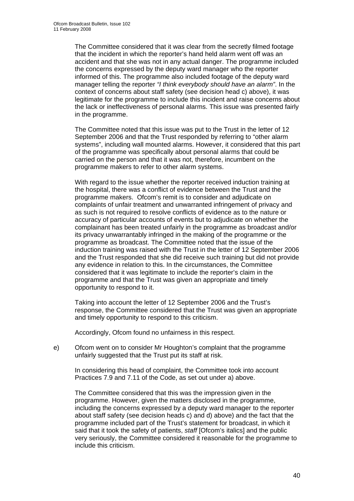The Committee considered that it was clear from the secretly filmed footage that the incident in which the reporter's hand held alarm went off was an accident and that she was not in any actual danger. The programme included the concerns expressed by the deputy ward manager who the reporter informed of this. The programme also included footage of the deputy ward manager telling the reporter *"I think everybody should have an alarm"*. In the context of concerns about staff safety (see decision head c) above), it was legitimate for the programme to include this incident and raise concerns about the lack or ineffectiveness of personal alarms. This issue was presented fairly in the programme.

The Committee noted that this issue was put to the Trust in the letter of 12 September 2006 and that the Trust responded by referring to "other alarm systems", including wall mounted alarms. However, it considered that this part of the programme was specifically about personal alarms that could be carried on the person and that it was not, therefore, incumbent on the programme makers to refer to other alarm systems.

With regard to the issue whether the reporter received induction training at the hospital, there was a conflict of evidence between the Trust and the programme makers. Ofcom's remit is to consider and adjudicate on complaints of unfair treatment and unwarranted infringement of privacy and as such is not required to resolve conflicts of evidence as to the nature or accuracy of particular accounts of events but to adjudicate on whether the complainant has been treated unfairly in the programme as broadcast and/or its privacy unwarrantably infringed in the making of the programme or the programme as broadcast. The Committee noted that the issue of the induction training was raised with the Trust in the letter of 12 September 2006 and the Trust responded that she did receive such training but did not provide any evidence in relation to this. In the circumstances, the Committee considered that it was legitimate to include the reporter's claim in the programme and that the Trust was given an appropriate and timely opportunity to respond to it.

Taking into account the letter of 12 September 2006 and the Trust's response, the Committee considered that the Trust was given an appropriate and timely opportunity to respond to this criticism.

Accordingly, Ofcom found no unfairness in this respect.

e) Ofcom went on to consider Mr Houghton's complaint that the programme unfairly suggested that the Trust put its staff at risk.

In considering this head of complaint, the Committee took into account Practices 7.9 and 7.11 of the Code, as set out under a) above.

The Committee considered that this was the impression given in the programme. However, given the matters disclosed in the programme, including the concerns expressed by a deputy ward manager to the reporter about staff safety (see decision heads c) and d) above) and the fact that the programme included part of the Trust's statement for broadcast, in which it said that it took the safety of patients, *staff* [Ofcom's italics] and the public very seriously, the Committee considered it reasonable for the programme to include this criticism.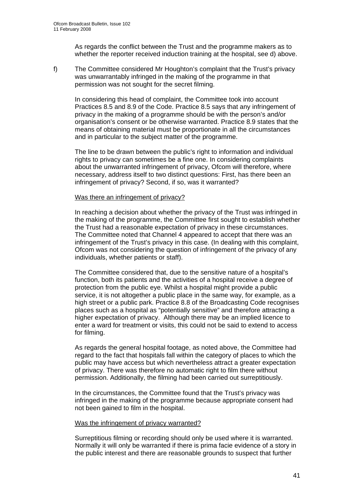As regards the conflict between the Trust and the programme makers as to whether the reporter received induction training at the hospital, see d) above.

f) The Committee considered Mr Houghton's complaint that the Trust's privacy was unwarrantably infringed in the making of the programme in that permission was not sought for the secret filming.

In considering this head of complaint, the Committee took into account Practices 8.5 and 8.9 of the Code. Practice 8.5 says that any infringement of privacy in the making of a programme should be with the person's and/or organisation's consent or be otherwise warranted. Practice 8.9 states that the means of obtaining material must be proportionate in all the circumstances and in particular to the subject matter of the programme.

The line to be drawn between the public's right to information and individual rights to privacy can sometimes be a fine one. In considering complaints about the unwarranted infringement of privacy, Ofcom will therefore, where necessary, address itself to two distinct questions: First, has there been an infringement of privacy? Second, if so, was it warranted?

#### Was there an infringement of privacy?

In reaching a decision about whether the privacy of the Trust was infringed in the making of the programme, the Committee first sought to establish whether the Trust had a reasonable expectation of privacy in these circumstances. The Committee noted that Channel 4 appeared to accept that there was an infringement of the Trust's privacy in this case. (In dealing with this complaint, Ofcom was not considering the question of infringement of the privacy of any individuals, whether patients or staff).

The Committee considered that, due to the sensitive nature of a hospital's function, both its patients and the activities of a hospital receive a degree of protection from the public eye. Whilst a hospital might provide a public service, it is not altogether a public place in the same way, for example, as a high street or a public park. Practice 8.8 of the Broadcasting Code recognises places such as a hospital as "potentially sensitive" and therefore attracting a higher expectation of privacy. Although there may be an implied licence to enter a ward for treatment or visits, this could not be said to extend to access for filming.

As regards the general hospital footage, as noted above, the Committee had regard to the fact that hospitals fall within the category of places to which the public may have access but which nevertheless attract a greater expectation of privacy. There was therefore no automatic right to film there without permission. Additionally, the filming had been carried out surreptitiously.

In the circumstances, the Committee found that the Trust's privacy was infringed in the making of the programme because appropriate consent had not been gained to film in the hospital.

#### Was the infringement of privacy warranted?

Surreptitious filming or recording should only be used where it is warranted. Normally it will only be warranted if there is prima facie evidence of a story in the public interest and there are reasonable grounds to suspect that further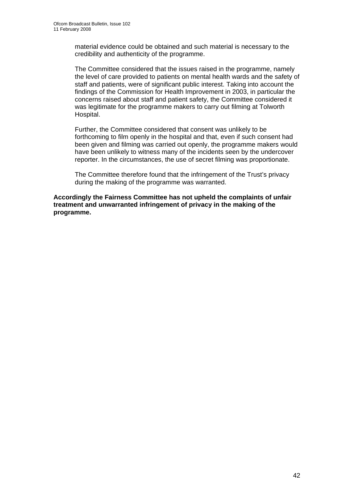material evidence could be obtained and such material is necessary to the credibility and authenticity of the programme.

The Committee considered that the issues raised in the programme, namely the level of care provided to patients on mental health wards and the safety of staff and patients, were of significant public interest. Taking into account the findings of the Commission for Health Improvement in 2003, in particular the concerns raised about staff and patient safety, the Committee considered it was legitimate for the programme makers to carry out filming at Tolworth Hospital.

Further, the Committee considered that consent was unlikely to be forthcoming to film openly in the hospital and that, even if such consent had been given and filming was carried out openly, the programme makers would have been unlikely to witness many of the incidents seen by the undercover reporter. In the circumstances, the use of secret filming was proportionate.

The Committee therefore found that the infringement of the Trust's privacy during the making of the programme was warranted.

**Accordingly the Fairness Committee has not upheld the complaints of unfair treatment and unwarranted infringement of privacy in the making of the programme.**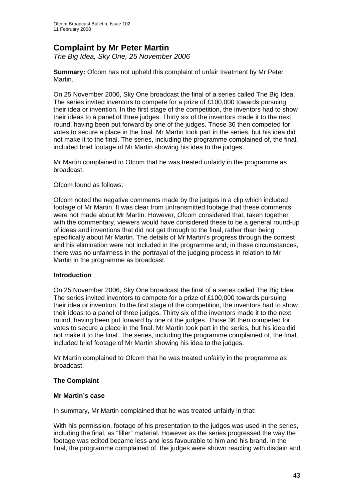# **Complaint by Mr Peter Martin**

*The Big Idea, Sky One, 25 November 2006* 

**Summary:** Ofcom has not upheld this complaint of unfair treatment by Mr Peter Martin.

On 25 November 2006, Sky One broadcast the final of a series called The Big Idea. The series invited inventors to compete for a prize of £100,000 towards pursuing their idea or invention. In the first stage of the competition, the inventors had to show their ideas to a panel of three judges. Thirty six of the inventors made it to the next round, having been put forward by one of the judges. Those 36 then competed for votes to secure a place in the final. Mr Martin took part in the series, but his idea did not make it to the final. The series, including the programme complained of, the final, included brief footage of Mr Martin showing his idea to the judges.

Mr Martin complained to Ofcom that he was treated unfairly in the programme as broadcast.

# Ofcom found as follows:

Ofcom noted the negative comments made by the judges in a clip which included footage of Mr Martin. It was clear from untransmitted footage that these comments were not made about Mr Martin. However, Ofcom considered that, taken together with the commentary, viewers would have considered these to be a general round-up of ideas and inventions that did not get through to the final, rather than being specifically about Mr Martin. The details of Mr Martin's progress through the contest and his elimination were not included in the programme and, in these circumstances, there was no unfairness in the portrayal of the judging process in relation to Mr Martin in the programme as broadcast.

#### **Introduction**

On 25 November 2006, Sky One broadcast the final of a series called The Big Idea. The series invited inventors to compete for a prize of £100,000 towards pursuing their idea or invention. In the first stage of the competition, the inventors had to show their ideas to a panel of three judges. Thirty six of the inventors made it to the next round, having been put forward by one of the judges. Those 36 then competed for votes to secure a place in the final. Mr Martin took part in the series, but his idea did not make it to the final. The series, including the programme complained of, the final, included brief footage of Mr Martin showing his idea to the judges.

Mr Martin complained to Ofcom that he was treated unfairly in the programme as broadcast.

# **The Complaint**

#### **Mr Martin's case**

In summary, Mr Martin complained that he was treated unfairly in that:

With his permission, footage of his presentation to the judges was used in the series, including the final, as "filler" material. However as the series progressed the way the footage was edited became less and less favourable to him and his brand. In the final, the programme complained of, the judges were shown reacting with disdain and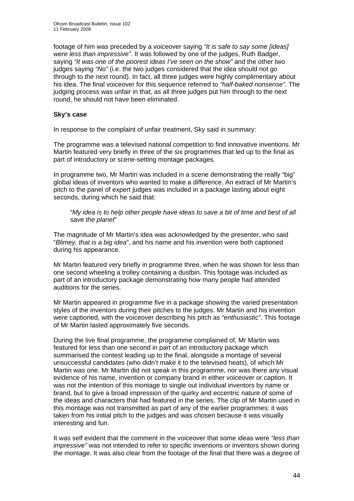footage of him was preceded by a voiceover saying *"It is safe to say some [ideas] were less than impressive"*. It was followed by one of the judges, Ruth Badger, saying *"It was one of the poorest ideas I've seen on the show"* and the other two judges saying *"No"* (i.e. the two judges considered that the idea should not go through to the next round). In fact, all three judges were highly complimentary about his idea. The final voiceover for this sequence referred to *"half-baked nonsense"*. The judging process was unfair in that, as all three judges put him through to the next round, he should not have been eliminated.

## **Sky's case**

In response to the complaint of unfair treatment, Sky said in summary:

The programme was a televised national competition to find innovative inventions. Mr Martin featured very briefly in three of the six programmes that led up to the final as part of introductory or scene-setting montage packages.

In programme two, Mr Martin was included in a scene demonstrating the really "big" global ideas of inventors who wanted to make a difference. An extract of Mr Martin's pitch to the panel of expert judges was included in a package lasting about eight seconds, during which he said that:

"*My idea is to help other people have ideas to save a bit of time and best of all save the planet*"

The magnitude of Mr Martin's idea was acknowledged by the presenter, who said "*Blimey, that is a big idea*", and his name and his invention were both captioned during his appearance.

Mr Martin featured very briefly in programme three, when he was shown for less than one second wheeling a trolley containing a dustbin. This footage was included as part of an introductory package demonstrating how many people had attended auditions for the series.

Mr Martin appeared in programme five in a package showing the varied presentation styles of the inventors during their pitches to the judges. Mr Martin and his invention were captioned, with the voiceover describing his pitch as *"enthusiastic"*. This footage of Mr Martin lasted approximately five seconds.

During the live final programme, the programme complained of, Mr Martin was featured for less than one second in part of an introductory package which summarised the contest leading up to the final, alongside a montage of several unsuccessful candidates (who didn't make it to the televised heats), of which Mr Martin was one. Mr Martin did not speak in this programme, nor was there any visual evidence of his name, invention or company brand in either voiceover or caption. It was not the intention of this montage to single out individual inventors by name or brand, but to give a broad impression of the quirky and eccentric nature of some of the ideas and characters that had featured in the series. The clip of Mr Martin used in this montage was not transmitted as part of any of the earlier programmes: it was taken from his initial pitch to the judges and was chosen because it was visually interesting and fun.

It was self evident that the comment in the voiceover that some ideas were *"less than impressive"* was not intended to refer to specific inventions or inventors shown during the montage. It was also clear from the footage of the final that there was a degree of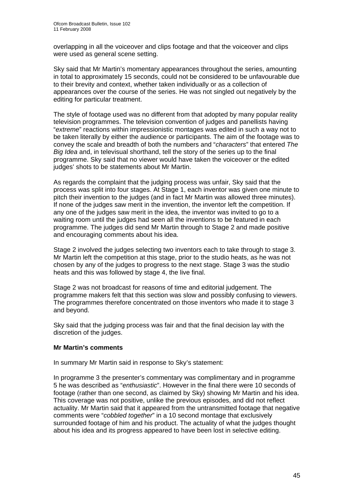overlapping in all the voiceover and clips footage and that the voiceover and clips were used as general scene setting.

Sky said that Mr Martin's momentary appearances throughout the series, amounting in total to approximately 15 seconds, could not be considered to be unfavourable due to their brevity and context, whether taken individually or as a collection of appearances over the course of the series. He was not singled out negatively by the editing for particular treatment.

The style of footage used was no different from that adopted by many popular reality television programmes. The television convention of judges and panellists having "*extreme*" reactions within impressionistic montages was edited in such a way not to be taken literally by either the audience or participants. The aim of the footage was to convey the scale and breadth of both the numbers and "*characters*" that entered *The Big Idea* and, in televisual shorthand, tell the story of the series up to the final programme. Sky said that no viewer would have taken the voiceover or the edited judges' shots to be statements about Mr Martin.

As regards the complaint that the judging process was unfair, Sky said that the process was split into four stages. At Stage 1, each inventor was given one minute to pitch their invention to the judges (and in fact Mr Martin was allowed three minutes). If none of the judges saw merit in the invention, the inventor left the competition. If any one of the judges saw merit in the idea, the inventor was invited to go to a waiting room until the judges had seen all the inventions to be featured in each programme. The judges did send Mr Martin through to Stage 2 and made positive and encouraging comments about his idea.

Stage 2 involved the judges selecting two inventors each to take through to stage 3. Mr Martin left the competition at this stage, prior to the studio heats, as he was not chosen by any of the judges to progress to the next stage. Stage 3 was the studio heats and this was followed by stage 4, the live final.

Stage 2 was not broadcast for reasons of time and editorial judgement. The programme makers felt that this section was slow and possibly confusing to viewers. The programmes therefore concentrated on those inventors who made it to stage 3 and beyond.

Sky said that the judging process was fair and that the final decision lay with the discretion of the judges.

# **Mr Martin's comments**

In summary Mr Martin said in response to Sky's statement:

In programme 3 the presenter's commentary was complimentary and in programme 5 he was described as "*enthusiastic*". However in the final there were 10 seconds of footage (rather than one second, as claimed by Sky) showing Mr Martin and his idea. This coverage was not positive, unlike the previous episodes, and did not reflect actuality. Mr Martin said that it appeared from the untransmitted footage that negative comments were "*cobbled together*" in a 10 second montage that exclusively surrounded footage of him and his product. The actuality of what the judges thought about his idea and its progress appeared to have been lost in selective editing.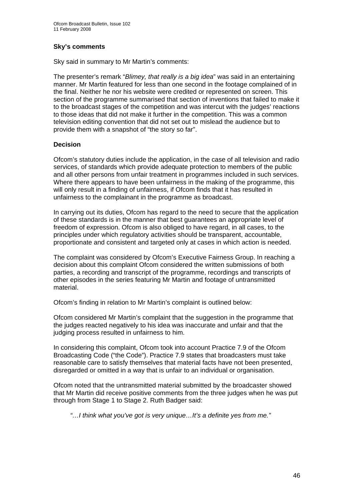### **Sky's comments**

Sky said in summary to Mr Martin's comments:

The presenter's remark "*Blimey, that really is a big idea*" was said in an entertaining manner. Mr Martin featured for less than one second in the footage complained of in the final. Neither he nor his website were credited or represented on screen. This section of the programme summarised that section of inventions that failed to make it to the broadcast stages of the competition and was intercut with the judges' reactions to those ideas that did not make it further in the competition. This was a common television editing convention that did not set out to mislead the audience but to provide them with a snapshot of "the story so far".

# **Decision**

Ofcom's statutory duties include the application, in the case of all television and radio services, of standards which provide adequate protection to members of the public and all other persons from unfair treatment in programmes included in such services. Where there appears to have been unfairness in the making of the programme, this will only result in a finding of unfairness, if Ofcom finds that it has resulted in unfairness to the complainant in the programme as broadcast.

In carrying out its duties, Ofcom has regard to the need to secure that the application of these standards is in the manner that best guarantees an appropriate level of freedom of expression. Ofcom is also obliged to have regard, in all cases, to the principles under which regulatory activities should be transparent, accountable, proportionate and consistent and targeted only at cases in which action is needed.

The complaint was considered by Ofcom's Executive Fairness Group. In reaching a decision about this complaint Ofcom considered the written submissions of both parties, a recording and transcript of the programme, recordings and transcripts of other episodes in the series featuring Mr Martin and footage of untransmitted material.

Ofcom's finding in relation to Mr Martin's complaint is outlined below:

Ofcom considered Mr Martin's complaint that the suggestion in the programme that the judges reacted negatively to his idea was inaccurate and unfair and that the judging process resulted in unfairness to him.

In considering this complaint, Ofcom took into account Practice 7.9 of the Ofcom Broadcasting Code ("the Code"). Practice 7.9 states that broadcasters must take reasonable care to satisfy themselves that material facts have not been presented, disregarded or omitted in a way that is unfair to an individual or organisation.

Ofcom noted that the untransmitted material submitted by the broadcaster showed that Mr Martin did receive positive comments from the three judges when he was put through from Stage 1 to Stage 2. Ruth Badger said:

*"…I think what you've got is very unique…It's a definite yes from me."*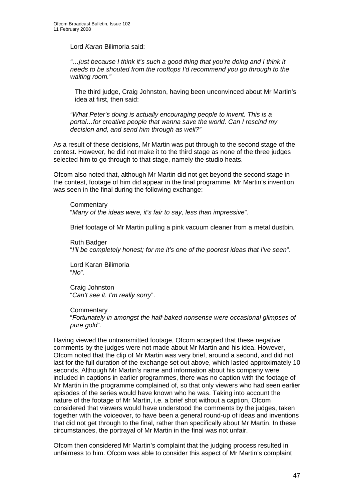Lord *Karan* Bilimoria said:

*"…just because I think it's such a good thing that you're doing and I think it needs to be shouted from the rooftops I'd recommend you go through to the waiting room."* 

 The third judge, Craig Johnston, having been unconvinced about Mr Martin's idea at first, then said:

*"What Peter's doing is actually encouraging people to invent. This is a portal…for creative people that wanna save the world. Can I rescind my decision and, and send him through as well?"* 

As a result of these decisions, Mr Martin was put through to the second stage of the contest. However, he did not make it to the third stage as none of the three judges selected him to go through to that stage, namely the studio heats.

Ofcom also noted that, although Mr Martin did not get beyond the second stage in the contest, footage of him did appear in the final programme. Mr Martin's invention was seen in the final during the following exchange:

**Commentary** "*Many of the ideas were, it's fair to say, less than impressive*".

Brief footage of Mr Martin pulling a pink vacuum cleaner from a metal dustbin.

Ruth Badger "*I'll be completely honest; for me it's one of the poorest ideas that I've seen*".

Lord Karan Bilimoria "*No*".

Craig Johnston "*Can't see it. I'm really sorry*".

**Commentary** "*Fortunately in amongst the half-baked nonsense were occasional glimpses of pure gold*".

Having viewed the untransmitted footage, Ofcom accepted that these negative comments by the judges were not made about Mr Martin and his idea. However, Ofcom noted that the clip of Mr Martin was very brief, around a second, and did not last for the full duration of the exchange set out above, which lasted approximately 10 seconds. Although Mr Martin's name and information about his company were included in captions in earlier programmes, there was no caption with the footage of Mr Martin in the programme complained of, so that only viewers who had seen earlier episodes of the series would have known who he was. Taking into account the nature of the footage of Mr Martin, i.e. a brief shot without a caption, Ofcom considered that viewers would have understood the comments by the judges, taken together with the voiceover, to have been a general round-up of ideas and inventions that did not get through to the final, rather than specifically about Mr Martin. In these circumstances, the portrayal of Mr Martin in the final was not unfair.

Ofcom then considered Mr Martin's complaint that the judging process resulted in unfairness to him. Ofcom was able to consider this aspect of Mr Martin's complaint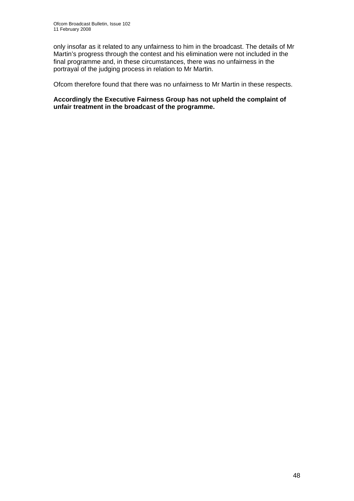only insofar as it related to any unfairness to him in the broadcast. The details of Mr Martin's progress through the contest and his elimination were not included in the final programme and, in these circumstances, there was no unfairness in the portrayal of the judging process in relation to Mr Martin.

Ofcom therefore found that there was no unfairness to Mr Martin in these respects.

**Accordingly the Executive Fairness Group has not upheld the complaint of unfair treatment in the broadcast of the programme.**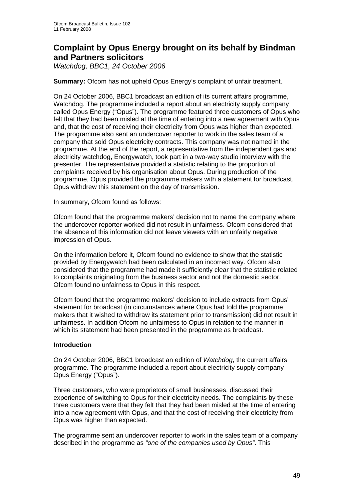# **Complaint by Opus Energy brought on its behalf by Bindman and Partners solicitors**

*Watchdog, BBC1, 24 October 2006* 

## **Summary:** Ofcom has not upheld Opus Energy's complaint of unfair treatment.

On 24 October 2006, BBC1 broadcast an edition of its current affairs programme, Watchdog. The programme included a report about an electricity supply company called Opus Energy ("Opus"). The programme featured three customers of Opus who felt that they had been misled at the time of entering into a new agreement with Opus and, that the cost of receiving their electricity from Opus was higher than expected. The programme also sent an undercover reporter to work in the sales team of a company that sold Opus electricity contracts. This company was not named in the programme. At the end of the report, a representative from the independent gas and electricity watchdog, Energywatch, took part in a two-way studio interview with the presenter. The representative provided a statistic relating to the proportion of complaints received by his organisation about Opus. During production of the programme, Opus provided the programme makers with a statement for broadcast. Opus withdrew this statement on the day of transmission.

In summary, Ofcom found as follows:

Ofcom found that the programme makers' decision not to name the company where the undercover reporter worked did not result in unfairness. Ofcom considered that the absence of this information did not leave viewers with an unfairly negative impression of Opus.

On the information before it, Ofcom found no evidence to show that the statistic provided by Energywatch had been calculated in an incorrect way. Ofcom also considered that the programme had made it sufficiently clear that the statistic related to complaints originating from the business sector and not the domestic sector. Ofcom found no unfairness to Opus in this respect.

Ofcom found that the programme makers' decision to include extracts from Opus' statement for broadcast (in circumstances where Opus had told the programme makers that it wished to withdraw its statement prior to transmission) did not result in unfairness. In addition Ofcom no unfairness to Opus in relation to the manner in which its statement had been presented in the programme as broadcast.

#### **Introduction**

On 24 October 2006, BBC1 broadcast an edition of *Watchdog*, the current affairs programme. The programme included a report about electricity supply company Opus Energy ("Opus").

Three customers, who were proprietors of small businesses, discussed their experience of switching to Opus for their electricity needs. The complaints by these three customers were that they felt that they had been misled at the time of entering into a new agreement with Opus, and that the cost of receiving their electricity from Opus was higher than expected.

The programme sent an undercover reporter to work in the sales team of a company described in the programme as *"one of the companies used by Opus"*. This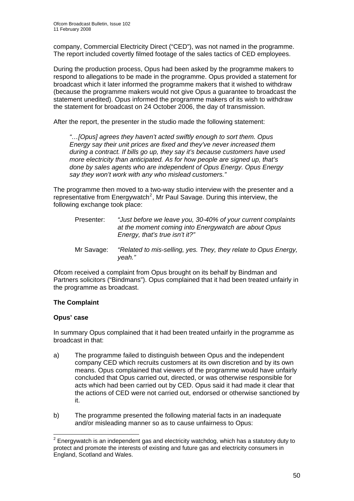company, Commercial Electricity Direct ("CED"), was not named in the programme. The report included covertly filmed footage of the sales tactics of CED employees.

During the production process, Opus had been asked by the programme makers to respond to allegations to be made in the programme. Opus provided a statement for broadcast which it later informed the programme makers that it wished to withdraw (because the programme makers would not give Opus a guarantee to broadcast the statement unedited). Opus informed the programme makers of its wish to withdraw the statement for broadcast on 24 October 2006, the day of transmission.

After the report, the presenter in the studio made the following statement:

*"…[Opus] agrees they haven't acted swiftly enough to sort them. Opus Energy say their unit prices are fixed and they've never increased them during a contract. If bills go up, they say it's because customers have used more electricity than anticipated. As for how people are signed up, that's done by sales agents who are independent of Opus Energy. Opus Energy say they won't work with any who mislead customers."* 

The programme then moved to a two-way studio interview with the presenter and a representative from Energywatch<sup>[2](#page-49-0)</sup>, Mr Paul Savage. During this interview, the following exchange took place:

| Presenter: | "Just before we leave you, 30-40% of your current complaints<br>at the moment coming into Energywatch are about Opus<br>Energy, that's true isn't it?" |
|------------|--------------------------------------------------------------------------------------------------------------------------------------------------------|
| Mr Savage: | "Related to mis-selling, yes. They, they relate to Opus Energy,<br>veah."                                                                              |

Ofcom received a complaint from Opus brought on its behalf by Bindman and Partners solicitors ("Bindmans"). Opus complained that it had been treated unfairly in the programme as broadcast.

# **The Complaint**

# **Opus' case**

1

In summary Opus complained that it had been treated unfairly in the programme as broadcast in that:

- a) The programme failed to distinguish between Opus and the independent company CED which recruits customers at its own discretion and by its own means. Opus complained that viewers of the programme would have unfairly concluded that Opus carried out, directed, or was otherwise responsible for acts which had been carried out by CED. Opus said it had made it clear that the actions of CED were not carried out, endorsed or otherwise sanctioned by it.
- b) The programme presented the following material facts in an inadequate and/or misleading manner so as to cause unfairness to Opus:

<span id="page-49-0"></span> $2$  Energywatch is an independent gas and electricity watchdog, which has a statutory duty to protect and promote the interests of existing and future gas and electricity consumers in England, Scotland and Wales.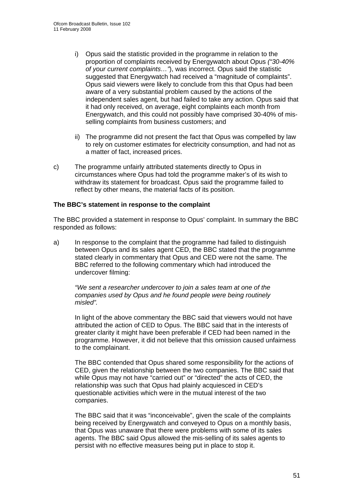- i) Opus said the statistic provided in the programme in relation to the proportion of complaints received by Energywatch about Opus *("30-40% of your current complaints…"*), was incorrect. Opus said the statistic suggested that Energywatch had received a "magnitude of complaints". Opus said viewers were likely to conclude from this that Opus had been aware of a very substantial problem caused by the actions of the independent sales agent, but had failed to take any action. Opus said that it had only received, on average, eight complaints each month from Energywatch, and this could not possibly have comprised 30-40% of misselling complaints from business customers; and
- ii) The programme did not present the fact that Opus was compelled by law to rely on customer estimates for electricity consumption, and had not as a matter of fact, increased prices.
- c) The programme unfairly attributed statements directly to Opus in circumstances where Opus had told the programme maker's of its wish to withdraw its statement for broadcast. Opus said the programme failed to reflect by other means, the material facts of its position.

### **The BBC's statement in response to the complaint**

The BBC provided a statement in response to Opus' complaint. In summary the BBC responded as follows:

a) In response to the complaint that the programme had failed to distinguish between Opus and its sales agent CED, the BBC stated that the programme stated clearly in commentary that Opus and CED were not the same. The BBC referred to the following commentary which had introduced the undercover filming:

*"We sent a researcher undercover to join a sales team at one of the companies used by Opus and he found people were being routinely misled".* 

In light of the above commentary the BBC said that viewers would not have attributed the action of CED to Opus. The BBC said that in the interests of greater clarity it might have been preferable if CED had been named in the programme. However, it did not believe that this omission caused unfairness to the complainant.

The BBC contended that Opus shared some responsibility for the actions of CED, given the relationship between the two companies. The BBC said that while Opus may not have "carried out" or "directed" the acts of CED, the relationship was such that Opus had plainly acquiesced in CED's questionable activities which were in the mutual interest of the two companies.

The BBC said that it was "inconceivable", given the scale of the complaints being received by Energywatch and conveyed to Opus on a monthly basis, that Opus was unaware that there were problems with some of its sales agents. The BBC said Opus allowed the mis-selling of its sales agents to persist with no effective measures being put in place to stop it.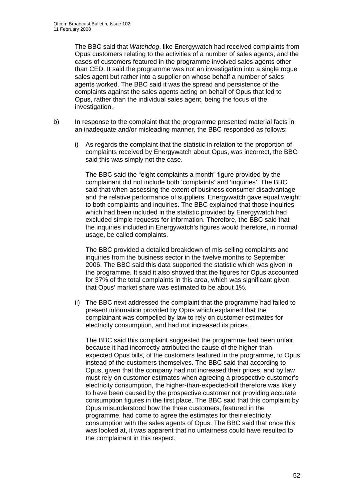The BBC said that *Watchdog*, like Energywatch had received complaints from Opus customers relating to the activities of a number of sales agents, and the cases of customers featured in the programme involved sales agents other than CED. It said the programme was not an investigation into a single rogue sales agent but rather into a supplier on whose behalf a number of sales agents worked. The BBC said it was the spread and persistence of the complaints against the sales agents acting on behalf of Opus that led to Opus, rather than the individual sales agent, being the focus of the investigation.

- b) In response to the complaint that the programme presented material facts in an inadequate and/or misleading manner, the BBC responded as follows:
	- i) As regards the complaint that the statistic in relation to the proportion of complaints received by Energywatch about Opus, was incorrect, the BBC said this was simply not the case.

 The BBC said the "eight complaints a month" figure provided by the complainant did not include both 'complaints' and 'inquiries'. The BBC said that when assessing the extent of business consumer disadvantage and the relative performance of suppliers, Energywatch gave equal weight to both complaints and inquiries. The BBC explained that those inquiries which had been included in the statistic provided by Energywatch had excluded simple requests for information. Therefore, the BBC said that the inquiries included in Energywatch's figures would therefore, in normal usage, be called complaints.

 The BBC provided a detailed breakdown of mis-selling complaints and inquiries from the business sector in the twelve months to September 2006. The BBC said this data supported the statistic which was given in the programme. It said it also showed that the figures for Opus accounted for 37% of the total complaints in this area, which was significant given that Opus' market share was estimated to be about 1%.

ii) The BBC next addressed the complaint that the programme had failed to present information provided by Opus which explained that the complainant was compelled by law to rely on customer estimates for electricity consumption, and had not increased its prices.

 The BBC said this complaint suggested the programme had been unfair because it had incorrectly attributed the cause of the higher-thanexpected Opus bills, of the customers featured in the programme, to Opus instead of the customers themselves. The BBC said that according to Opus, given that the company had not increased their prices, and by law must rely on customer estimates when agreeing a prospective customer's electricity consumption, the higher-than-expected-bill therefore was likely to have been caused by the prospective customer not providing accurate consumption figures in the first place. The BBC said that this complaint by Opus misunderstood how the three customers, featured in the programme, had come to agree the estimates for their electricity consumption with the sales agents of Opus. The BBC said that once this was looked at, it was apparent that no unfairness could have resulted to the complainant in this respect.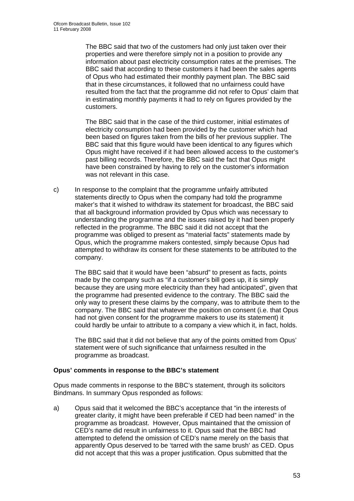The BBC said that two of the customers had only just taken over their properties and were therefore simply not in a position to provide any information about past electricity consumption rates at the premises. The BBC said that according to these customers it had been the sales agents of Opus who had estimated their monthly payment plan. The BBC said that in these circumstances, it followed that no unfairness could have resulted from the fact that the programme did not refer to Opus' claim that in estimating monthly payments it had to rely on figures provided by the customers.

 The BBC said that in the case of the third customer, initial estimates of electricity consumption had been provided by the customer which had been based on figures taken from the bills of her previous supplier. The BBC said that this figure would have been identical to any figures which Opus might have received if it had been allowed access to the customer's past billing records. Therefore, the BBC said the fact that Opus might have been constrained by having to rely on the customer's information was not relevant in this case.

c) In response to the complaint that the programme unfairly attributed statements directly to Opus when the company had told the programme maker's that it wished to withdraw its statement for broadcast, the BBC said that all background information provided by Opus which was necessary to understanding the programme and the issues raised by it had been properly reflected in the programme. The BBC said it did not accept that the programme was obliged to present as "material facts" statements made by Opus, which the programme makers contested, simply because Opus had attempted to withdraw its consent for these statements to be attributed to the company.

 The BBC said that it would have been "absurd" to present as facts, points made by the company such as "if a customer's bill goes up, it is simply because they are using more electricity than they had anticipated", given that the programme had presented evidence to the contrary. The BBC said the only way to present these claims by the company, was to attribute them to the company. The BBC said that whatever the position on consent (i.e. that Opus had not given consent for the programme makers to use its statement) it could hardly be unfair to attribute to a company a view which it, in fact, holds.

 The BBC said that it did not believe that any of the points omitted from Opus' statement were of such significance that unfairness resulted in the programme as broadcast.

# **Opus' comments in response to the BBC's statement**

Opus made comments in response to the BBC's statement, through its solicitors Bindmans. In summary Opus responded as follows:

a) Opus said that it welcomed the BBC's acceptance that "in the interests of greater clarity, it might have been preferable if CED had been named" in the programme as broadcast. However, Opus maintained that the omission of CED's name did result in unfairness to it. Opus said that the BBC had attempted to defend the omission of CED's name merely on the basis that apparently Opus deserved to be 'tarred with the same brush' as CED. Opus did not accept that this was a proper justification. Opus submitted that the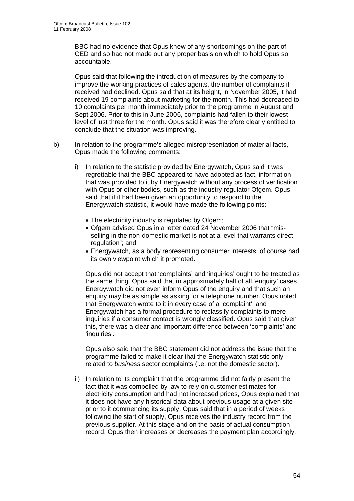BBC had no evidence that Opus knew of any shortcomings on the part of CED and so had not made out any proper basis on which to hold Opus so accountable.

 Opus said that following the introduction of measures by the company to improve the working practices of sales agents, the number of complaints it received had declined. Opus said that at its height, in November 2005, it had received 19 complaints about marketing for the month. This had decreased to 10 complaints per month immediately prior to the programme in August and Sept 2006. Prior to this in June 2006, complaints had fallen to their lowest level of just three for the month. Opus said it was therefore clearly entitled to conclude that the situation was improving.

- b) In relation to the programme's alleged misrepresentation of material facts, Opus made the following comments:
	- i) In relation to the statistic provided by Energywatch, Opus said it was regrettable that the BBC appeared to have adopted as fact, information that was provided to it by Energywatch without any process of verification with Opus or other bodies, such as the industry regulator Ofgem. Opus said that if it had been given an opportunity to respond to the Energywatch statistic, it would have made the following points:
		- The electricity industry is regulated by Ofgem;
		- Ofgem advised Opus in a letter dated 24 November 2006 that "misselling in the non-domestic market is not at a level that warrants direct regulation"; and
		- Energywatch, as a body representing consumer interests, of course had its own viewpoint which it promoted.

 Opus did not accept that 'complaints' and 'inquiries' ought to be treated as the same thing. Opus said that in approximately half of all 'enquiry' cases Energywatch did not even inform Opus of the enquiry and that such an enquiry may be as simple as asking for a telephone number. Opus noted that Energywatch wrote to it in every case of a 'complaint', and Energywatch has a formal procedure to reclassify complaints to mere inquiries if a consumer contact is wrongly classified. Opus said that given this, there was a clear and important difference between 'complaints' and 'inquiries'.

 Opus also said that the BBC statement did not address the issue that the programme failed to make it clear that the Energywatch statistic only related to *business* sector complaints (i.e. not the domestic sector).

ii) In relation to its complaint that the programme did not fairly present the fact that it was compelled by law to rely on customer estimates for electricity consumption and had not increased prices, Opus explained that it does not have any historical data about previous usage at a given site prior to it commencing its supply. Opus said that in a period of weeks following the start of supply, Opus receives the industry record from the previous supplier. At this stage and on the basis of actual consumption record, Opus then increases or decreases the payment plan accordingly.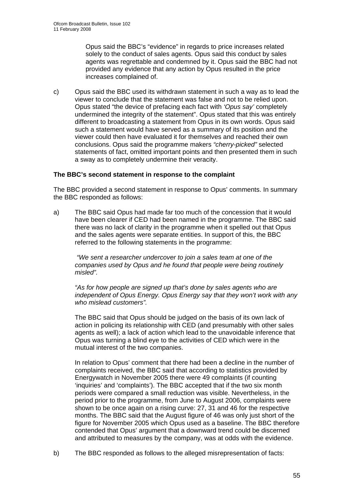Opus said the BBC's "evidence" in regards to price increases related solely to the conduct of sales agents. Opus said this conduct by sales agents was regrettable and condemned by it. Opus said the BBC had not provided any evidence that any action by Opus resulted in the price increases complained of.

c) Opus said the BBC used its withdrawn statement in such a way as to lead the viewer to conclude that the statement was false and not to be relied upon. Opus stated "the device of prefacing each fact with *'Opus say'* completely undermined the integrity of the statement". Opus stated that this was entirely different to broadcasting a statement from Opus in its own words. Opus said such a statement would have served as a summary of its position and the viewer could then have evaluated it for themselves and reached their own conclusions. Opus said the programme makers *"cherry-picked"* selected statements of fact, omitted important points and then presented them in such a sway as to completely undermine their veracity.

### **The BBC's second statement in response to the complaint**

The BBC provided a second statement in response to Opus' comments. In summary the BBC responded as follows:

a) The BBC said Opus had made far too much of the concession that it would have been clearer if CED had been named in the programme. The BBC said there was no lack of clarity in the programme when it spelled out that Opus and the sales agents were separate entities. In support of this, the BBC referred to the following statements in the programme:

 *"We sent a researcher undercover to join a sales team at one of the companies used by Opus and he found that people were being routinely misled".* 

*"As for how people are signed up that's done by sales agents who are independent of Opus Energy. Opus Energy say that they won't work with any who mislead customers".*

The BBC said that Opus should be judged on the basis of its own lack of action in policing its relationship with CED (and presumably with other sales agents as well); a lack of action which lead to the unavoidable inference that Opus was turning a blind eye to the activities of CED which were in the mutual interest of the two companies.

In relation to Opus' comment that there had been a decline in the number of complaints received, the BBC said that according to statistics provided by Energywatch in November 2005 there were 49 complaints (if counting 'inquiries' and 'complaints'). The BBC accepted that if the two six month periods were compared a small reduction was visible. Nevertheless, in the period prior to the programme, from June to August 2006, complaints were shown to be once again on a rising curve: 27, 31 and 46 for the respective months. The BBC said that the August figure of 46 was only just short of the figure for November 2005 which Opus used as a baseline. The BBC therefore contended that Opus' argument that a downward trend could be discerned and attributed to measures by the company, was at odds with the evidence.

b) The BBC responded as follows to the alleged misrepresentation of facts: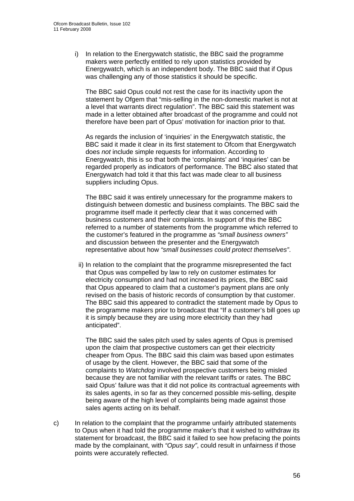i) In relation to the Energywatch statistic, the BBC said the programme makers were perfectly entitled to rely upon statistics provided by Energywatch, which is an independent body. The BBC said that if Opus was challenging any of those statistics it should be specific.

 The BBC said Opus could not rest the case for its inactivity upon the statement by Ofgem that "mis-selling in the non-domestic market is not at a level that warrants direct regulation". The BBC said this statement was made in a letter obtained after broadcast of the programme and could not therefore have been part of Opus' motivation for inaction prior to that.

 As regards the inclusion of 'inquiries' in the Energywatch statistic, the BBC said it made it clear in its first statement to Ofcom that Energywatch does *not* include simple requests for information. According to Energywatch, this is so that both the 'complaints' and 'inquiries' can be regarded properly as indicators of performance. The BBC also stated that Energywatch had told it that this fact was made clear to all business suppliers including Opus.

 The BBC said it was entirely unnecessary for the programme makers to distinguish between domestic and business complaints. The BBC said the programme itself made it perfectly clear that it was concerned with business customers and their complaints. In support of this the BBC referred to a number of statements from the programme which referred to the customer's featured in the programme as *"small business owners"* and discussion between the presenter and the Energywatch representative about how *"small businesses could protect themselves"*.

 ii) In relation to the complaint that the programme misrepresented the fact that Opus was compelled by law to rely on customer estimates for electricity consumption and had not increased its prices, the BBC said that Opus appeared to claim that a customer's payment plans are only revised on the basis of historic records of consumption by that customer. The BBC said this appeared to contradict the statement made by Opus to the programme makers prior to broadcast that "If a customer's bill goes up it is simply because they are using more electricity than they had anticipated".

 The BBC said the sales pitch used by sales agents of Opus is premised upon the claim that prospective customers can get their electricity cheaper from Opus. The BBC said this claim was based upon estimates of usage by the client. However, the BBC said that some of the complaints to *Watchdog* involved prospective customers being misled because they are not familiar with the relevant tariffs or rates. The BBC said Opus' failure was that it did not police its contractual agreements with its sales agents, in so far as they concerned possible mis-selling, despite being aware of the high level of complaints being made against those sales agents acting on its behalf.

c) In relation to the complaint that the programme unfairly attributed statements to Opus when it had told the programme maker's that it wished to withdraw its statement for broadcast, the BBC said it failed to see how prefacing the points made by the complainant, with *"Opus say"*, could result in unfairness if those points were accurately reflected.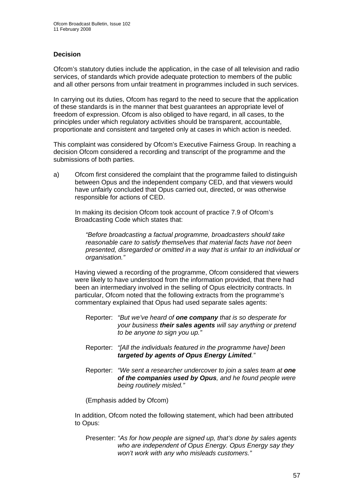# **Decision**

Ofcom's statutory duties include the application, in the case of all television and radio services, of standards which provide adequate protection to members of the public and all other persons from unfair treatment in programmes included in such services.

In carrying out its duties, Ofcom has regard to the need to secure that the application of these standards is in the manner that best guarantees an appropriate level of freedom of expression. Ofcom is also obliged to have regard, in all cases, to the principles under which regulatory activities should be transparent, accountable, proportionate and consistent and targeted only at cases in which action is needed.

This complaint was considered by Ofcom's Executive Fairness Group. In reaching a decision Ofcom considered a recording and transcript of the programme and the submissions of both parties.

a) Ofcom first considered the complaint that the programme failed to distinguish between Opus and the independent company CED, and that viewers would have unfairly concluded that Opus carried out, directed, or was otherwise responsible for actions of CED.

 In making its decision Ofcom took account of practice 7.9 of Ofcom's Broadcasting Code which states that:

*"Before broadcasting a factual programme, broadcasters should take reasonable care to satisfy themselves that material facts have not been presented, disregarded or omitted in a way that is unfair to an individual or organisation."* 

 Having viewed a recording of the programme, Ofcom considered that viewers were likely to have understood from the information provided, that there had been an intermediary involved in the selling of Opus electricity contracts. In particular, Ofcom noted that the following extracts from the programme's commentary explained that Opus had used separate sales agents:

- Reporter: *"But we've heard of one company that is so desperate for your business their sales agents will say anything or pretend to be anyone to sign you up."*
- Reporter: *"[All the individuals featured in the programme have] been targeted by agents of Opus Energy Limited."*
- Reporter: *"We sent a researcher undercover to join a sales team at one of the companies used by Opus, and he found people were being routinely misled."*

(Emphasis added by Ofcom)

 In addition, Ofcom noted the following statement, which had been attributed to Opus:

Presenter: *"As for how people are signed up, that's done by sales agents who are independent of Opus Energy. Opus Energy say they won't work with any who misleads customers."*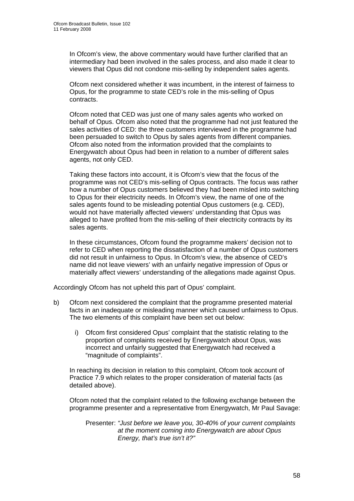In Ofcom's view, the above commentary would have further clarified that an intermediary had been involved in the sales process, and also made it clear to viewers that Opus did not condone mis-selling by independent sales agents.

 Ofcom next considered whether it was incumbent, in the interest of fairness to Opus, for the programme to state CED's role in the mis-selling of Opus contracts.

 Ofcom noted that CED was just one of many sales agents who worked on behalf of Opus. Ofcom also noted that the programme had not just featured the sales activities of CED: the three customers interviewed in the programme had been persuaded to switch to Opus by sales agents from different companies. Ofcom also noted from the information provided that the complaints to Energywatch about Opus had been in relation to a number of different sales agents, not only CED.

 Taking these factors into account, it is Ofcom's view that the focus of the programme was not CED's mis-selling of Opus contracts. The focus was rather how a number of Opus customers believed they had been misled into switching to Opus for their electricity needs. In Ofcom's view, the name of one of the sales agents found to be misleading potential Opus customers (e.g. CED), would not have materially affected viewers' understanding that Opus was alleged to have profited from the mis-selling of their electricity contracts by its sales agents.

 In these circumstances, Ofcom found the programme makers' decision not to refer to CED when reporting the dissatisfaction of a number of Opus customers did not result in unfairness to Opus. In Ofcom's view, the absence of CED's name did not leave viewers' with an unfairly negative impression of Opus or materially affect viewers' understanding of the allegations made against Opus.

Accordingly Ofcom has not upheld this part of Opus' complaint.

- b) Ofcom next considered the complaint that the programme presented material facts in an inadequate or misleading manner which caused unfairness to Opus. The two elements of this complaint have been set out below:
	- i) Ofcom first considered Opus' complaint that the statistic relating to the proportion of complaints received by Energywatch about Opus, was incorrect and unfairly suggested that Energywatch had received a "magnitude of complaints".

 In reaching its decision in relation to this complaint, Ofcom took account of Practice 7.9 which relates to the proper consideration of material facts (as detailed above).

 Ofcom noted that the complaint related to the following exchange between the programme presenter and a representative from Energywatch, Mr Paul Savage:

Presenter: *"Just before we leave you, 30-40% of your current complaints at the moment coming into Energywatch are about Opus Energy, that's true isn't it?"*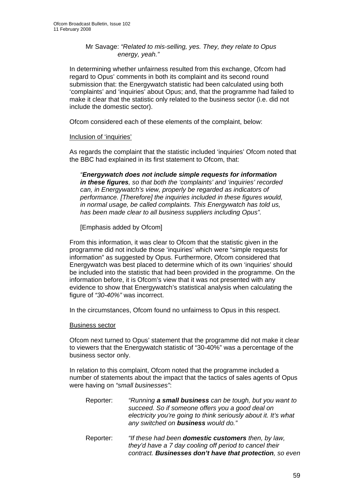### Mr Savage: *"Related to mis-selling, yes. They, they relate to Opus energy, yeah."*

In determining whether unfairness resulted from this exchange, Ofcom had regard to Opus' comments in both its complaint and its second round submission that: the Energywatch statistic had been calculated using both 'complaints' and 'inquiries' about Opus; and, that the programme had failed to make it clear that the statistic only related to the business sector (i.e. did not include the domestic sector).

Ofcom considered each of these elements of the complaint, below:

### Inclusion of 'inquiries'

As regards the complaint that the statistic included 'inquiries' Ofcom noted that the BBC had explained in its first statement to Ofcom, that:

*"Energywatch does not include simple requests for information in these figures, so that both the 'complaints' and 'inquiries' recorded can, in Energywatch's view, properly be regarded as indicators of performance. [Therefore] the inquiries included in these figures would, in normal usage, be called complaints. This Energywatch has told us, has been made clear to all business suppliers including Opus".* 

[Emphasis added by Ofcom]

From this information, it was clear to Ofcom that the statistic given in the programme did not include those 'inquiries' which were "simple requests for information" as suggested by Opus. Furthermore, Ofcom considered that Energywatch was best placed to determine which of its own 'inquiries' should be included into the statistic that had been provided in the programme. On the information before, it is Ofcom's view that it was not presented with any evidence to show that Energywatch's statistical analysis when calculating the figure of *"30-40%"* was incorrect.

In the circumstances, Ofcom found no unfairness to Opus in this respect.

# Business sector

Ofcom next turned to Opus' statement that the programme did not make it clear to viewers that the Energywatch statistic of "30-40%" was a percentage of the business sector only.

In relation to this complaint, Ofcom noted that the programme included a number of statements about the impact that the tactics of sales agents of Opus were having on *"small businesses"*:

- Reporter: *"Running a small business can be tough, but you want to succeed. So if someone offers you a good deal on electricity you're going to think seriously about it. It's what any switched on business would do."*
- Reporter: *"If these had been domestic customers then, by law, they'd have a 7 day cooling off period to cancel their contract. Businesses don't have that protection, so even*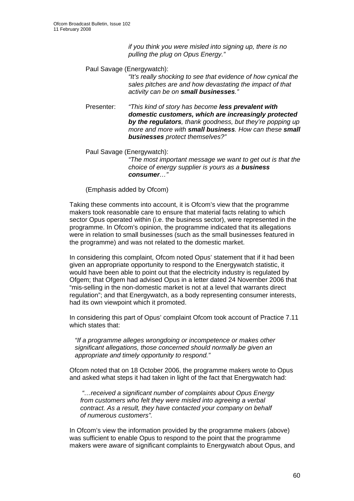*if you think you were misled into signing up, there is no pulling the plug on Opus Energy."* 

Paul Savage (Energywatch):

*"It's really shocking to see that evidence of how cynical the sales pitches are and how devastating the impact of that activity can be on small businesses."* 

- Presenter: *"This kind of story has become less prevalent with domestic customers, which are increasingly protected by the regulators, thank goodness, but they're popping up more and more with small business. How can these small businesses protect themselves?"*
- Paul Savage (Energywatch):

*"The most important message we want to get out is that the choice of energy supplier is yours as a business consumer…"* 

(Emphasis added by Ofcom)

Taking these comments into account, it is Ofcom's view that the programme makers took reasonable care to ensure that material facts relating to which sector Opus operated within (i.e. the business sector), were represented in the programme. In Ofcom's opinion, the programme indicated that its allegations were in relation to small businesses (such as the small businesses featured in the programme) and was not related to the domestic market.

In considering this complaint, Ofcom noted Opus' statement that if it had been given an appropriate opportunity to respond to the Energywatch statistic, it would have been able to point out that the electricity industry is regulated by Ofgem; that Ofgem had advised Opus in a letter dated 24 November 2006 that "mis-selling in the non-domestic market is not at a level that warrants direct regulation"; and that Energywatch, as a body representing consumer interests, had its own viewpoint which it promoted.

In considering this part of Opus' complaint Ofcom took account of Practice 7.11 which states that:

*"If a programme alleges wrongdoing or incompetence or makes other significant allegations, those concerned should normally be given an appropriate and timely opportunity to respond."* 

 Ofcom noted that on 18 October 2006, the programme makers wrote to Opus and asked what steps it had taken in light of the fact that Energywatch had:

 *"…received a significant number of complaints about Opus Energy from customers who felt they were misled into agreeing a verbal contract. As a result, they have contacted your company on behalf of numerous customers".* 

 In Ofcom's view the information provided by the programme makers (above) was sufficient to enable Opus to respond to the point that the programme makers were aware of significant complaints to Energywatch about Opus, and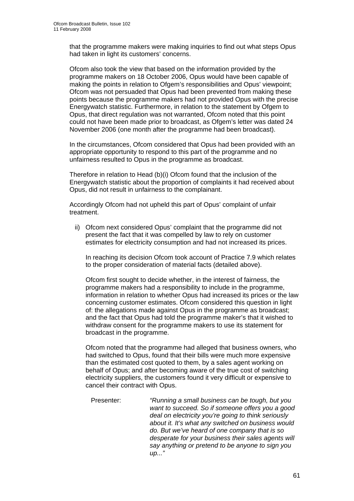that the programme makers were making inquiries to find out what steps Opus had taken in light its customers' concerns.

Ofcom also took the view that based on the information provided by the programme makers on 18 October 2006, Opus would have been capable of making the points in relation to Ofgem's responsibilities and Opus' viewpoint; Ofcom was not persuaded that Opus had been prevented from making these points because the programme makers had not provided Opus with the precise Energywatch statistic. Furthermore, in relation to the statement by Ofgem to Opus, that direct regulation was not warranted, Ofcom noted that this point could not have been made prior to broadcast, as Ofgem's letter was dated 24 November 2006 (one month after the programme had been broadcast).

In the circumstances, Ofcom considered that Opus had been provided with an appropriate opportunity to respond to this part of the programme and no unfairness resulted to Opus in the programme as broadcast.

Therefore in relation to Head (b)(i) Ofcom found that the inclusion of the Energywatch statistic about the proportion of complaints it had received about Opus, did not result in unfairness to the complainant.

Accordingly Ofcom had not upheld this part of Opus' complaint of unfair treatment.

ii) Ofcom next considered Opus' complaint that the programme did not present the fact that it was compelled by law to rely on customer estimates for electricity consumption and had not increased its prices.

 In reaching its decision Ofcom took account of Practice 7.9 which relates to the proper consideration of material facts (detailed above).

 Ofcom first sought to decide whether, in the interest of fairness, the programme makers had a responsibility to include in the programme, information in relation to whether Opus had increased its prices or the law concerning customer estimates. Ofcom considered this question in light of: the allegations made against Opus in the programme as broadcast; and the fact that Opus had told the programme maker's that it wished to withdraw consent for the programme makers to use its statement for broadcast in the programme.

Ofcom noted that the programme had alleged that business owners, who had switched to Opus, found that their bills were much more expensive than the estimated cost quoted to them, by a sales agent working on behalf of Opus; and after becoming aware of the true cost of switching electricity suppliers, the customers found it very difficult or expensive to cancel their contract with Opus.

Presenter: *"Running a small business can be tough, but you want to succeed. So if someone offers you a good deal on electricity you're going to think seriously about it. It's what any switched on business would do. But we've heard of one company that is so desperate for your business their sales agents will say anything or pretend to be anyone to sign you up..."*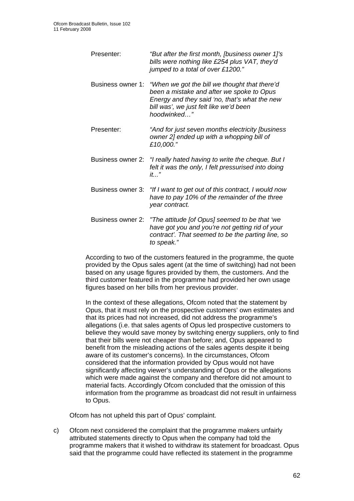| Presenter:        | "But after the first month, [business owner 1]'s<br>bills were nothing like £254 plus VAT, they'd<br>jumped to a total of over £1200."                                                               |
|-------------------|------------------------------------------------------------------------------------------------------------------------------------------------------------------------------------------------------|
| Business owner 1: | "When we got the bill we thought that there'd<br>been a mistake and after we spoke to Opus<br>Energy and they said 'no, that's what the new<br>bill was', we just felt like we'd been<br>hoodwinked" |
| Presenter:        | "And for just seven months electricity [business<br>owner 2] ended up with a whopping bill of<br>£10,000."                                                                                           |
| Business owner 2: | "I really hated having to write the cheque. But I<br>felt it was the only, I felt pressurised into doing<br>$it$ "                                                                                   |
| Business owner 3: | "If I want to get out of this contract, I would now<br>have to pay 10% of the remainder of the three<br>year contract.                                                                               |
| Business owner 2: | "The attitude [of Opus] seemed to be that 'we<br>have got you and you're not getting rid of your<br>contract'. That seemed to be the parting line, so<br>to speak."                                  |

According to two of the customers featured in the programme, the quote provided by the Opus sales agent (at the time of switching) had not been based on any usage figures provided by them, the customers. And the third customer featured in the programme had provided her own usage figures based on her bills from her previous provider.

In the context of these allegations, Ofcom noted that the statement by Opus, that it must rely on the prospective customers' own estimates and that its prices had not increased, did not address the programme's allegations (i.e. that sales agents of Opus led prospective customers to believe they would save money by switching energy suppliers, only to find that their bills were not cheaper than before; and, Opus appeared to benefit from the misleading actions of the sales agents despite it being aware of its customer's concerns). In the circumstances, Ofcom considered that the information provided by Opus would not have significantly affecting viewer's understanding of Opus or the allegations which were made against the company and therefore did not amount to material facts. Accordingly Ofcom concluded that the omission of this information from the programme as broadcast did not result in unfairness to Opus.

Ofcom has not upheld this part of Opus' complaint.

c) Ofcom next considered the complaint that the programme makers unfairly attributed statements directly to Opus when the company had told the programme makers that it wished to withdraw its statement for broadcast. Opus said that the programme could have reflected its statement in the programme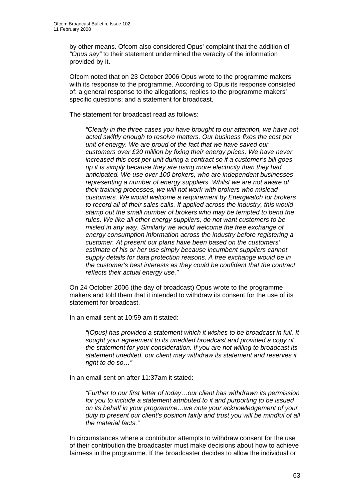by other means. Ofcom also considered Opus' complaint that the addition of *"Opus say"* to their statement undermined the veracity of the information provided by it.

Ofcom noted that on 23 October 2006 Opus wrote to the programme makers with its response to the programme. According to Opus its response consisted of: a general response to the allegations; replies to the programme makers' specific questions; and a statement for broadcast.

The statement for broadcast read as follows:

*"Clearly in the three cases you have brought to our attention, we have not acted swiftly enough to resolve matters. Our business fixes the cost per unit of energy. We are proud of the fact that we have saved our customers over £20 million by fixing their energy prices. We have never increased this cost per unit during a contract so if a customer's bill goes up it is simply because they are using more electricity than they had anticipated. We use over 100 brokers, who are independent businesses representing a number of energy suppliers. Whilst we are not aware of their training processes, we will not work with brokers who mislead customers. We would welcome a requirement by Energwatch for brokers to record all of their sales calls. If applied across the industry, this would stamp out the small number of brokers who may be tempted to bend the rules. We like all other energy suppliers, do not want customers to be misled in any way. Similarly we would welcome the free exchange of energy consumption information across the industry before registering a customer. At present our plans have been based on the customers' estimate of his or her use simply because incumbent suppliers cannot supply details for data protection reasons. A free exchange would be in the customer's best interests as they could be confident that the contract reflects their actual energy use."* 

On 24 October 2006 (the day of broadcast) Opus wrote to the programme makers and told them that it intended to withdraw its consent for the use of its statement for broadcast.

In an email sent at 10:59 am it stated:

*"[Opus] has provided a statement which it wishes to be broadcast in full. It sought your agreement to its unedited broadcast and provided a copy of the statement for your consideration. If you are not willing to broadcast its statement unedited, our client may withdraw its statement and reserves it right to do so…"* 

In an email sent on after 11:37am it stated:

*"Further to our first letter of today…our client has withdrawn its permission for you to include a statement attributed to it and purporting to be issued on its behalf in your programme…we note your acknowledgement of your duty to present our client's position fairly and trust you will be mindful of all the material facts."* 

In circumstances where a contributor attempts to withdraw consent for the use of their contribution the broadcaster must make decisions about how to achieve fairness in the programme. If the broadcaster decides to allow the individual or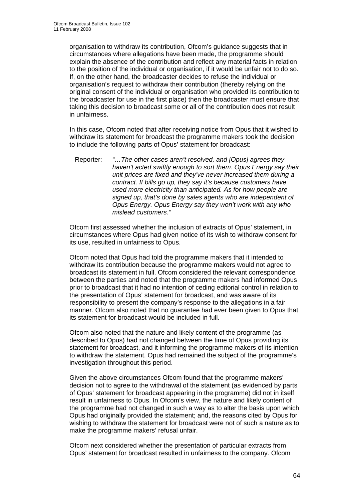organisation to withdraw its contribution, Ofcom's guidance suggests that in circumstances where allegations have been made, the programme should explain the absence of the contribution and reflect any material facts in relation to the position of the individual or organisation, if it would be unfair not to do so. If, on the other hand, the broadcaster decides to refuse the individual or organisation's request to withdraw their contribution (thereby relying on the original consent of the individual or organisation who provided its contribution to the broadcaster for use in the first place) then the broadcaster must ensure that taking this decision to broadcast some or all of the contribution does not result in unfairness.

In this case, Ofcom noted that after receiving notice from Opus that it wished to withdraw its statement for broadcast the programme makers took the decision to include the following parts of Opus' statement for broadcast:

Reporter: *"…The other cases aren't resolved, and [Opus] agrees they haven't acted swiftly enough to sort them. Opus Energy say their unit prices are fixed and they've never increased them during a contract. If bills go up, they say it's because customers have used more electricity than anticipated. As for how people are signed up, that's done by sales agents who are independent of Opus Energy. Opus Energy say they won't work with any who mislead customers."*

Ofcom first assessed whether the inclusion of extracts of Opus' statement, in circumstances where Opus had given notice of its wish to withdraw consent for its use, resulted in unfairness to Opus.

Ofcom noted that Opus had told the programme makers that it intended to withdraw its contribution because the programme makers would not agree to broadcast its statement in full. Ofcom considered the relevant correspondence between the parties and noted that the programme makers had informed Opus prior to broadcast that it had no intention of ceding editorial control in relation to the presentation of Opus' statement for broadcast, and was aware of its responsibility to present the company's response to the allegations in a fair manner. Ofcom also noted that no guarantee had ever been given to Opus that its statement for broadcast would be included in full.

Ofcom also noted that the nature and likely content of the programme (as described to Opus) had not changed between the time of Opus providing its statement for broadcast, and it informing the programme makers of its intention to withdraw the statement. Opus had remained the subject of the programme's investigation throughout this period.

Given the above circumstances Ofcom found that the programme makers' decision not to agree to the withdrawal of the statement (as evidenced by parts of Opus' statement for broadcast appearing in the programme) did not in itself result in unfairness to Opus. In Ofcom's view, the nature and likely content of the programme had not changed in such a way as to alter the basis upon which Opus had originally provided the statement; and, the reasons cited by Opus for wishing to withdraw the statement for broadcast were not of such a nature as to make the programme makers' refusal unfair.

Ofcom next considered whether the presentation of particular extracts from Opus' statement for broadcast resulted in unfairness to the company. Ofcom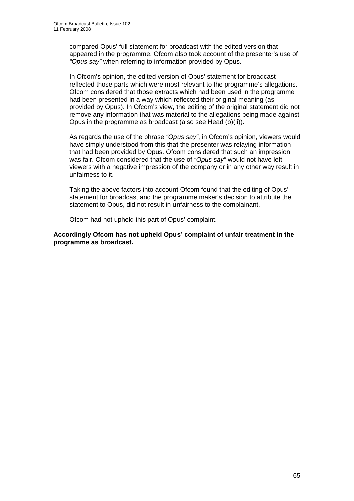compared Opus' full statement for broadcast with the edited version that appeared in the programme. Ofcom also took account of the presenter's use of *"Opus say"* when referring to information provided by Opus.

In Ofcom's opinion, the edited version of Opus' statement for broadcast reflected those parts which were most relevant to the programme's allegations. Ofcom considered that those extracts which had been used in the programme had been presented in a way which reflected their original meaning (as provided by Opus). In Ofcom's view, the editing of the original statement did not remove any information that was material to the allegations being made against Opus in the programme as broadcast (also see Head (b)(ii)).

As regards the use of the phrase *"Opus say"*, in Ofcom's opinion, viewers would have simply understood from this that the presenter was relaying information that had been provided by Opus. Ofcom considered that such an impression was fair. Ofcom considered that the use of *"Opus say"* would not have left viewers with a negative impression of the company or in any other way result in unfairness to it.

Taking the above factors into account Ofcom found that the editing of Opus' statement for broadcast and the programme maker's decision to attribute the statement to Opus, did not result in unfairness to the complainant.

Ofcom had not upheld this part of Opus' complaint.

**Accordingly Ofcom has not upheld Opus' complaint of unfair treatment in the programme as broadcast.**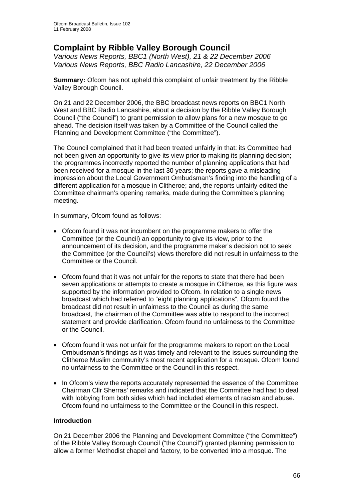# **Complaint by Ribble Valley Borough Council**

*Various News Reports, BBC1 (North West), 21 & 22 December 2006 Various News Reports, BBC Radio Lancashire, 22 December 2006* 

**Summary:** Ofcom has not upheld this complaint of unfair treatment by the Ribble Valley Borough Council.

On 21 and 22 December 2006, the BBC broadcast news reports on BBC1 North West and BBC Radio Lancashire, about a decision by the Ribble Valley Borough Council ("the Council") to grant permission to allow plans for a new mosque to go ahead. The decision itself was taken by a Committee of the Council called the Planning and Development Committee ("the Committee").

The Council complained that it had been treated unfairly in that: its Committee had not been given an opportunity to give its view prior to making its planning decision; the programmes incorrectly reported the number of planning applications that had been received for a mosque in the last 30 years; the reports gave a misleading impression about the Local Government Ombudsman's finding into the handling of a different application for a mosque in Clitheroe; and, the reports unfairly edited the Committee chairman's opening remarks, made during the Committee's planning meeting.

In summary, Ofcom found as follows:

- Ofcom found it was not incumbent on the programme makers to offer the Committee (or the Council) an opportunity to give its view, prior to the announcement of its decision, and the programme maker's decision not to seek the Committee (or the Council's) views therefore did not result in unfairness to the Committee or the Council.
- Ofcom found that it was not unfair for the reports to state that there had been seven applications or attempts to create a mosque in Clitheroe, as this figure was supported by the information provided to Ofcom. In relation to a single news broadcast which had referred to "eight planning applications", Ofcom found the broadcast did not result in unfairness to the Council as during the same broadcast, the chairman of the Committee was able to respond to the incorrect statement and provide clarification. Ofcom found no unfairness to the Committee or the Council.
- Ofcom found it was not unfair for the programme makers to report on the Local Ombudsman's findings as it was timely and relevant to the issues surrounding the Clitheroe Muslim community's most recent application for a mosque. Ofcom found no unfairness to the Committee or the Council in this respect.
- In Ofcom's view the reports accurately represented the essence of the Committee Chairman Cllr Sherras' remarks and indicated that the Committee had had to deal with lobbying from both sides which had included elements of racism and abuse. Ofcom found no unfairness to the Committee or the Council in this respect.

#### **Introduction**

On 21 December 2006 the Planning and Development Committee ("the Committee") of the Ribble Valley Borough Council ("the Council") granted planning permission to allow a former Methodist chapel and factory, to be converted into a mosque. The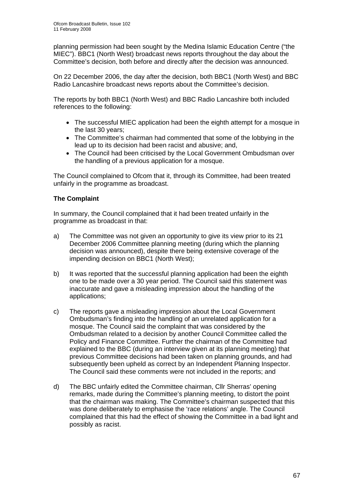planning permission had been sought by the Medina Islamic Education Centre ("the MIEC"). BBC1 (North West) broadcast news reports throughout the day about the Committee's decision, both before and directly after the decision was announced.

On 22 December 2006, the day after the decision, both BBC1 (North West) and BBC Radio Lancashire broadcast news reports about the Committee's decision.

The reports by both BBC1 (North West) and BBC Radio Lancashire both included references to the following:

- The successful MIEC application had been the eighth attempt for a mosque in the last 30 years;
- The Committee's chairman had commented that some of the lobbying in the lead up to its decision had been racist and abusive; and,
- The Council had been criticised by the Local Government Ombudsman over the handling of a previous application for a mosque.

The Council complained to Ofcom that it, through its Committee, had been treated unfairly in the programme as broadcast.

# **The Complaint**

In summary, the Council complained that it had been treated unfairly in the programme as broadcast in that:

- a) The Committee was not given an opportunity to give its view prior to its 21 December 2006 Committee planning meeting (during which the planning decision was announced), despite there being extensive coverage of the impending decision on BBC1 (North West);
- b) It was reported that the successful planning application had been the eighth one to be made over a 30 year period. The Council said this statement was inaccurate and gave a misleading impression about the handling of the applications;
- c) The reports gave a misleading impression about the Local Government Ombudsman's finding into the handling of an unrelated application for a mosque. The Council said the complaint that was considered by the Ombudsman related to a decision by another Council Committee called the Policy and Finance Committee. Further the chairman of the Committee had explained to the BBC (during an interview given at its planning meeting) that previous Committee decisions had been taken on planning grounds, and had subsequently been upheld as correct by an Independent Planning Inspector. The Council said these comments were not included in the reports; and
- d) The BBC unfairly edited the Committee chairman, Cllr Sherras' opening remarks, made during the Committee's planning meeting, to distort the point that the chairman was making. The Committee's chairman suspected that this was done deliberately to emphasise the 'race relations' angle. The Council complained that this had the effect of showing the Committee in a bad light and possibly as racist.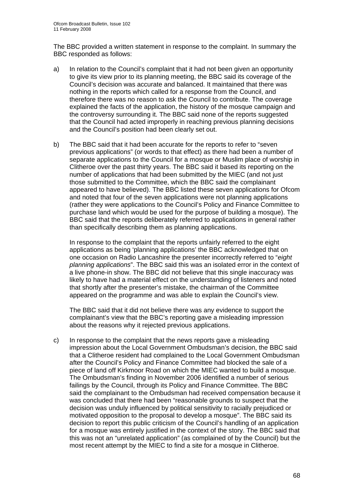The BBC provided a written statement in response to the complaint. In summary the BBC responded as follows:

- a) In relation to the Council's complaint that it had not been given an opportunity to give its view prior to its planning meeting, the BBC said its coverage of the Council's decision was accurate and balanced. It maintained that there was nothing in the reports which called for a response from the Council, and therefore there was no reason to ask the Council to contribute. The coverage explained the facts of the application, the history of the mosque campaign and the controversy surrounding it. The BBC said none of the reports suggested that the Council had acted improperly in reaching previous planning decisions and the Council's position had been clearly set out.
- b) The BBC said that it had been accurate for the reports to refer to "seven previous applications" (or words to that effect) as there had been a number of separate applications to the Council for a mosque or Muslim place of worship in Clitheroe over the past thirty years. The BBC said it based its reporting on the number of applications that had been submitted by the MIEC (and not just those submitted to the Committee, which the BBC said the complainant appeared to have believed). The BBC listed these seven applications for Ofcom and noted that four of the seven applications were not planning applications (rather they were applications to the Council's Policy and Finance Committee to purchase land which would be used for the purpose of building a mosque). The BBC said that the reports deliberately referred to applications in general rather than specifically describing them as planning applications.

 In response to the complaint that the reports unfairly referred to the eight applications as being 'planning applications' the BBC acknowledged that on one occasion on Radio Lancashire the presenter incorrectly referred to "*eight planning applications*". The BBC said this was an isolated error in the context of a live phone-in show. The BBC did not believe that this single inaccuracy was likely to have had a material effect on the understanding of listeners and noted that shortly after the presenter's mistake, the chairman of the Committee appeared on the programme and was able to explain the Council's view.

 The BBC said that it did not believe there was any evidence to support the complainant's view that the BBC's reporting gave a misleading impression about the reasons why it rejected previous applications.

c) In response to the complaint that the news reports gave a misleading impression about the Local Government Ombudsman's decision, the BBC said that a Clitheroe resident had complained to the Local Government Ombudsman after the Council's Policy and Finance Committee had blocked the sale of a piece of land off Kirkmoor Road on which the MIEC wanted to build a mosque. The Ombudsman's finding in November 2006 identified a number of serious failings by the Council, through its Policy and Finance Committee. The BBC said the complainant to the Ombudsman had received compensation because it was concluded that there had been "reasonable grounds to suspect that the decision was unduly influenced by political sensitivity to racially prejudiced or motivated opposition to the proposal to develop a mosque". The BBC said its decision to report this public criticism of the Council's handling of an application for a mosque was entirely justified in the context of the story. The BBC said that this was not an "unrelated application" (as complained of by the Council) but the most recent attempt by the MIEC to find a site for a mosque in Clitheroe.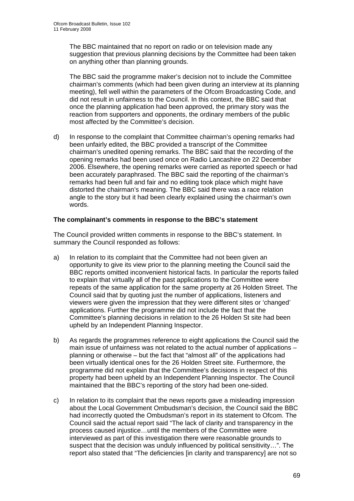The BBC maintained that no report on radio or on television made any suggestion that previous planning decisions by the Committee had been taken on anything other than planning grounds.

 The BBC said the programme maker's decision not to include the Committee chairman's comments (which had been given during an interview at its planning meeting), fell well within the parameters of the Ofcom Broadcasting Code, and did not result in unfairness to the Council. In this context, the BBC said that once the planning application had been approved, the primary story was the reaction from supporters and opponents, the ordinary members of the public most affected by the Committee's decision.

d) In response to the complaint that Committee chairman's opening remarks had been unfairly edited, the BBC provided a transcript of the Committee chairman's unedited opening remarks. The BBC said that the recording of the opening remarks had been used once on Radio Lancashire on 22 December 2006. Elsewhere, the opening remarks were carried as reported speech or had been accurately paraphrased. The BBC said the reporting of the chairman's remarks had been full and fair and no editing took place which might have distorted the chairman's meaning. The BBC said there was a race relation angle to the story but it had been clearly explained using the chairman's own words.

### **The complainant's comments in response to the BBC's statement**

The Council provided written comments in response to the BBC's statement. In summary the Council responded as follows:

- a) In relation to its complaint that the Committee had not been given an opportunity to give its view prior to the planning meeting the Council said the BBC reports omitted inconvenient historical facts. In particular the reports failed to explain that virtually all of the past applications to the Committee were repeats of the same application for the same property at 26 Holden Street. The Council said that by quoting just the number of applications, listeners and viewers were given the impression that they were different sites or 'changed' applications. Further the programme did not include the fact that the Committee's planning decisions in relation to the 26 Holden St site had been upheld by an Independent Planning Inspector.
- b) As regards the programmes reference to eight applications the Council said the main issue of unfairness was not related to the actual number of applications – planning or otherwise – but the fact that "almost all" of the applications had been virtually identical ones for the 26 Holden Street site. Furthermore, the programme did not explain that the Committee's decisions in respect of this property had been upheld by an Independent Planning Inspector. The Council maintained that the BBC's reporting of the story had been one-sided.
- c) In relation to its complaint that the news reports gave a misleading impression about the Local Government Ombudsman's decision, the Council said the BBC had incorrectly quoted the Ombudsman's report in its statement to Ofcom. The Council said the actual report said "The lack of clarity and transparency in the process caused injustice…until the members of the Committee were interviewed as part of this investigation there were reasonable grounds to suspect that the decision was unduly influenced by political sensitivity…". The report also stated that "The deficiencies [in clarity and transparency] are not so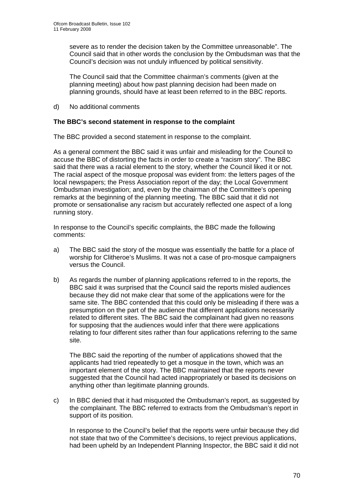severe as to render the decision taken by the Committee unreasonable". The Council said that in other words the conclusion by the Ombudsman was that the Council's decision was not unduly influenced by political sensitivity.

 The Council said that the Committee chairman's comments (given at the planning meeting) about how past planning decision had been made on planning grounds, should have at least been referred to in the BBC reports.

d) No additional comments

## **The BBC's second statement in response to the complaint**

The BBC provided a second statement in response to the complaint.

As a general comment the BBC said it was unfair and misleading for the Council to accuse the BBC of distorting the facts in order to create a "racism story". The BBC said that there was a racial element to the story, whether the Council liked it or not. The racial aspect of the mosque proposal was evident from: the letters pages of the local newspapers; the Press Association report of the day; the Local Government Ombudsman investigation; and, even by the chairman of the Committee's opening remarks at the beginning of the planning meeting. The BBC said that it did not promote or sensationalise any racism but accurately reflected one aspect of a long running story.

In response to the Council's specific complaints, the BBC made the following comments:

- a) The BBC said the story of the mosque was essentially the battle for a place of worship for Clitheroe's Muslims. It was not a case of pro-mosque campaigners versus the Council.
- b) As regards the number of planning applications referred to in the reports, the BBC said it was surprised that the Council said the reports misled audiences because they did not make clear that some of the applications were for the same site. The BBC contended that this could only be misleading if there was a presumption on the part of the audience that different applications necessarily related to different sites. The BBC said the complainant had given no reasons for supposing that the audiences would infer that there were applications relating to four different sites rather than four applications referring to the same site.

 The BBC said the reporting of the number of applications showed that the applicants had tried repeatedly to get a mosque in the town, which was an important element of the story. The BBC maintained that the reports never suggested that the Council had acted inappropriately or based its decisions on anything other than legitimate planning grounds.

c) In BBC denied that it had misquoted the Ombudsman's report, as suggested by the complainant. The BBC referred to extracts from the Ombudsman's report in support of its position.

 In response to the Council's belief that the reports were unfair because they did not state that two of the Committee's decisions, to reject previous applications, had been upheld by an Independent Planning Inspector, the BBC said it did not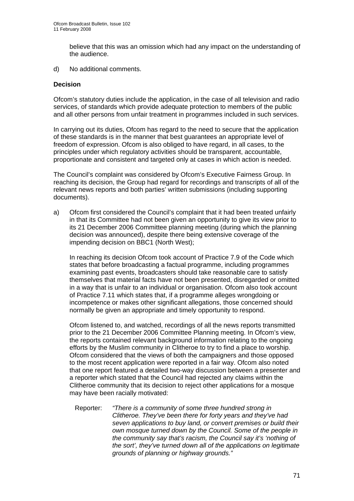believe that this was an omission which had any impact on the understanding of the audience.

d) No additional comments.

### **Decision**

Ofcom's statutory duties include the application, in the case of all television and radio services, of standards which provide adequate protection to members of the public and all other persons from unfair treatment in programmes included in such services.

In carrying out its duties, Ofcom has regard to the need to secure that the application of these standards is in the manner that best guarantees an appropriate level of freedom of expression. Ofcom is also obliged to have regard, in all cases, to the principles under which regulatory activities should be transparent, accountable, proportionate and consistent and targeted only at cases in which action is needed.

The Council's complaint was considered by Ofcom's Executive Fairness Group. In reaching its decision, the Group had regard for recordings and transcripts of all of the relevant news reports and both parties' written submissions (including supporting documents).

a) Ofcom first considered the Council's complaint that it had been treated unfairly in that its Committee had not been given an opportunity to give its view prior to its 21 December 2006 Committee planning meeting (during which the planning decision was announced), despite there being extensive coverage of the impending decision on BBC1 (North West);

 In reaching its decision Ofcom took account of Practice 7.9 of the Code which states that before broadcasting a factual programme, including programmes examining past events, broadcasters should take reasonable care to satisfy themselves that material facts have not been presented, disregarded or omitted in a way that is unfair to an individual or organisation. Ofcom also took account of Practice 7.11 which states that, if a programme alleges wrongdoing or incompetence or makes other significant allegations, those concerned should normally be given an appropriate and timely opportunity to respond.

 Ofcom listened to, and watched, recordings of all the news reports transmitted prior to the 21 December 2006 Committee Planning meeting. In Ofcom's view, the reports contained relevant background information relating to the ongoing efforts by the Muslim community in Clitheroe to try to find a place to worship. Ofcom considered that the views of both the campaigners and those opposed to the most recent application were reported in a fair way. Ofcom also noted that one report featured a detailed two-way discussion between a presenter and a reporter which stated that the Council had rejected any claims within the Clitheroe community that its decision to reject other applications for a mosque may have been racially motivated:

Reporter: *"There is a community of some three hundred strong in Clitheroe. They've been there for forty years and they've had seven applications to buy land, or convert premises or build their own mosque turned down by the Council. Some of the people in the community say that's racism, the Council say it's 'nothing of the sort', they've turned down all of the applications on legitimate grounds of planning or highway grounds."*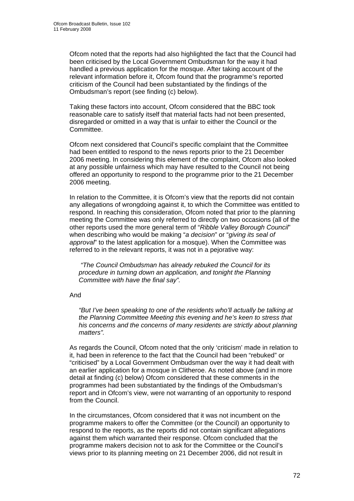Ofcom noted that the reports had also highlighted the fact that the Council had been criticised by the Local Government Ombudsman for the way it had handled a previous application for the mosque. After taking account of the relevant information before it, Ofcom found that the programme's reported criticism of the Council had been substantiated by the findings of the Ombudsman's report (see finding (c) below).

 Taking these factors into account, Ofcom considered that the BBC took reasonable care to satisfy itself that material facts had not been presented, disregarded or omitted in a way that is unfair to either the Council or the Committee.

 Ofcom next considered that Council's specific complaint that the Committee had been entitled to respond to the news reports prior to the 21 December 2006 meeting. In considering this element of the complaint, Ofcom also looked at any possible unfairness which may have resulted to the Council not being offered an opportunity to respond to the programme prior to the 21 December 2006 meeting.

 In relation to the Committee, it is Ofcom's view that the reports did not contain any allegations of wrongdoing against it, to which the Committee was entitled to respond. In reaching this consideration, Ofcom noted that prior to the planning meeting the Committee was only referred to directly on two occasions (all of the other reports used the more general term of "*Ribble Valley Borough Council*" when describing who would be making "*a decision*" or "*giving its seal of approval*" to the latest application for a mosque). When the Committee was referred to in the relevant reports, it was not in a pejorative way:

 *"The Council Ombudsman has already rebuked the Council for its procedure in turning down an application, and tonight the Planning Committee with have the final say".* 

And

*"But I've been speaking to one of the residents who'll actually be talking at the Planning Committee Meeting this evening and he's keen to stress that his concerns and the concerns of many residents are strictly about planning matters".* 

 As regards the Council, Ofcom noted that the only 'criticism' made in relation to it, had been in reference to the fact that the Council had been "rebuked" or "criticised" by a Local Government Ombudsman over the way it had dealt with an earlier application for a mosque in Clitheroe. As noted above (and in more detail at finding (c) below) Ofcom considered that these comments in the programmes had been substantiated by the findings of the Ombudsman's report and in Ofcom's view, were not warranting of an opportunity to respond from the Council.

 In the circumstances, Ofcom considered that it was not incumbent on the programme makers to offer the Committee (or the Council) an opportunity to respond to the reports, as the reports did not contain significant allegations against them which warranted their response. Ofcom concluded that the programme makers decision not to ask for the Committee or the Council's views prior to its planning meeting on 21 December 2006, did not result in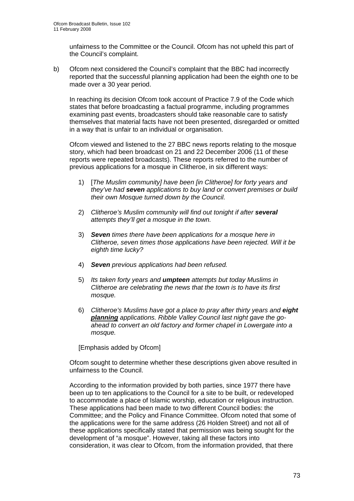unfairness to the Committee or the Council. Ofcom has not upheld this part of the Council's complaint.

b) Ofcom next considered the Council's complaint that the BBC had incorrectly reported that the successful planning application had been the eighth one to be made over a 30 year period.

 In reaching its decision Ofcom took account of Practice 7.9 of the Code which states that before broadcasting a factual programme, including programmes examining past events, broadcasters should take reasonable care to satisfy themselves that material facts have not been presented, disregarded or omitted in a way that is unfair to an individual or organisation.

 Ofcom viewed and listened to the 27 BBC news reports relating to the mosque story, which had been broadcast on 21 and 22 December 2006 (11 of these reports were repeated broadcasts). These reports referred to the number of previous applications for a mosque in Clitheroe, in six different ways:

- 1) [*The Muslim community] have been [in Clitheroe] for forty years and they've had seven applications to buy land or convert premises or build their own Mosque turned down by the Council.*
- 2) *Clitheroe's Muslim community will find out tonight if after several attempts they'll get a mosque in the town.*
- 3) *Seven times there have been applications for a mosque here in Clitheroe, seven times those applications have been rejected. Will it be eighth time lucky?*
- 4) *Seven previous applications had been refused.*
- 5) *Its taken forty years and umpteen attempts but today Muslims in Clitheroe are celebrating the news that the town is to have its first mosque.*
- 6) *Clitheroe's Muslims have got a place to pray after thirty years and eight planning applications. Ribble Valley Council last night gave the goahead to convert an old factory and former chapel in Lowergate into a mosque.*

[Emphasis added by Ofcom]

 Ofcom sought to determine whether these descriptions given above resulted in unfairness to the Council.

 According to the information provided by both parties, since 1977 there have been up to ten applications to the Council for a site to be built, or redeveloped to accommodate a place of Islamic worship, education or religious instruction. These applications had been made to two different Council bodies: the Committee; and the Policy and Finance Committee. Ofcom noted that some of the applications were for the same address (26 Holden Street) and not all of these applications specifically stated that permission was being sought for the development of "a mosque". However, taking all these factors into consideration, it was clear to Ofcom, from the information provided, that there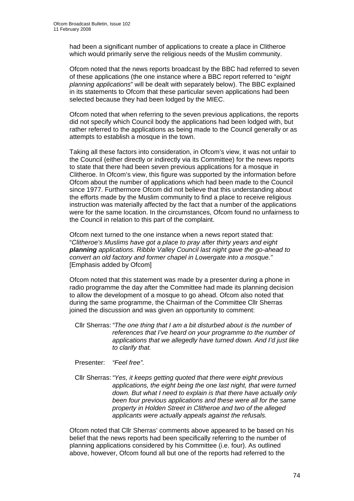had been a significant number of applications to create a place in Clitheroe which would primarily serve the religious needs of the Muslim community.

 Ofcom noted that the news reports broadcast by the BBC had referred to seven of these applications (the one instance where a BBC report referred to "*eight planning applications*" will be dealt with separately below). The BBC explained in its statements to Ofcom that these particular seven applications had been selected because they had been lodged by the MIEC.

Ofcom noted that when referring to the seven previous applications, the reports did not specify which Council body the applications had been lodged with, but rather referred to the applications as being made to the Council generally or as attempts to establish a mosque in the town.

Taking all these factors into consideration, in Ofcom's view, it was not unfair to the Council (either directly or indirectly via its Committee) for the news reports to state that there had been seven previous applications for a mosque in Clitheroe. In Ofcom's view, this figure was supported by the information before Ofcom about the number of applications which had been made to the Council since 1977. Furthermore Ofcom did not believe that this understanding about the efforts made by the Muslim community to find a place to receive religious instruction was materially affected by the fact that a number of the applications were for the same location. In the circumstances, Ofcom found no unfairness to the Council in relation to this part of the complaint.

Ofcom next turned to the one instance when a news report stated that: "*Clitheroe's Muslims have got a place to pray after thirty years and eight planning applications. Ribble Valley Council last night gave the go-ahead to convert an old factory and former chapel in Lowergate into a mosque."*  [Emphasis added by Ofcom]

Ofcom noted that this statement was made by a presenter during a phone in radio programme the day after the Committee had made its planning decision to allow the development of a mosque to go ahead. Ofcom also noted that during the same programme, the Chairman of the Committee Cllr Sherras joined the discussion and was given an opportunity to comment:

Cllr Sherras: *"The one thing that I am a bit disturbed about is the number of references that I've heard on your programme to the number of applications that we allegedly have turned down. And I'd just like to clarify that.* 

Presenter: *"Feel free".* 

Cllr Sherras: *"Yes, it keeps getting quoted that there were eight previous applications, the eight being the one last night, that were turned down. But what I need to explain is that there have actually only been four previous applications and these were all for the same property in Holden Street in Clitheroe and two of the alleged applicants were actually appeals against the refusals.*

Ofcom noted that Cllr Sherras' comments above appeared to be based on his belief that the news reports had been specifically referring to the number of planning applications considered by his Committee (i.e. four). As outlined above, however, Ofcom found all but one of the reports had referred to the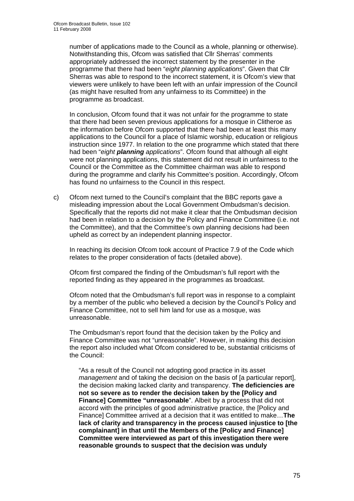number of applications made to the Council as a whole, planning or otherwise). Notwithstanding this, Ofcom was satisfied that Cllr Sherras' comments appropriately addressed the incorrect statement by the presenter in the programme that there had been "*eight planning applications*". Given that Cllr Sherras was able to respond to the incorrect statement, it is Ofcom's view that viewers were unlikely to have been left with an unfair impression of the Council (as might have resulted from any unfairness to its Committee) in the programme as broadcast.

In conclusion, Ofcom found that it was not unfair for the programme to state that there had been seven previous applications for a mosque in Clitheroe as the information before Ofcom supported that there had been at least this many applications to the Council for a place of Islamic worship, education or religious instruction since 1977. In relation to the one programme which stated that there had been "*eight planning applications*". Ofcom found that although all eight were not planning applications, this statement did not result in unfairness to the Council or the Committee as the Committee chairman was able to respond during the programme and clarify his Committee's position. Accordingly, Ofcom has found no unfairness to the Council in this respect.

c) Ofcom next turned to the Council's complaint that the BBC reports gave a misleading impression about the Local Government Ombudsman's decision. Specifically that the reports did not make it clear that the Ombudsman decision had been in relation to a decision by the Policy and Finance Committee (i.e. not the Committee), and that the Committee's own planning decisions had been upheld as correct by an independent planning inspector.

 In reaching its decision Ofcom took account of Practice 7.9 of the Code which relates to the proper consideration of facts (detailed above).

Ofcom first compared the finding of the Ombudsman's full report with the reported finding as they appeared in the programmes as broadcast.

 Ofcom noted that the Ombudsman's full report was in response to a complaint by a member of the public who believed a decision by the Council's Policy and Finance Committee, not to sell him land for use as a mosque, was unreasonable.

 The Ombudsman's report found that the decision taken by the Policy and Finance Committee was not "unreasonable". However, in making this decision the report also included what Ofcom considered to be, substantial criticisms of the Council:

"As a result of the Council not adopting good practice in its asset *management* and of taking the decision on the basis of [a particular report], the decision making lacked clarity and transparency. **The deficiencies are not so severe as to render the decision taken by the [Policy and Finance] Committee "unreasonable**". Albeit by a process that did not accord with the principles of good administrative practice, the [Policy and Finance] Committee arrived at a decision that it was entitled to make…**The lack of clarity and transparency in the process caused injustice to [the complainant] in that until the Members of the [Policy and Finance] Committee were interviewed as part of this investigation there were reasonable grounds to suspect that the decision was unduly**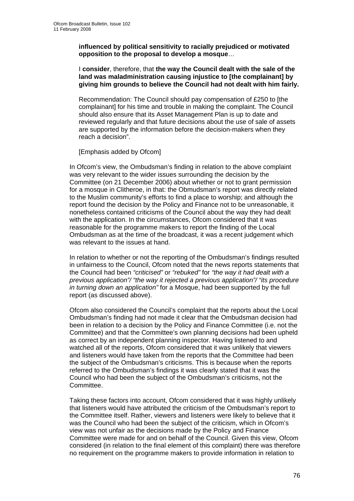**influenced by political sensitivity to racially prejudiced or motivated opposition to the proposal to develop a mosque**…

I **consider**, therefore, that **the way the Council dealt with the sale of the land was maladministration causing injustice to [the complainant] by giving him grounds to believe the Council had not dealt with him fairly.**

Recommendation: The Council should pay compensation of £250 to [the complainant] for his time and trouble in making the complaint. The Council should also ensure that its Asset Management Plan is up to date and reviewed regularly and that future decisions about the use of sale of assets are supported by the information before the decision-makers when they reach a decision".

[Emphasis added by Ofcom]

In Ofcom's view, the Ombudsman's finding in relation to the above complaint was very relevant to the wider issues surrounding the decision by the Committee (on 21 December 2006) about whether or not to grant permission for a mosque in Clitheroe, in that: the Obmudsman's report was directly related to the Muslim community's efforts to find a place to worship; and although the report found the decision by the Policy and Finance not to be unreasonable, it nonetheless contained criticisms of the Council about the way they had dealt with the application. In the circumstances, Ofcom considered that it was reasonable for the programme makers to report the finding of the Local Ombudsman as at the time of the broadcast, it was a recent judgement which was relevant to the issues at hand.

In relation to whether or not the reporting of the Ombudsman's findings resulted in unfairness to the Council, Ofcom noted that the news reports statements that the Council had been *"criticised"* or *"rebuked"* for *"the way it had dealt with a previous application"/ "the way it rejected a previous application"/ "its procedure in turning down an application"* for a Mosque, had been supported by the full report (as discussed above).

Ofcom also considered the Council's complaint that the reports about the Local Ombudsman's finding had not made it clear that the Ombudsman decision had been in relation to a decision by the Policy and Finance Committee (i.e. not the Committee) and that the Committee's own planning decisions had been upheld as correct by an independent planning inspector. Having listened to and watched all of the reports, Ofcom considered that it was unlikely that viewers and listeners would have taken from the reports that the Committee had been the subject of the Ombudsman's criticisms. This is because when the reports referred to the Ombudsman's findings it was clearly stated that it was the Council who had been the subject of the Ombudsman's criticisms, not the Committee.

Taking these factors into account, Ofcom considered that it was highly unlikely that listeners would have attributed the criticism of the Ombudsman's report to the Committee itself. Rather, viewers and listeners were likely to believe that it was the Council who had been the subject of the criticism, which in Ofcom's view was not unfair as the decisions made by the Policy and Finance Committee were made for and on behalf of the Council. Given this view, Ofcom considered (in relation to the final element of this complaint) there was therefore no requirement on the programme makers to provide information in relation to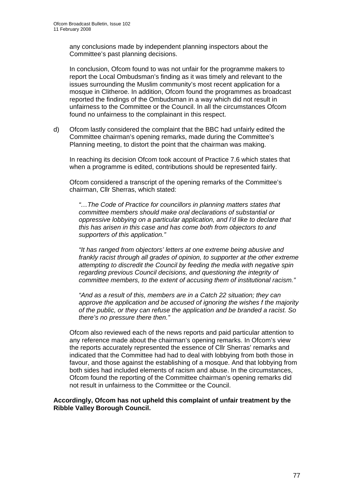any conclusions made by independent planning inspectors about the Committee's past planning decisions.

In conclusion, Ofcom found to was not unfair for the programme makers to report the Local Ombudsman's finding as it was timely and relevant to the issues surrounding the Muslim community's most recent application for a mosque in Clitheroe. In addition, Ofcom found the programmes as broadcast reported the findings of the Ombudsman in a way which did not result in unfairness to the Committee or the Council. In all the circumstances Ofcom found no unfairness to the complainant in this respect.

d) Ofcom lastly considered the complaint that the BBC had unfairly edited the Committee chairman's opening remarks, made during the Committee's Planning meeting, to distort the point that the chairman was making.

 In reaching its decision Ofcom took account of Practice 7.6 which states that when a programme is edited, contributions should be represented fairly.

Ofcom considered a transcript of the opening remarks of the Committee's chairman, Cllr Sherras, which stated:

*"…The Code of Practice for councillors in planning matters states that committee members should make oral declarations of substantial or oppressive lobbying on a particular application, and I'd like to declare that this has arisen in this case and has come both from objectors to and supporters of this application."* 

*"It has ranged from objectors' letters at one extreme being abusive and frankly racist through all grades of opinion, to supporter at the other extreme attempting to discredit the Council by feeding the media with negative spin regarding previous Council decisions, and questioning the integrity of committee members, to the extent of accusing them of institutional racism."* 

*"And as a result of this, members are in a Catch 22 situation; they can approve the application and be accused of ignoring the wishes f the majority of the public, or they can refuse the application and be branded a racist. So there's no pressure there then."* 

 Ofcom also reviewed each of the news reports and paid particular attention to any reference made about the chairman's opening remarks. In Ofcom's view the reports accurately represented the essence of Cllr Sherras' remarks and indicated that the Committee had had to deal with lobbying from both those in favour, and those against the establishing of a mosque. And that lobbying from both sides had included elements of racism and abuse. In the circumstances, Ofcom found the reporting of the Committee chairman's opening remarks did not result in unfairness to the Committee or the Council.

#### **Accordingly, Ofcom has not upheld this complaint of unfair treatment by the Ribble Valley Borough Council.**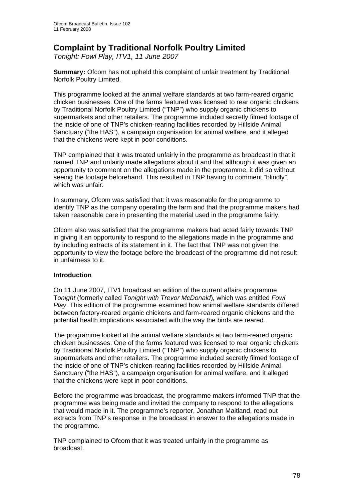## **Complaint by Traditional Norfolk Poultry Limited**

*Tonight: Fowl Play, ITV1, 11 June 2007* 

**Summary:** Ofcom has not upheld this complaint of unfair treatment by Traditional Norfolk Poultry Limited.

This programme looked at the animal welfare standards at two farm-reared organic chicken businesses. One of the farms featured was licensed to rear organic chickens by Traditional Norfolk Poultry Limited ("TNP") who supply organic chickens to supermarkets and other retailers. The programme included secretly filmed footage of the inside of one of TNP's chicken-rearing facilities recorded by Hillside Animal Sanctuary ("the HAS"), a campaign organisation for animal welfare, and it alleged that the chickens were kept in poor conditions.

TNP complained that it was treated unfairly in the programme as broadcast in that it named TNP and unfairly made allegations about it and that although it was given an opportunity to comment on the allegations made in the programme, it did so without seeing the footage beforehand. This resulted in TNP having to comment "blindly", which was unfair.

In summary, Ofcom was satisfied that: it was reasonable for the programme to identify TNP as the company operating the farm and that the programme makers had taken reasonable care in presenting the material used in the programme fairly.

Ofcom also was satisfied that the programme makers had acted fairly towards TNP in giving it an opportunity to respond to the allegations made in the programme and by including extracts of its statement in it. The fact that TNP was not given the opportunity to view the footage before the broadcast of the programme did not result in unfairness to it.

#### **Introduction**

On 11 June 2007, ITV1 broadcast an edition of the current affairs programme T*onight* (formerly called *Tonight with Trevor McDonald*)*,* which was entitled *Fowl Play*. This edition of the programme examined how animal welfare standards differed between factory-reared organic chickens and farm-reared organic chickens and the potential health implications associated with the way the birds are reared.

The programme looked at the animal welfare standards at two farm-reared organic chicken businesses. One of the farms featured was licensed to rear organic chickens by Traditional Norfolk Poultry Limited ("TNP") who supply organic chickens to supermarkets and other retailers. The programme included secretly filmed footage of the inside of one of TNP's chicken-rearing facilities recorded by Hillside Animal Sanctuary ("the HAS"), a campaign organisation for animal welfare, and it alleged that the chickens were kept in poor conditions.

Before the programme was broadcast, the programme makers informed TNP that the programme was being made and invited the company to respond to the allegations that would made in it. The programme's reporter, Jonathan Maitland, read out extracts from TNP's response in the broadcast in answer to the allegations made in the programme.

TNP complained to Ofcom that it was treated unfairly in the programme as broadcast.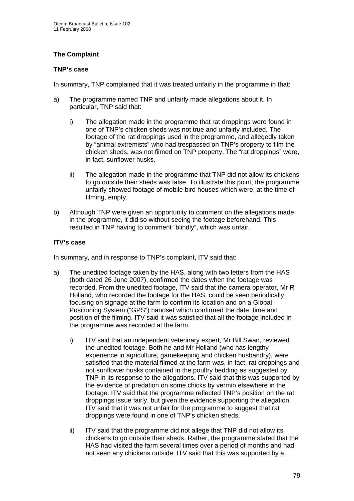## **The Complaint**

#### **TNP's case**

In summary, TNP complained that it was treated unfairly in the programme in that:

- a) The programme named TNP and unfairly made allegations about it. In particular, TNP said that:
	- i) The allegation made in the programme that rat droppings were found in one of TNP's chicken sheds was not true and unfairly included. The footage of the rat droppings used in the programme, and allegedly taken by "animal extremists" who had trespassed on TNP's property to film the chicken sheds, was not filmed on TNP property. The "rat droppings" were, in fact, sunflower husks.
	- ii) The allegation made in the programme that TNP did not allow its chickens to go outside their sheds was false. To illustrate this point, the programme unfairly showed footage of mobile bird houses which were, at the time of filming, empty.
- b) Although TNP were given an opportunity to comment on the allegations made in the programme, it did so without seeing the footage beforehand. This resulted in TNP having to comment "blindly", which was unfair.

### **ITV's case**

In summary, and in response to TNP's complaint, ITV said that:

- a) The unedited footage taken by the HAS, along with two letters from the HAS (both dated 26 June 2007), confirmed the dates when the footage was recorded. From the unedited footage, ITV said that the camera operator, Mr R Holland, who recorded the footage for the HAS, could be seen periodically focusing on signage at the farm to confirm its location and on a Global Positioning System ("GPS") handset which confirmed the date, time and position of the filming. ITV said it was satisfied that all the footage included in the programme was recorded at the farm.
	- i) ITV said that an independent veterinary expert, Mr Bill Swan, reviewed the unedited footage. Both he and Mr Holland (who has lengthy experience in agriculture, gamekeeping and chicken husbandry), were satisfied that the material filmed at the farm was, in fact, rat droppings and not sunflower husks contained in the poultry bedding as suggested by TNP in its response to the allegations. ITV said that this was supported by the evidence of predation on some chicks by vermin elsewhere in the footage. ITV said that the programme reflected TNP's position on the rat droppings issue fairly, but given the evidence supporting the allegation, ITV said that it was not unfair for the programme to suggest that rat droppings were found in one of TNP's chicken sheds.
	- ii) ITV said that the programme did not allege that TNP did not allow its chickens to go outside their sheds. Rather, the programme stated that the HAS had visited the farm several times over a period of months and had not seen any chickens outside. ITV said that this was supported by a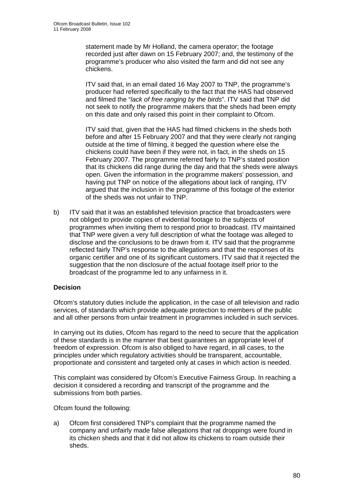statement made by Mr Holland, the camera operator; the footage recorded just after dawn on 15 February 2007; and, the testimony of the programme's producer who also visited the farm and did not see any chickens.

ITV said that, in an email dated 16 May 2007 to TNP, the programme's producer had referred specifically to the fact that the HAS had observed and filmed the "*lack of free ranging by the birds*". ITV said that TNP did not seek to notify the programme makers that the sheds had been empty on this date and only raised this point in their complaint to Ofcom.

ITV said that, given that the HAS had filmed chickens in the sheds both before and after 15 February 2007 and that they were clearly not ranging outside at the time of filming, it begged the question where else the chickens could have been if they were not, in fact, in the sheds on 15 February 2007. The programme referred fairly to TNP's stated position that its chickens did range during the day and that the sheds were always open. Given the information in the programme makers' possession, and having put TNP on notice of the allegations about lack of ranging, ITV argued that the inclusion in the programme of this footage of the exterior of the sheds was not unfair to TNP.

b) ITV said that it was an established television practice that broadcasters were not obliged to provide copies of evidential footage to the subjects of programmes when inviting them to respond prior to broadcast. ITV maintained that TNP were given a very full description of what the footage was alleged to disclose and the conclusions to be drawn from it. ITV said that the programme reflected fairly TNP's response to the allegations and that the responses of its organic certifier and one of its significant customers. ITV said that it rejected the suggestion that the non disclosure of the actual footage itself prior to the broadcast of the programme led to any unfairness in it.

#### **Decision**

Ofcom's statutory duties include the application, in the case of all television and radio services, of standards which provide adequate protection to members of the public and all other persons from unfair treatment in programmes included in such services.

In carrying out its duties, Ofcom has regard to the need to secure that the application of these standards is in the manner that best guarantees an appropriate level of freedom of expression. Ofcom is also obliged to have regard, in all cases, to the principles under which regulatory activities should be transparent, accountable, proportionate and consistent and targeted only at cases in which action is needed.

This complaint was considered by Ofcom's Executive Fairness Group. In reaching a decision it considered a recording and transcript of the programme and the submissions from both parties.

Ofcom found the following:

a) Ofcom first considered TNP's complaint that the programme named the company and unfairly made false allegations that rat droppings were found in its chicken sheds and that it did not allow its chickens to roam outside their sheds.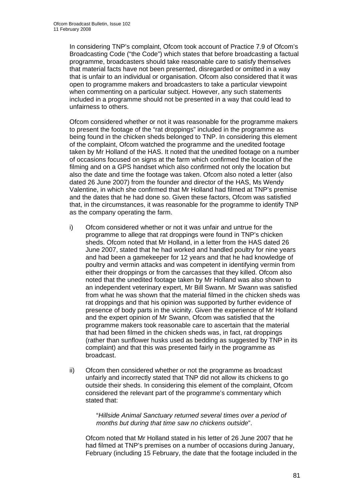In considering TNP's complaint, Ofcom took account of Practice 7.9 of Ofcom's Broadcasting Code ("the Code") which states that before broadcasting a factual programme, broadcasters should take reasonable care to satisfy themselves that material facts have not been presented, disregarded or omitted in a way that is unfair to an individual or organisation. Ofcom also considered that it was open to programme makers and broadcasters to take a particular viewpoint when commenting on a particular subject. However, any such statements included in a programme should not be presented in a way that could lead to unfairness to others.

 Ofcom considered whether or not it was reasonable for the programme makers to present the footage of the "rat droppings" included in the programme as being found in the chicken sheds belonged to TNP. In considering this element of the complaint, Ofcom watched the programme and the unedited footage taken by Mr Holland of the HAS. It noted that the unedited footage on a number of occasions focused on signs at the farm which confirmed the location of the filming and on a GPS handset which also confirmed not only the location but also the date and time the footage was taken. Ofcom also noted a letter (also dated 26 June 2007) from the founder and director of the HAS, Ms Wendy Valentine, in which she confirmed that Mr Holland had filmed at TNP's premise and the dates that he had done so. Given these factors, Ofcom was satisfied that, in the circumstances, it was reasonable for the programme to identify TNP as the company operating the farm.

- i) Ofcom considered whether or not it was unfair and untrue for the programme to allege that rat droppings were found in TNP's chicken sheds. Ofcom noted that Mr Holland, in a letter from the HAS dated 26 June 2007, stated that he had worked and handled poultry for nine years and had been a gamekeeper for 12 years and that he had knowledge of poultry and vermin attacks and was competent in identifying vermin from either their droppings or from the carcasses that they killed. Ofcom also noted that the unedited footage taken by Mr Holland was also shown to an independent veterinary expert, Mr Bill Swann. Mr Swann was satisfied from what he was shown that the material filmed in the chicken sheds was rat droppings and that his opinion was supported by further evidence of presence of body parts in the vicinity. Given the experience of Mr Holland and the expert opinion of Mr Swann, Ofcom was satisfied that the programme makers took reasonable care to ascertain that the material that had been filmed in the chicken sheds was, in fact, rat droppings (rather than sunflower husks used as bedding as suggested by TNP in its complaint) and that this was presented fairly in the programme as broadcast.
- ii) Ofcom then considered whether or not the programme as broadcast unfairly and incorrectly stated that TNP did not allow its chickens to go outside their sheds. In considering this element of the complaint, Ofcom considered the relevant part of the programme's commentary which stated that:

"*Hillside Animal Sanctuary returned several times over a period of months but during that time saw no chickens outside*".

 Ofcom noted that Mr Holland stated in his letter of 26 June 2007 that he had filmed at TNP's premises on a number of occasions during January, February (including 15 February, the date that the footage included in the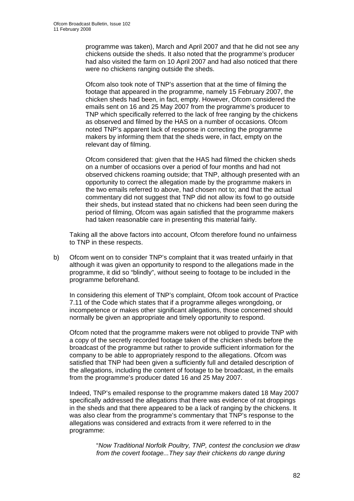programme was taken), March and April 2007 and that he did not see any chickens outside the sheds. It also noted that the programme's producer had also visited the farm on 10 April 2007 and had also noticed that there were no chickens ranging outside the sheds.

Ofcom also took note of TNP's assertion that at the time of filming the footage that appeared in the programme, namely 15 February 2007, the chicken sheds had been, in fact, empty. However, Ofcom considered the emails sent on 16 and 25 May 2007 from the programme's producer to TNP which specifically referred to the lack of free ranging by the chickens as observed and filmed by the HAS on a number of occasions. Ofcom noted TNP's apparent lack of response in correcting the programme makers by informing them that the sheds were, in fact, empty on the relevant day of filming.

Ofcom considered that: given that the HAS had filmed the chicken sheds on a number of occasions over a period of four months and had not observed chickens roaming outside; that TNP, although presented with an opportunity to correct the allegation made by the programme makers in the two emails referred to above, had chosen not to; and that the actual commentary did not suggest that TNP did not allow its fowl to go outside their sheds, but instead stated that no chickens had been seen during the period of filming, Ofcom was again satisfied that the programme makers had taken reasonable care in presenting this material fairly.

Taking all the above factors into account, Ofcom therefore found no unfairness to TNP in these respects.

b) Ofcom went on to consider TNP's complaint that it was treated unfairly in that although it was given an opportunity to respond to the allegations made in the programme, it did so "blindly", without seeing to footage to be included in the programme beforehand.

 In considering this element of TNP's complaint, Ofcom took account of Practice 7.11 of the Code which states that if a programme alleges wrongdoing, or incompetence or makes other significant allegations, those concerned should normally be given an appropriate and timely opportunity to respond.

 Ofcom noted that the programme makers were not obliged to provide TNP with a copy of the secretly recorded footage taken of the chicken sheds before the broadcast of the programme but rather to provide sufficient information for the company to be able to appropriately respond to the allegations. Ofcom was satisfied that TNP had been given a sufficiently full and detailed description of the allegations, including the content of footage to be broadcast, in the emails from the programme's producer dated 16 and 25 May 2007.

 Indeed, TNP's emailed response to the programme makers dated 18 May 2007 specifically addressed the allegations that there was evidence of rat droppings in the sheds and that there appeared to be a lack of ranging by the chickens. It was also clear from the programme's commentary that TNP's response to the allegations was considered and extracts from it were referred to in the programme:

> "*Now Traditional Norfolk Poultry, TNP, contest the conclusion we draw from the covert footage...They say their chickens do range during*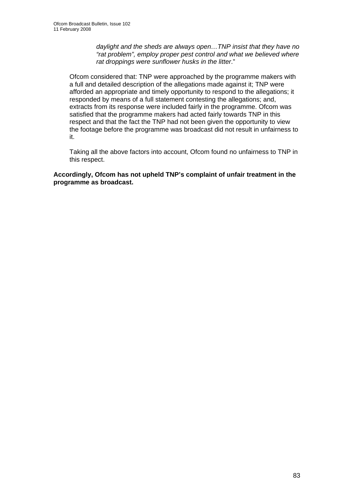*daylight and the sheds are always open…TNP insist that they have no "rat problem", employ proper pest control and what we believed where rat droppings were sunflower husks in the litter*."

 Ofcom considered that: TNP were approached by the programme makers with a full and detailed description of the allegations made against it; TNP were afforded an appropriate and timely opportunity to respond to the allegations; it responded by means of a full statement contesting the allegations; and, extracts from its response were included fairly in the programme. Ofcom was satisfied that the programme makers had acted fairly towards TNP in this respect and that the fact the TNP had not been given the opportunity to view the footage before the programme was broadcast did not result in unfairness to it.

 Taking all the above factors into account, Ofcom found no unfairness to TNP in this respect.

**Accordingly, Ofcom has not upheld TNP's complaint of unfair treatment in the programme as broadcast.**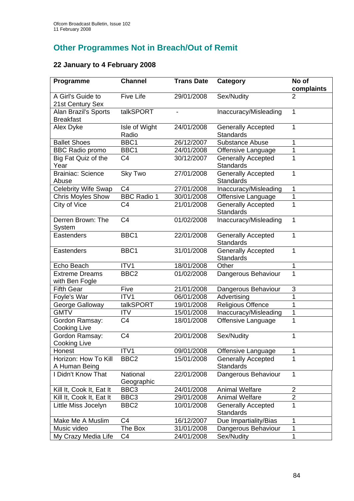# **Other Programmes Not in Breach/Out of Remit**

# **22 January to 4 February 2008**

| Programme                                | <b>Channel</b>         | <b>Trans Date</b> | Category                                      | No of<br>complaints |
|------------------------------------------|------------------------|-------------------|-----------------------------------------------|---------------------|
| A Girl's Guide to<br>21st Century Sex    | <b>Five Life</b>       | 29/01/2008        | Sex/Nudity                                    | 2                   |
| Alan Brazil's Sports<br><b>Breakfast</b> | talkSPORT              |                   | Inaccuracy/Misleading                         | 1                   |
| Alex Dyke                                | Isle of Wight<br>Radio | 24/01/2008        | <b>Generally Accepted</b><br>Standards        | 1                   |
| <b>Ballet Shoes</b>                      | BBC1                   | 26/12/2007        | <b>Substance Abuse</b>                        | 1                   |
| <b>BBC Radio promo</b>                   | BBC1                   | 24/01/2008        | Offensive Language                            | 1                   |
| Big Fat Quiz of the<br>Year              | C <sub>4</sub>         | 30/12/2007        | <b>Generally Accepted</b><br><b>Standards</b> | 1                   |
| <b>Brainiac: Science</b><br>Abuse        | Sky Two                | 27/01/2008        | <b>Generally Accepted</b><br><b>Standards</b> | 1                   |
| <b>Celebrity Wife Swap</b>               | C <sub>4</sub>         | 27/01/2008        | Inaccuracy/Misleading                         | 1                   |
| Chris Moyles Show                        | <b>BBC Radio 1</b>     | 30/01/2008        | Offensive Language                            | 1                   |
| City of Vice                             | C <sub>4</sub>         | 21/01/2008        | <b>Generally Accepted</b><br>Standards        | 1                   |
| Derren Brown: The<br>System              | C <sub>4</sub>         | 01/02/2008        | Inaccuracy/Misleading                         | 1                   |
| Eastenders                               | BBC1                   | 22/01/2008        | <b>Generally Accepted</b><br><b>Standards</b> | 1                   |
| Eastenders                               | BBC1                   | 31/01/2008        | <b>Generally Accepted</b><br><b>Standards</b> | 1                   |
| Echo Beach                               | ITV1                   | 18/01/2008        | Other                                         | 1                   |
| <b>Extreme Dreams</b><br>with Ben Fogle  | BBC <sub>2</sub>       | 01/02/2008        | Dangerous Behaviour                           | 1                   |
| <b>Fifth Gear</b>                        | Five                   | 21/01/2008        | Dangerous Behaviour                           | 3                   |
| Foyle's War                              | ITV1                   | 06/01/2008        | Advertising                                   | 1                   |
| George Galloway                          | talkSPORT              | 19/01/2008        | <b>Religious Offence</b>                      | 1                   |
| <b>GMTV</b>                              | <b>ITV</b>             | 15/01/2008        | Inaccuracy/Misleading                         | 1                   |
| Gordon Ramsay:<br><b>Cooking Live</b>    | C <sub>4</sub>         | 18/01/2008        | Offensive Language                            | 1                   |
| Gordon Ramsay:<br>Cooking Live           | C <sub>4</sub>         | 20/01/2008        | Sex/Nudity                                    | 1                   |
| Honest                                   | ITV1                   | 09/01/2008        | Offensive Language                            | 1                   |
| Horizon: How To Kill<br>A Human Being    | BBC <sub>2</sub>       | 15/01/2008        | <b>Generally Accepted</b><br><b>Standards</b> | 1                   |
| I Didn't Know That                       | National<br>Geographic | 22/01/2008        | Dangerous Behaviour                           | 1                   |
| Kill It, Cook It, Eat It                 | BBC3                   | 24/01/2008        | <b>Animal Welfare</b>                         | $\overline{c}$      |
| Kill It, Cook It, Eat It                 | BBC <sub>3</sub>       | 29/01/2008        | <b>Animal Welfare</b>                         | $\overline{2}$      |
| Little Miss Jocelyn                      | BBC <sub>2</sub>       | 10/01/2008        | <b>Generally Accepted</b><br><b>Standards</b> | $\overline{1}$      |
| Make Me A Muslim                         | C <sub>4</sub>         | 16/12/2007        | Due Impartiality/Bias                         | 1                   |
| Music video                              | The Box                | 31/01/2008        | Dangerous Behaviour                           | 1                   |
| My Crazy Media Life                      | C <sub>4</sub>         | 24/01/2008        | Sex/Nudity                                    | 1                   |